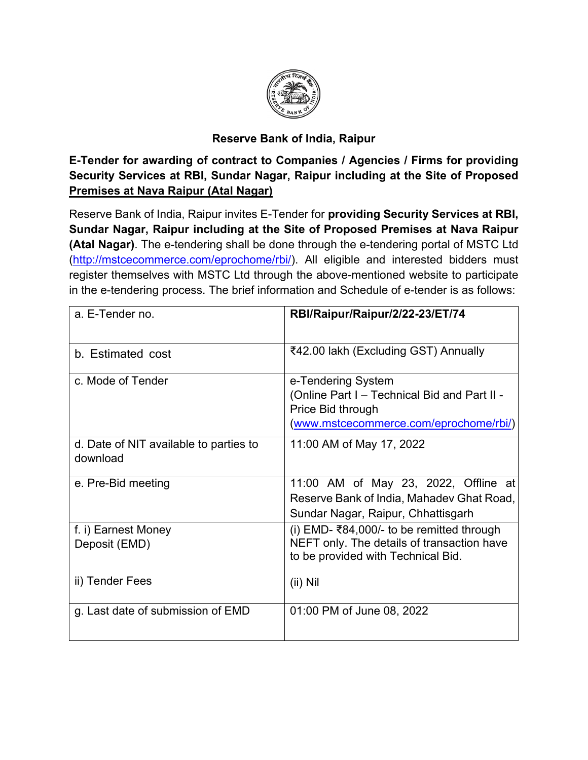

#### **Reserve Bank of India, Raipur**

**E-Tender for awarding of contract to Companies / Agencies / Firms for providing Security Services at RBI, Sundar Nagar, Raipur including at the Site of Proposed Premises at Nava Raipur (Atal Nagar)**

Reserve Bank of India, Raipur invites E-Tender for **providing Security Services at RBI, Sundar Nagar, Raipur including at the Site of Proposed Premises at Nava Raipur (Atal Nagar)**. The e-tendering shall be done through the e-tendering portal of MSTC Ltd [\(http://mstcecommerce.com/eprochome/rbi/](https://www.mstcecommerce.com/eprochome/rbi/)). All eligible and interested bidders must register themselves with MSTC Ltd through the above-mentioned website to participate in the e-tendering process. The brief information and Schedule of e-tender is as follows:

| a. E-Tender no.                                    | RBI/Raipur/Raipur/2/22-23/ET/74                                                                                                   |  |
|----------------------------------------------------|-----------------------------------------------------------------------------------------------------------------------------------|--|
| b. Estimated cost                                  | ₹42.00 lakh (Excluding GST) Annually                                                                                              |  |
| c. Mode of Tender                                  | e-Tendering System<br>(Online Part I – Technical Bid and Part II -<br>Price Bid through<br>(www.mstcecommerce.com/eprochome/rbi/) |  |
| d. Date of NIT available to parties to<br>download | 11:00 AM of May 17, 2022                                                                                                          |  |
| e. Pre-Bid meeting                                 | 11:00 AM of May 23, 2022, Offline at<br>Reserve Bank of India, Mahadev Ghat Road,<br>Sundar Nagar, Raipur, Chhattisgarh           |  |
| f. i) Earnest Money<br>Deposit (EMD)               | (i) EMD- ₹84,000/- to be remitted through<br>NEFT only. The details of transaction have<br>to be provided with Technical Bid.     |  |
| ii) Tender Fees                                    | $(ii)$ Nil                                                                                                                        |  |
| g. Last date of submission of EMD                  | 01:00 PM of June 08, 2022                                                                                                         |  |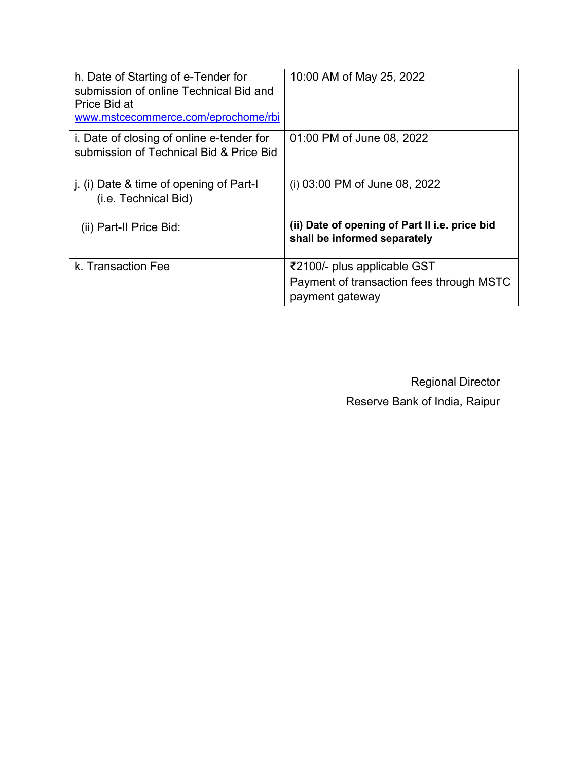| h. Date of Starting of e-Tender for<br>submission of online Technical Bid and<br>Price Bid at<br>www.mstcecommerce.com/eprochome/rbi | 10:00 AM of May 25, 2022                                                       |
|--------------------------------------------------------------------------------------------------------------------------------------|--------------------------------------------------------------------------------|
| i. Date of closing of online e-tender for<br>submission of Technical Bid & Price Bid                                                 | 01:00 PM of June 08, 2022                                                      |
| j. (i) Date & time of opening of Part-I<br>(i.e. Technical Bid)                                                                      | (i) 03:00 PM of June 08, 2022                                                  |
| (ii) Part-II Price Bid:                                                                                                              | (ii) Date of opening of Part II i.e. price bid<br>shall be informed separately |
| k. Transaction Fee                                                                                                                   | ₹2100/- plus applicable GST                                                    |
|                                                                                                                                      | Payment of transaction fees through MSTC<br>payment gateway                    |

Regional Director Reserve Bank of India, Raipur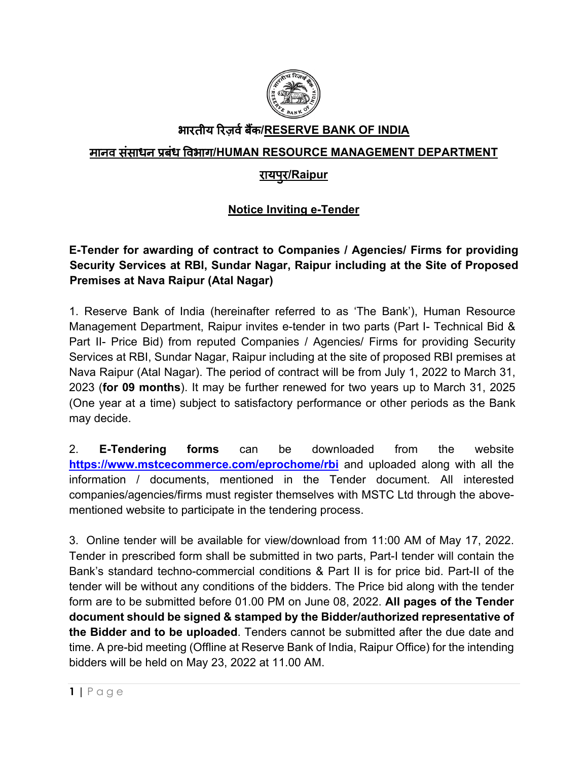

# भारतीय �रज़वर्बक� **/RESERVE BANK OF INDIA**

### मानव संसाधन प्रबंध �वभाग**/HUMAN RESOURCE MANAGEMENT DEPARTMENT**

# रायपु र**/Raipur**

## **Notice Inviting e-Tender**

## **E-Tender for awarding of contract to Companies / Agencies/ Firms for providing Security Services at RBI, Sundar Nagar, Raipur including at the Site of Proposed Premises at Nava Raipur (Atal Nagar)**

1. Reserve Bank of India (hereinafter referred to as 'The Bank'), Human Resource Management Department, Raipur invites e-tender in two parts (Part I- Technical Bid & Part II- Price Bid) from reputed Companies / Agencies/ Firms for providing Security Services at RBI, Sundar Nagar, Raipur including at the site of proposed RBI premises at Nava Raipur (Atal Nagar). The period of contract will be from July 1, 2022 to March 31, 2023 (**for 09 months**). It may be further renewed for two years up to March 31, 2025 (One year at a time) subject to satisfactory performance or other periods as the Bank may decide.

2. **E-Tendering forms** can be downloaded from the website **<https://www.mstcecommerce.com/eprochome/rbi>** and uploaded along with all the information / documents, mentioned in the Tender document. All interested companies/agencies/firms must register themselves with MSTC Ltd through the abovementioned website to participate in the tendering process.

3. Online tender will be available for view/download from 11:00 AM of May 17, 2022. Tender in prescribed form shall be submitted in two parts, Part-I tender will contain the Bank's standard techno-commercial conditions & Part II is for price bid. Part-II of the tender will be without any conditions of the bidders. The Price bid along with the tender form are to be submitted before 01.00 PM on June 08, 2022. **All pages of the Tender document should be signed & stamped by the Bidder/authorized representative of the Bidder and to be uploaded**. Tenders cannot be submitted after the due date and time. A pre-bid meeting (Offline at Reserve Bank of India, Raipur Office) for the intending bidders will be held on May 23, 2022 at 11.00 AM.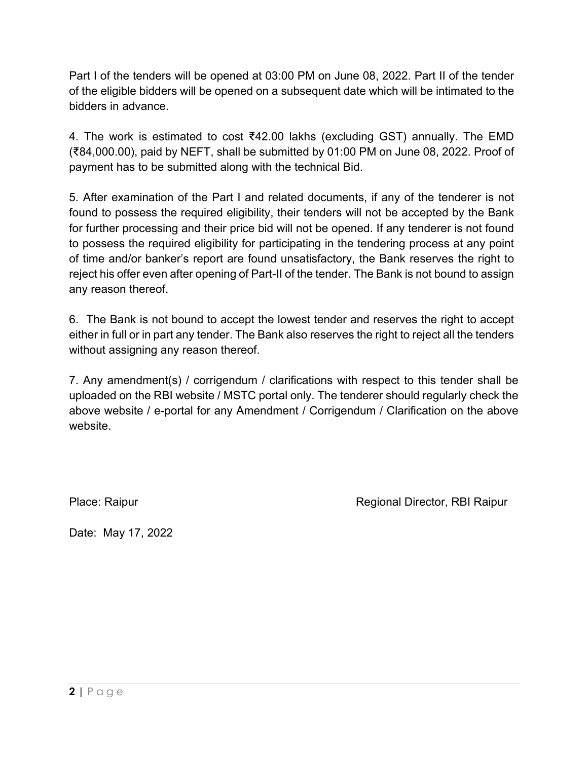Part I of the tenders will be opened at 03:00 PM on June 08, 2022. Part II of the tender of the eligible bidders will be opened on a subsequent date which will be intimated to the bidders in advance.

4. The work is estimated to cost ₹42.00 lakhs (excluding GST) annually. The EMD (₹84,000.00), paid by NEFT, shall be submitted by 01:00 PM on June 08, 2022. Proof of payment has to be submitted along with the technical Bid.

5. After examination of the Part I and related documents, if any of the tenderer is not found to possess the required eligibility, their tenders will not be accepted by the Bank for further processing and their price bid will not be opened. If any tenderer is not found to possess the required eligibility for participating in the tendering process at any point of time and/or banker's report are found unsatisfactory, the Bank reserves the right to reject his offer even after opening of Part-II of the tender. The Bank is not bound to assign any reason thereof.

6. The Bank is not bound to accept the lowest tender and reserves the right to accept either in full or in part any tender. The Bank also reserves the right to reject all the tenders without assigning any reason thereof.

7. Any amendment(s) / corrigendum / clarifications with respect to this tender shall be uploaded on the RBI website / MSTC portal only. The tenderer should regularly check the above website / e-portal for any Amendment / Corrigendum / Clarification on the above website.

Place: Raipur **Regional Director, RBI Raipur** Regional Director, RBI Raipur

Date: May 17, 2022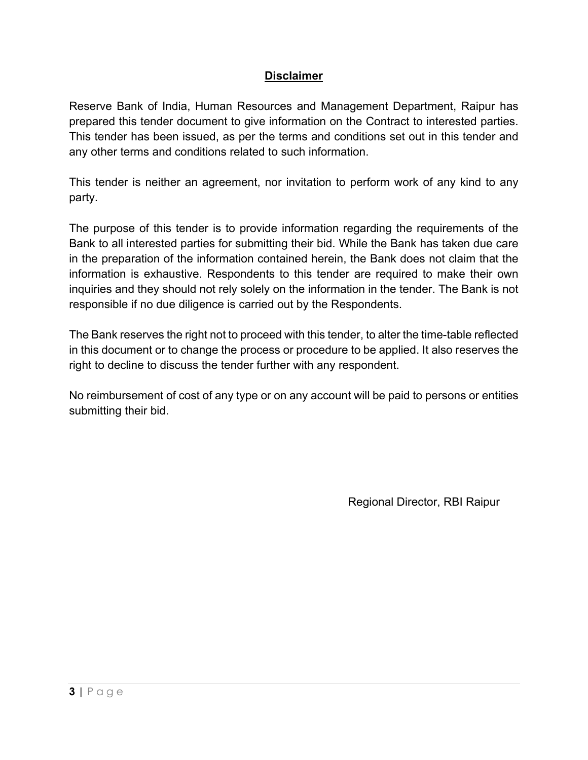### **Disclaimer**

Reserve Bank of India, Human Resources and Management Department, Raipur has prepared this tender document to give information on the Contract to interested parties. This tender has been issued, as per the terms and conditions set out in this tender and any other terms and conditions related to such information.

This tender is neither an agreement, nor invitation to perform work of any kind to any party.

The purpose of this tender is to provide information regarding the requirements of the Bank to all interested parties for submitting their bid. While the Bank has taken due care in the preparation of the information contained herein, the Bank does not claim that the information is exhaustive. Respondents to this tender are required to make their own inquiries and they should not rely solely on the information in the tender. The Bank is not responsible if no due diligence is carried out by the Respondents.

The Bank reserves the right not to proceed with this tender, to alter the time-table reflected in this document or to change the process or procedure to be applied. It also reserves the right to decline to discuss the tender further with any respondent.

No reimbursement of cost of any type or on any account will be paid to persons or entities submitting their bid.

Regional Director, RBI Raipur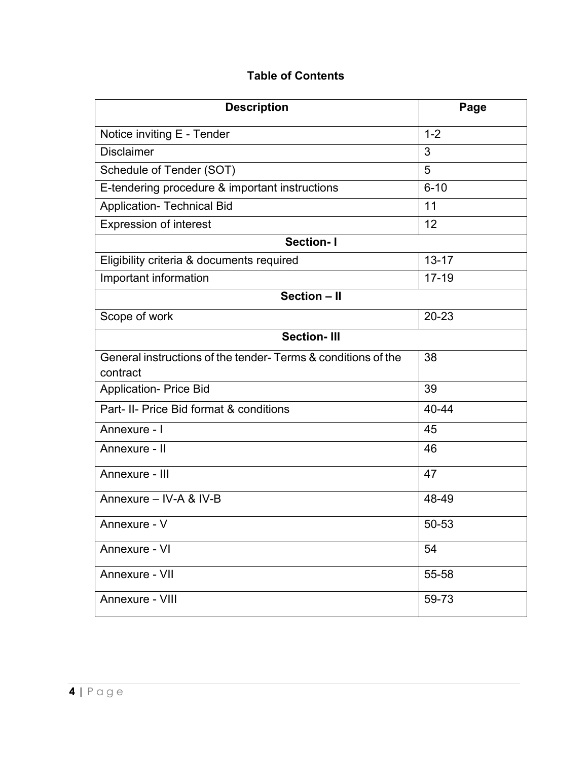## **Table of Contents**

| <b>Description</b>                                                       | Page      |
|--------------------------------------------------------------------------|-----------|
| Notice inviting E - Tender                                               | $1 - 2$   |
| <b>Disclaimer</b>                                                        | 3         |
| Schedule of Tender (SOT)                                                 | 5         |
| E-tendering procedure & important instructions                           | $6 - 10$  |
| <b>Application- Technical Bid</b>                                        | 11        |
| <b>Expression of interest</b>                                            | 12        |
| <b>Section-I</b>                                                         |           |
| Eligibility criteria & documents required                                | $13 - 17$ |
| Important information                                                    | $17 - 19$ |
| Section - II                                                             |           |
| Scope of work                                                            | $20 - 23$ |
| <b>Section-III</b>                                                       |           |
| General instructions of the tender-Terms & conditions of the<br>contract | 38        |
| <b>Application- Price Bid</b>                                            | 39        |
| Part- II- Price Bid format & conditions                                  | 40-44     |
| Annexure - I                                                             | 45        |
| Annexure - II                                                            | 46        |
| Annexure - III                                                           | 47        |
| Annexure - IV-A & IV-B                                                   | 48-49     |
| Annexure - V                                                             | 50-53     |
| Annexure - VI                                                            | 54        |
| Annexure - VII                                                           | 55-58     |
| Annexure - VIII                                                          | 59-73     |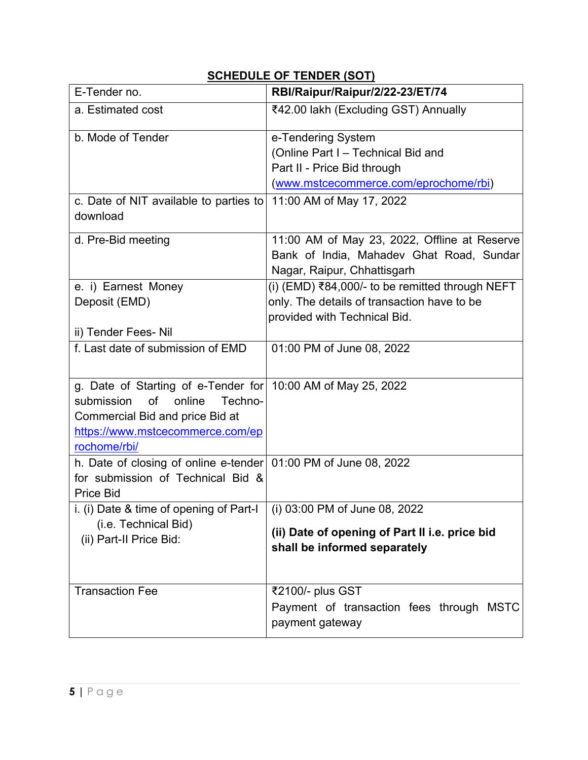| E-Tender no.                                                    | RBI/Raipur/Raipur/2/22-23/ET/74                 |  |
|-----------------------------------------------------------------|-------------------------------------------------|--|
| a. Estimated cost                                               | ₹42.00 lakh (Excluding GST) Annually            |  |
| b. Mode of Tender                                               | e-Tendering System                              |  |
|                                                                 | (Online Part I - Technical Bid and              |  |
|                                                                 | Part II - Price Bid through                     |  |
|                                                                 | (www.mstcecommerce.com/eprochome/rbi)           |  |
| c. Date of NIT available to parties to<br>download              | 11:00 AM of May 17, 2022                        |  |
| d. Pre-Bid meeting                                              | 11:00 AM of May 23, 2022, Offline at Reserve    |  |
|                                                                 | Bank of India, Mahadev Ghat Road, Sundar        |  |
|                                                                 | Nagar, Raipur, Chhattisgarh                     |  |
| e. i) Earnest Money                                             | (i) (EMD) ₹84,000/- to be remitted through NEFT |  |
| Deposit (EMD)                                                   | only. The details of transaction have to be     |  |
|                                                                 | provided with Technical Bid.                    |  |
| ii) Tender Fees- Nil<br>f. Last date of submission of EMD       |                                                 |  |
|                                                                 | 01:00 PM of June 08, 2022                       |  |
| g. Date of Starting of e-Tender for $10:00$ AM of May 25, 2022  |                                                 |  |
| submission<br>of<br>online<br>Techno-                           |                                                 |  |
| Commercial Bid and price Bid at                                 |                                                 |  |
| https://www.mstcecommerce.com/ep<br>rochome/rbi/                |                                                 |  |
| h. Date of closing of online e-tender 01:00 PM of June 08, 2022 |                                                 |  |
| for submission of Technical Bid &                               |                                                 |  |
| <b>Price Bid</b>                                                |                                                 |  |
| i. (i) Date & time of opening of Part-I                         | (i) 03:00 PM of June 08, 2022                   |  |
| (i.e. Technical Bid)                                            |                                                 |  |
| (ii) Part-II Price Bid:                                         | (ii) Date of opening of Part II i.e. price bid  |  |
|                                                                 | shall be informed separately                    |  |
|                                                                 |                                                 |  |
| <b>Transaction Fee</b>                                          | ₹2100/- plus GST                                |  |
|                                                                 | Payment of transaction fees through MSTC        |  |
|                                                                 | payment gateway                                 |  |

# **SCHEDULE OF TENDER (SOT)**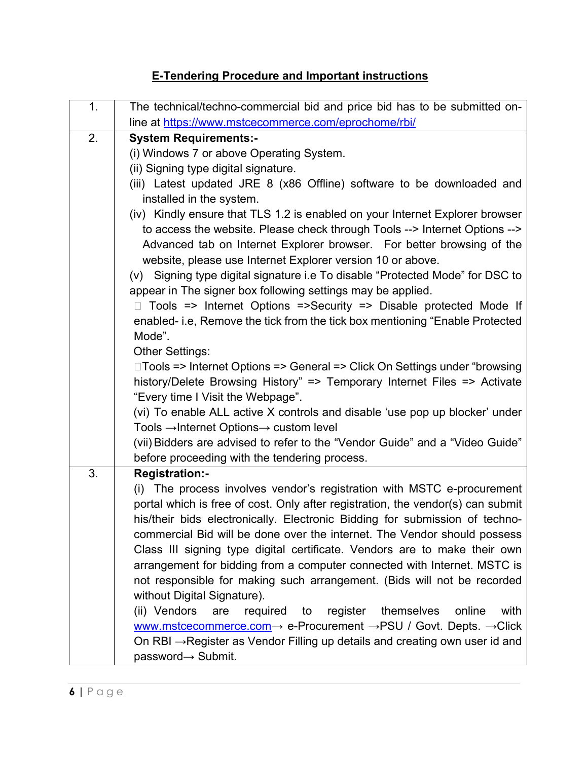# **E-Tendering Procedure and Important instructions**

| 1. | The technical/techno-commercial bid and price bid has to be submitted on-                                                                                                                                                                                                                                                                                                                                                                                                                                                                                                                                                                                                                                                                                                                                                                                                                                                                                                                                                                                                                                                                                                                                                                                                                              |  |
|----|--------------------------------------------------------------------------------------------------------------------------------------------------------------------------------------------------------------------------------------------------------------------------------------------------------------------------------------------------------------------------------------------------------------------------------------------------------------------------------------------------------------------------------------------------------------------------------------------------------------------------------------------------------------------------------------------------------------------------------------------------------------------------------------------------------------------------------------------------------------------------------------------------------------------------------------------------------------------------------------------------------------------------------------------------------------------------------------------------------------------------------------------------------------------------------------------------------------------------------------------------------------------------------------------------------|--|
|    | line at https://www.mstcecommerce.com/eprochome/rbi/                                                                                                                                                                                                                                                                                                                                                                                                                                                                                                                                                                                                                                                                                                                                                                                                                                                                                                                                                                                                                                                                                                                                                                                                                                                   |  |
| 2. | <b>System Requirements:-</b><br>(i) Windows 7 or above Operating System.<br>(ii) Signing type digital signature.<br>(iii) Latest updated JRE 8 (x86 Offline) software to be downloaded and<br>installed in the system.<br>(iv) Kindly ensure that TLS 1.2 is enabled on your Internet Explorer browser<br>to access the website. Please check through Tools --> Internet Options --><br>Advanced tab on Internet Explorer browser. For better browsing of the<br>website, please use Internet Explorer version 10 or above.<br>(v) Signing type digital signature i.e To disable "Protected Mode" for DSC to<br>appear in The signer box following settings may be applied.<br>Tools => Internet Options =>Security => Disable protected Mode If<br>enabled- i.e, Remove the tick from the tick box mentioning "Enable Protected<br>Mode".<br><b>Other Settings:</b><br>□Tools => Internet Options => General => Click On Settings under "browsing"<br>history/Delete Browsing History" => Temporary Internet Files => Activate<br>"Every time I Visit the Webpage".<br>(vi) To enable ALL active X controls and disable 'use pop up blocker' under<br>Tools $\rightarrow$ Internet Options $\rightarrow$ custom level<br>(vii) Bidders are advised to refer to the "Vendor Guide" and a "Video Guide" |  |
|    | before proceeding with the tendering process.                                                                                                                                                                                                                                                                                                                                                                                                                                                                                                                                                                                                                                                                                                                                                                                                                                                                                                                                                                                                                                                                                                                                                                                                                                                          |  |
| 3. | <b>Registration:-</b><br>(i) The process involves vendor's registration with MSTC e-procurement<br>portal which is free of cost. Only after registration, the vendor(s) can submit<br>his/their bids electronically. Electronic Bidding for submission of techno-<br>commercial Bid will be done over the internet. The Vendor should possess<br>Class III signing type digital certificate. Vendors are to make their own<br>arrangement for bidding from a computer connected with Internet. MSTC is<br>not responsible for making such arrangement. (Bids will not be recorded<br>without Digital Signature).<br>(ii) Vendors<br>register<br>themselves<br>online<br>with<br>are<br>required<br>to<br>www.mstcecommerce.com $\rightarrow$ e-Procurement $\rightarrow$ PSU / Govt. Depts. $\rightarrow$ Click<br>On RBI → Register as Vendor Filling up details and creating own user id and<br>password→ Submit.                                                                                                                                                                                                                                                                                                                                                                                    |  |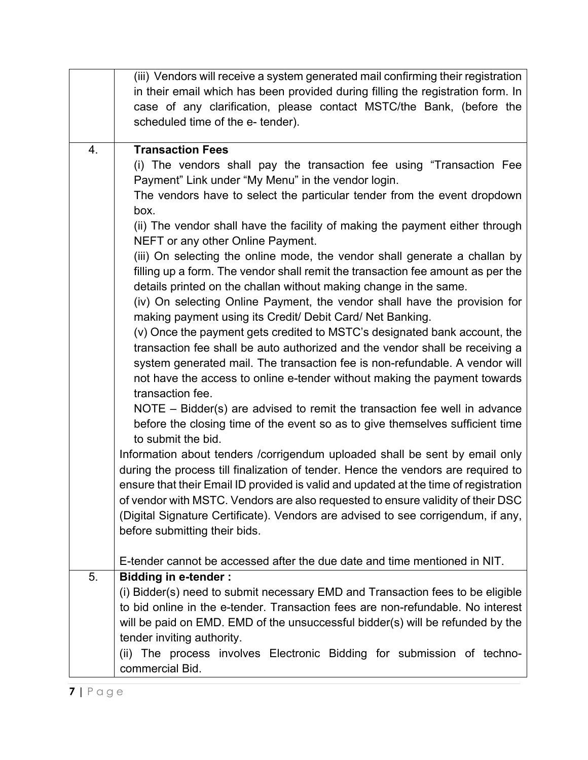|    | (iii) Vendors will receive a system generated mail confirming their registration<br>in their email which has been provided during filling the registration form. In<br>case of any clarification, please contact MSTC/the Bank, (before the<br>scheduled time of the e- tender).                                                                                                                                                                                                                                                                                                                                                                                                                                                                                                                                                                                                                                                                                                                                                                                                                                                                                                                                                                                                                                                                                                                                                                                                                                                                                                                                                                                                                                                                                                                                                    |
|----|-------------------------------------------------------------------------------------------------------------------------------------------------------------------------------------------------------------------------------------------------------------------------------------------------------------------------------------------------------------------------------------------------------------------------------------------------------------------------------------------------------------------------------------------------------------------------------------------------------------------------------------------------------------------------------------------------------------------------------------------------------------------------------------------------------------------------------------------------------------------------------------------------------------------------------------------------------------------------------------------------------------------------------------------------------------------------------------------------------------------------------------------------------------------------------------------------------------------------------------------------------------------------------------------------------------------------------------------------------------------------------------------------------------------------------------------------------------------------------------------------------------------------------------------------------------------------------------------------------------------------------------------------------------------------------------------------------------------------------------------------------------------------------------------------------------------------------------|
| 4. | <b>Transaction Fees</b><br>(i) The vendors shall pay the transaction fee using "Transaction Fee<br>Payment" Link under "My Menu" in the vendor login.<br>The vendors have to select the particular tender from the event dropdown<br>box.<br>(ii) The vendor shall have the facility of making the payment either through<br>NEFT or any other Online Payment.<br>(iii) On selecting the online mode, the vendor shall generate a challan by<br>filling up a form. The vendor shall remit the transaction fee amount as per the<br>details printed on the challan without making change in the same.<br>(iv) On selecting Online Payment, the vendor shall have the provision for<br>making payment using its Credit/ Debit Card/ Net Banking.<br>(v) Once the payment gets credited to MSTC's designated bank account, the<br>transaction fee shall be auto authorized and the vendor shall be receiving a<br>system generated mail. The transaction fee is non-refundable. A vendor will<br>not have the access to online e-tender without making the payment towards<br>transaction fee.<br>NOTE $-$ Bidder(s) are advised to remit the transaction fee well in advance<br>before the closing time of the event so as to give themselves sufficient time<br>to submit the bid.<br>Information about tenders / corrigendum uploaded shall be sent by email only<br>during the process till finalization of tender. Hence the vendors are required to<br>ensure that their Email ID provided is valid and updated at the time of registration<br>of vendor with MSTC. Vendors are also requested to ensure validity of their DSC<br>(Digital Signature Certificate). Vendors are advised to see corrigendum, if any,<br>before submitting their bids.<br>E-tender cannot be accessed after the due date and time mentioned in NIT. |
| 5. | <b>Bidding in e-tender:</b>                                                                                                                                                                                                                                                                                                                                                                                                                                                                                                                                                                                                                                                                                                                                                                                                                                                                                                                                                                                                                                                                                                                                                                                                                                                                                                                                                                                                                                                                                                                                                                                                                                                                                                                                                                                                         |
|    | (i) Bidder(s) need to submit necessary EMD and Transaction fees to be eligible<br>to bid online in the e-tender. Transaction fees are non-refundable. No interest<br>will be paid on EMD. EMD of the unsuccessful bidder(s) will be refunded by the<br>tender inviting authority.<br>(ii) The process involves Electronic Bidding for submission of techno-<br>commercial Bid.                                                                                                                                                                                                                                                                                                                                                                                                                                                                                                                                                                                                                                                                                                                                                                                                                                                                                                                                                                                                                                                                                                                                                                                                                                                                                                                                                                                                                                                      |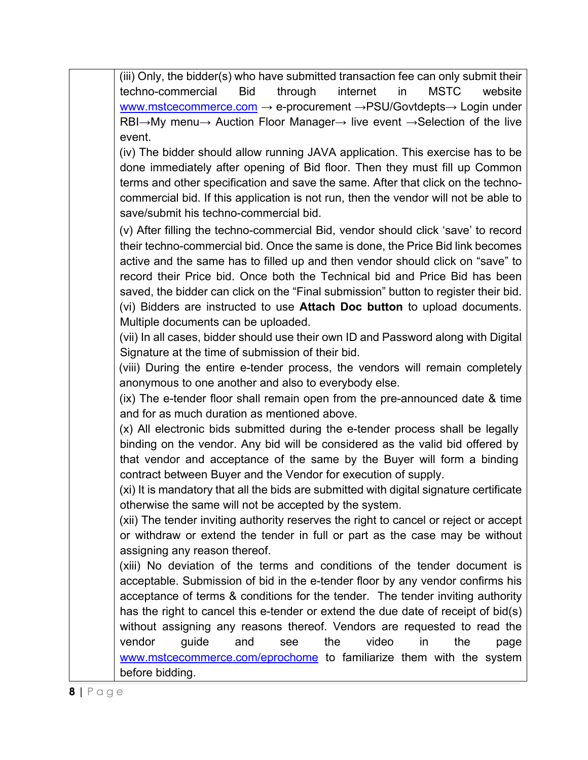| (iii) Only, the bidder(s) who have submitted transaction fee can only submit their                                         |
|----------------------------------------------------------------------------------------------------------------------------|
| through<br>internet<br><b>Bid</b><br><b>MSTC</b><br>website<br>in                                                          |
| techno-commercial                                                                                                          |
| www.mstcecommerce.com $\rightarrow$ e-procurement $\rightarrow$ PSU/Govtdepts $\rightarrow$ Login under                    |
| $RBI \rightarrow My$ menu $\rightarrow$ Auction Floor Manager $\rightarrow$ live event $\rightarrow$ Selection of the live |
| event.                                                                                                                     |
| (iv) The bidder should allow running JAVA application. This exercise has to be                                             |
| done immediately after opening of Bid floor. Then they must fill up Common                                                 |
| terms and other specification and save the same. After that click on the techno-                                           |
| commercial bid. If this application is not run, then the vendor will not be able to                                        |
| save/submit his techno-commercial bid.                                                                                     |
| (v) After filling the techno-commercial Bid, vendor should click 'save' to record                                          |
| their techno-commercial bid. Once the same is done, the Price Bid link becomes                                             |
| active and the same has to filled up and then vendor should click on "save" to                                             |
| record their Price bid. Once both the Technical bid and Price Bid has been                                                 |
| saved, the bidder can click on the "Final submission" button to register their bid.                                        |
| (vi) Bidders are instructed to use Attach Doc button to upload documents.                                                  |
| Multiple documents can be uploaded.                                                                                        |
| (vii) In all cases, bidder should use their own ID and Password along with Digital                                         |
| Signature at the time of submission of their bid.                                                                          |
| (viii) During the entire e-tender process, the vendors will remain completely                                              |
| anonymous to one another and also to everybody else.                                                                       |
| (ix) The e-tender floor shall remain open from the pre-announced date & time                                               |
| and for as much duration as mentioned above.                                                                               |
| (x) All electronic bids submitted during the e-tender process shall be legally                                             |
| binding on the vendor. Any bid will be considered as the valid bid offered by                                              |
|                                                                                                                            |
| that vendor and acceptance of the same by the Buyer will form a binding                                                    |
| contract between Buyer and the Vendor for execution of supply.                                                             |
| (xi) It is mandatory that all the bids are submitted with digital signature certificate                                    |
| otherwise the same will not be accepted by the system.                                                                     |
| (xii) The tender inviting authority reserves the right to cancel or reject or accept                                       |
| or withdraw or extend the tender in full or part as the case may be without                                                |
| assigning any reason thereof.                                                                                              |
| (xiii) No deviation of the terms and conditions of the tender document is                                                  |
| acceptable. Submission of bid in the e-tender floor by any vendor confirms his                                             |
| acceptance of terms & conditions for the tender. The tender inviting authority                                             |
| has the right to cancel this e-tender or extend the due date of receipt of bid(s)                                          |
| without assigning any reasons thereof. Vendors are requested to read the                                                   |
| video<br>vendor<br>the<br>the<br>guide<br>and<br>in<br>see<br>page                                                         |
| www.mstcecommerce.com/eprochome to familiarize them with the system                                                        |
| before bidding.                                                                                                            |
|                                                                                                                            |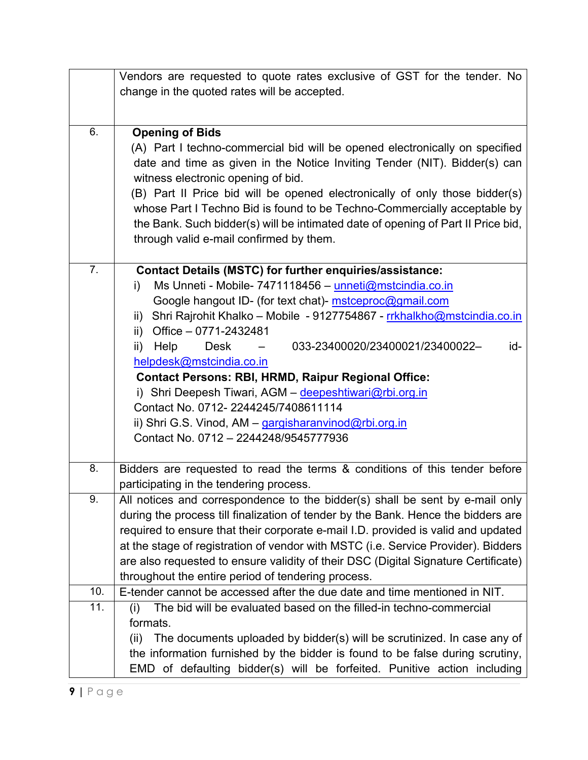|     | Vendors are requested to quote rates exclusive of GST for the tender. No                                                                                         |  |  |
|-----|------------------------------------------------------------------------------------------------------------------------------------------------------------------|--|--|
|     | change in the quoted rates will be accepted.                                                                                                                     |  |  |
|     |                                                                                                                                                                  |  |  |
| 6.  | <b>Opening of Bids</b>                                                                                                                                           |  |  |
|     | (A) Part I techno-commercial bid will be opened electronically on specified                                                                                      |  |  |
|     | date and time as given in the Notice Inviting Tender (NIT). Bidder(s) can                                                                                        |  |  |
|     | witness electronic opening of bid.                                                                                                                               |  |  |
|     | (B) Part II Price bid will be opened electronically of only those bidder(s)<br>whose Part I Techno Bid is found to be Techno-Commercially acceptable by          |  |  |
|     | the Bank. Such bidder(s) will be intimated date of opening of Part II Price bid,                                                                                 |  |  |
|     | through valid e-mail confirmed by them.                                                                                                                          |  |  |
|     |                                                                                                                                                                  |  |  |
| 7.  | <b>Contact Details (MSTC) for further enquiries/assistance:</b>                                                                                                  |  |  |
|     | Ms Unneti - Mobile- 7471118456 - unneti@mstcindia.co.in<br>i)                                                                                                    |  |  |
|     | Google hangout ID- (for text chat)- mstceproc@gmail.com                                                                                                          |  |  |
|     | Shri Rajrohit Khalko - Mobile - 9127754867 - rrkhalkho@mstcindia.co.in<br>ii)                                                                                    |  |  |
|     | ii) Office $-0771-2432481$<br>Help<br>033-23400020/23400021/23400022-<br>id-<br><b>Desk</b>                                                                      |  |  |
|     | ii)                                                                                                                                                              |  |  |
|     | helpdesk@mstcindia.co.in<br><b>Contact Persons: RBI, HRMD, Raipur Regional Office:</b>                                                                           |  |  |
|     | i) Shri Deepesh Tiwari, AGM - deepeshtiwari@rbi.org.in                                                                                                           |  |  |
|     | Contact No. 0712-2244245/7408611114                                                                                                                              |  |  |
|     | ii) Shri G.S. Vinod, AM – gargisharanvinod@rbi.org.in                                                                                                            |  |  |
|     | Contact No. 0712 - 2244248/9545777936                                                                                                                            |  |  |
|     |                                                                                                                                                                  |  |  |
| 8.  | Bidders are requested to read the terms & conditions of this tender before                                                                                       |  |  |
| 9.  | participating in the tendering process.<br>All notices and correspondence to the bidder(s) shall be sent by e-mail only                                          |  |  |
|     | during the process till finalization of tender by the Bank. Hence the bidders are                                                                                |  |  |
|     | required to ensure that their corporate e-mail I.D. provided is valid and updated                                                                                |  |  |
|     | at the stage of registration of vendor with MSTC (i.e. Service Provider). Bidders                                                                                |  |  |
|     | are also requested to ensure validity of their DSC (Digital Signature Certificate)                                                                               |  |  |
|     | throughout the entire period of tendering process.                                                                                                               |  |  |
| 10. | E-tender cannot be accessed after the due date and time mentioned in NIT.                                                                                        |  |  |
| 11. | The bid will be evaluated based on the filled-in techno-commercial<br>(i)                                                                                        |  |  |
|     | formats.                                                                                                                                                         |  |  |
|     | The documents uploaded by bidder(s) will be scrutinized. In case any of<br>(ii)<br>the information furnished by the bidder is found to be false during scrutiny, |  |  |
|     | EMD of defaulting bidder(s) will be forfeited. Punitive action including                                                                                         |  |  |
|     |                                                                                                                                                                  |  |  |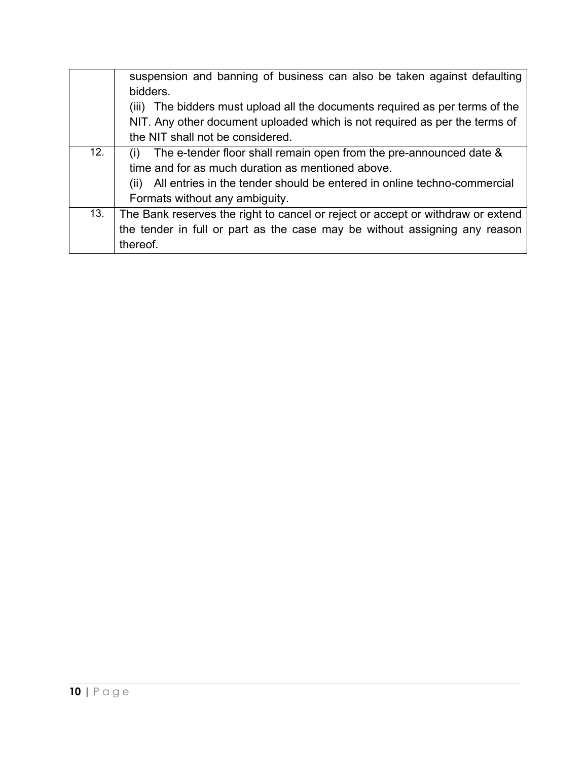|     | suspension and banning of business can also be taken against defaulting         |  |  |
|-----|---------------------------------------------------------------------------------|--|--|
|     | bidders.                                                                        |  |  |
|     | The bidders must upload all the documents required as per terms of the<br>(III) |  |  |
|     | NIT. Any other document uploaded which is not required as per the terms of      |  |  |
|     | the NIT shall not be considered.                                                |  |  |
| 12. | The e-tender floor shall remain open from the pre-announced date &              |  |  |
|     | time and for as much duration as mentioned above.                               |  |  |
|     | All entries in the tender should be entered in online techno-commercial<br>(II) |  |  |
|     | Formats without any ambiguity.                                                  |  |  |
| 13. | The Bank reserves the right to cancel or reject or accept or withdraw or extend |  |  |
|     | the tender in full or part as the case may be without assigning any reason      |  |  |
|     | thereof.                                                                        |  |  |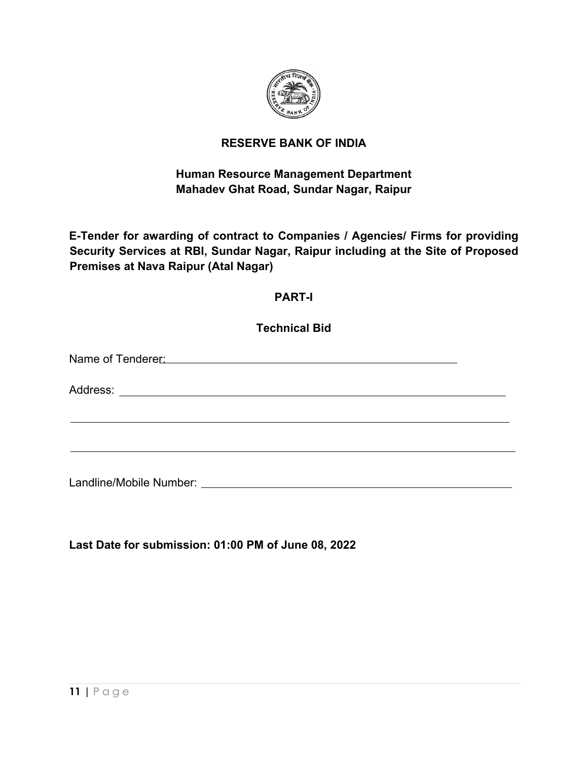

### **RESERVE BANK OF INDIA**

# **Human Resource Management Department Mahadev Ghat Road, Sundar Nagar, Raipur**

**E-Tender for awarding of contract to Companies / Agencies/ Firms for providing Security Services at RBI, Sundar Nagar, Raipur including at the Site of Proposed Premises at Nava Raipur (Atal Nagar)**

### **PART-I**

**Technical Bid** Name of Tenderer: We are a series of the series of the series of the series of the series of the series of the series of the series of the series of the series of the series of the series of the series of the series of the Address: **Address: Address: Address: Address: Address: Address: Address: Address: Address: Address: Address: Address: Address: Address: Address: Address: Address: Address: Address: Add** Landline/Mobile Number:

**Last Date for submission: 01:00 PM of June 08, 2022**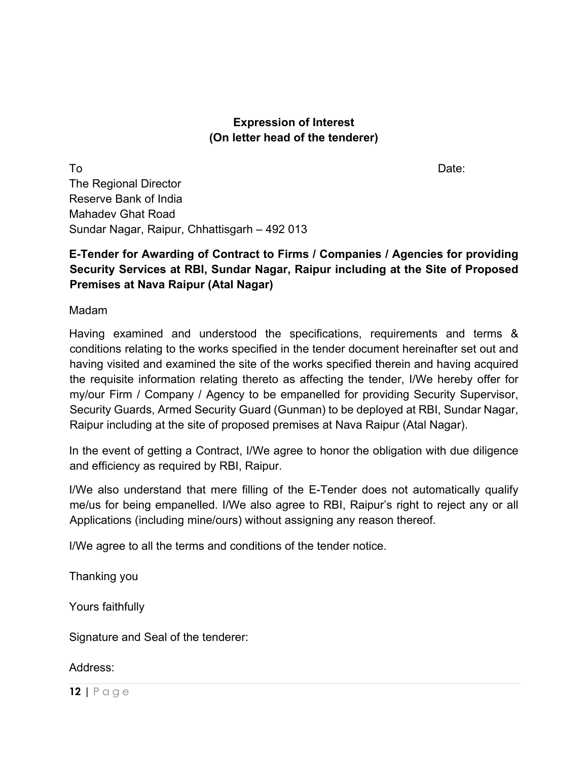#### **Expression of Interest (On letter head of the tenderer)**

To and the contract of the contract of the contract of the contract of the Date: The Regional Director Reserve Bank of India Mahadev Ghat Road Sundar Nagar, Raipur, Chhattisgarh – 492 013

## **E-Tender for Awarding of Contract to Firms / Companies / Agencies for providing Security Services at RBI, Sundar Nagar, Raipur including at the Site of Proposed Premises at Nava Raipur (Atal Nagar)**

Madam

Having examined and understood the specifications, requirements and terms & conditions relating to the works specified in the tender document hereinafter set out and having visited and examined the site of the works specified therein and having acquired the requisite information relating thereto as affecting the tender, I/We hereby offer for my/our Firm / Company / Agency to be empanelled for providing Security Supervisor, Security Guards, Armed Security Guard (Gunman) to be deployed at RBI, Sundar Nagar, Raipur including at the site of proposed premises at Nava Raipur (Atal Nagar).

In the event of getting a Contract, I/We agree to honor the obligation with due diligence and efficiency as required by RBI, Raipur.

I/We also understand that mere filling of the E-Tender does not automatically qualify me/us for being empanelled. I/We also agree to RBI, Raipur's right to reject any or all Applications (including mine/ours) without assigning any reason thereof.

I/We agree to all the terms and conditions of the tender notice.

Thanking you

Yours faithfully

Signature and Seal of the tenderer:

#### Address: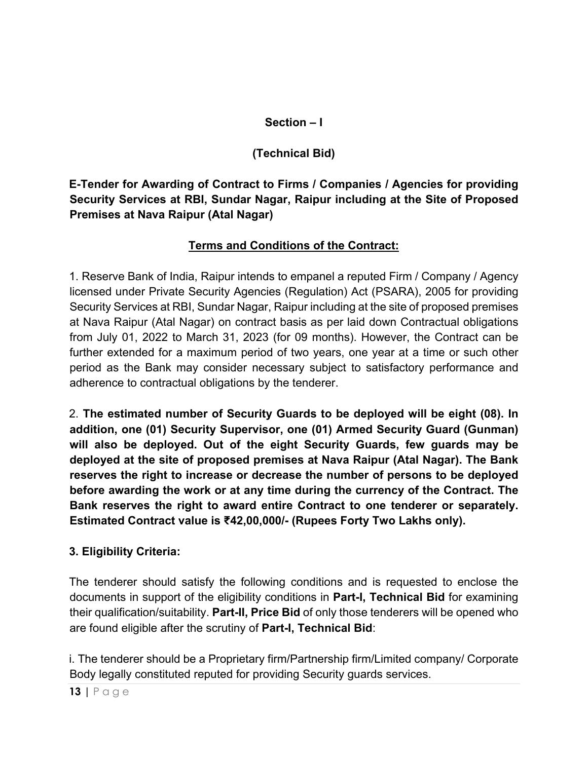### **Section – I**

# **(Technical Bid)**

**E-Tender for Awarding of Contract to Firms / Companies / Agencies for providing Security Services at RBI, Sundar Nagar, Raipur including at the Site of Proposed Premises at Nava Raipur (Atal Nagar)** 

## **Terms and Conditions of the Contract:**

1. Reserve Bank of India, Raipur intends to empanel a reputed Firm / Company / Agency licensed under Private Security Agencies (Regulation) Act (PSARA), 2005 for providing Security Services at RBI, Sundar Nagar, Raipur including at the site of proposed premises at Nava Raipur (Atal Nagar) on contract basis as per laid down Contractual obligations from July 01, 2022 to March 31, 2023 (for 09 months). However, the Contract can be further extended for a maximum period of two years, one year at a time or such other period as the Bank may consider necessary subject to satisfactory performance and adherence to contractual obligations by the tenderer.

2. **The estimated number of Security Guards to be deployed will be eight (08). In addition, one (01) Security Supervisor, one (01) Armed Security Guard (Gunman) will also be deployed. Out of the eight Security Guards, few guards may be deployed at the site of proposed premises at Nava Raipur (Atal Nagar). The Bank reserves the right to increase or decrease the number of persons to be deployed before awarding the work or at any time during the currency of the Contract. The Bank reserves the right to award entire Contract to one tenderer or separately. Estimated Contract value is ₹42,00,000/- (Rupees Forty Two Lakhs only).**

### **3. Eligibility Criteria:**

The tenderer should satisfy the following conditions and is requested to enclose the documents in support of the eligibility conditions in **Part-I, Technical Bid** for examining their qualification/suitability. **Part-II, Price Bid** of only those tenderers will be opened who are found eligible after the scrutiny of **Part-I, Technical Bid**:

i. The tenderer should be a Proprietary firm/Partnership firm/Limited company/ Corporate Body legally constituted reputed for providing Security guards services.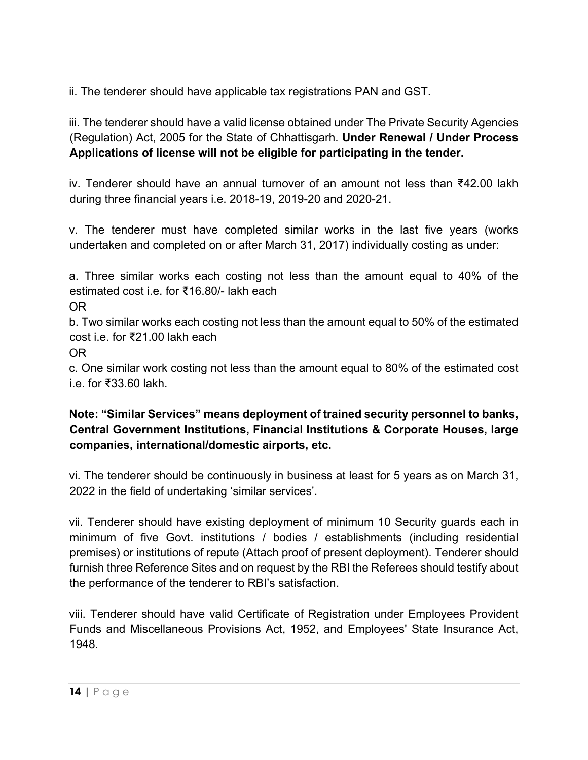ii. The tenderer should have applicable tax registrations PAN and GST.

iii. The tenderer should have a valid license obtained under The Private Security Agencies (Regulation) Act, 2005 for the State of Chhattisgarh. **Under Renewal / Under Process Applications of license will not be eligible for participating in the tender.**

iv. Tenderer should have an annual turnover of an amount not less than ₹42.00 lakh during three financial years i.e. 2018-19, 2019-20 and 2020-21.

v. The tenderer must have completed similar works in the last five years (works undertaken and completed on or after March 31, 2017) individually costing as under:

a. Three similar works each costing not less than the amount equal to 40% of the estimated cost i.e. for ₹16.80/- lakh each

OR

b. Two similar works each costing not less than the amount equal to 50% of the estimated cost i.e. for ₹21.00 lakh each

OR

c. One similar work costing not less than the amount equal to 80% of the estimated cost i.e. for ₹33.60 lakh.

**Note: "Similar Services" means deployment of trained security personnel to banks, Central Government Institutions, Financial Institutions & Corporate Houses, large companies, international/domestic airports, etc.**

vi. The tenderer should be continuously in business at least for 5 years as on March 31, 2022 in the field of undertaking 'similar services'.

vii. Tenderer should have existing deployment of minimum 10 Security guards each in minimum of five Govt. institutions / bodies / establishments (including residential premises) or institutions of repute (Attach proof of present deployment). Tenderer should furnish three Reference Sites and on request by the RBI the Referees should testify about the performance of the tenderer to RBI's satisfaction.

viii. Tenderer should have valid Certificate of Registration under Employees Provident Funds and Miscellaneous Provisions Act, 1952, and Employees' State Insurance Act, 1948.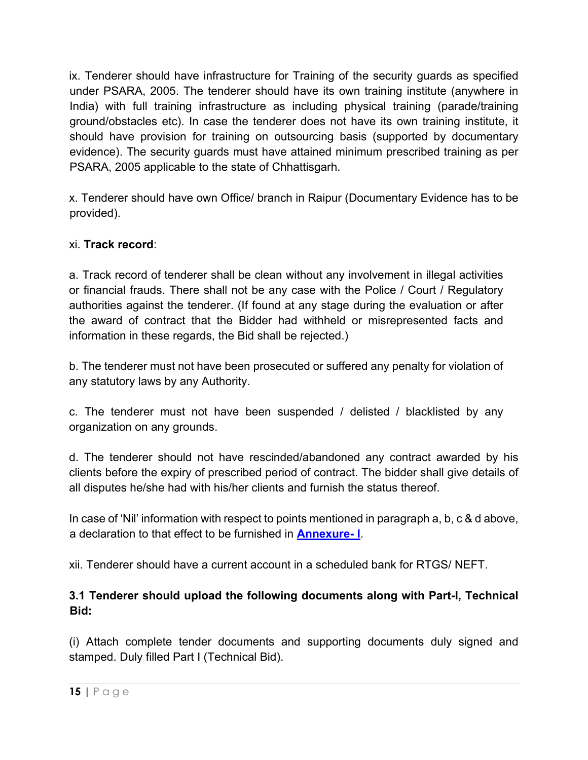ix. Tenderer should have infrastructure for Training of the security guards as specified under PSARA, 2005. The tenderer should have its own training institute (anywhere in India) with full training infrastructure as including physical training (parade/training ground/obstacles etc). In case the tenderer does not have its own training institute, it should have provision for training on outsourcing basis (supported by documentary evidence). The security guards must have attained minimum prescribed training as per PSARA, 2005 applicable to the state of Chhattisgarh.

x. Tenderer should have own Office/ branch in Raipur (Documentary Evidence has to be provided).

### xi. **Track record**:

a. Track record of tenderer shall be clean without any involvement in illegal activities or financial frauds. There shall not be any case with the Police / Court / Regulatory authorities against the tenderer. (If found at any stage during the evaluation or after the award of contract that the Bidder had withheld or misrepresented facts and information in these regards, the Bid shall be rejected.)

b. The tenderer must not have been prosecuted or suffered any penalty for violation of any statutory laws by any Authority.

c. The tenderer must not have been suspended / delisted / blacklisted by any organization on any grounds.

d. The tenderer should not have rescinded/abandoned any contract awarded by his clients before the expiry of prescribed period of contract. The bidder shall give details of all disputes he/she had with his/her clients and furnish the status thereof.

In case of 'Nil' information with respect to points mentioned in paragraph a, b, c & d above, a declaration to that effect to be furnished in **[Annexure-](#page-46-0) I**.

xii. Tenderer should have a current account in a scheduled bank for RTGS/ NEFT.

### **3.1 Tenderer should upload the following documents along with Part-I, Technical Bid:**

(i) Attach complete tender documents and supporting documents duly signed and stamped. Duly filled Part I (Technical Bid).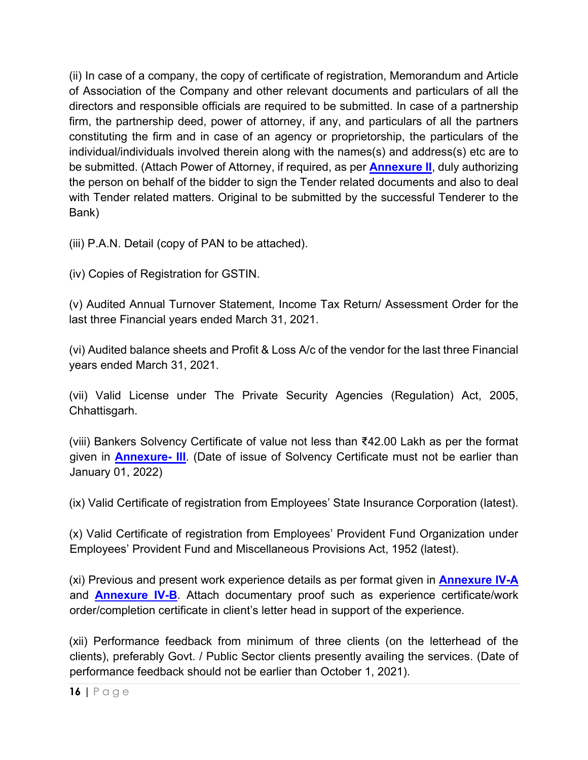(ii) In case of a company, the copy of certificate of registration, Memorandum and Article of Association of the Company and other relevant documents and particulars of all the directors and responsible officials are required to be submitted. In case of a partnership firm, the partnership deed, power of attorney, if any, and particulars of all the partners constituting the firm and in case of an agency or proprietorship, the particulars of the individual/individuals involved therein along with the names(s) and address(s) etc are to be submitted. (Attach Power of Attorney, if required, as per **[Annexure II](#page-47-0)**, duly authorizing the person on behalf of the bidder to sign the Tender related documents and also to deal with Tender related matters. Original to be submitted by the successful Tenderer to the Bank)

(iii) P.A.N. Detail (copy of PAN to be attached).

(iv) Copies of Registration for GSTIN.

(v) Audited Annual Turnover Statement, Income Tax Return/ Assessment Order for the last three Financial years ended March 31, 2021.

(vi) Audited balance sheets and Profit & Loss A/c of the vendor for the last three Financial years ended March 31, 2021.

(vii) Valid License under The Private Security Agencies (Regulation) Act, 2005, Chhattisgarh.

(viii) Bankers Solvency Certificate of value not less than ₹42.00 Lakh as per the format given in **[Annexure-](#page-48-0) III**. (Date of issue of Solvency Certificate must not be earlier than January 01, 2022)

(ix) Valid Certificate of registration from Employees' State Insurance Corporation (latest).

(x) Valid Certificate of registration from Employees' Provident Fund Organization under Employees' Provident Fund and Miscellaneous Provisions Act, 1952 (latest).

(xi) Previous and present work experience details as per format given in **[Annexure](#page-49-0) IV-A** and **[Annexure IV-B](#page-50-0)**. Attach documentary proof such as experience certificate/work order/completion certificate in client's letter head in support of the experience.

(xii) Performance feedback from minimum of three clients (on the letterhead of the clients), preferably Govt. / Public Sector clients presently availing the services. (Date of performance feedback should not be earlier than October 1, 2021).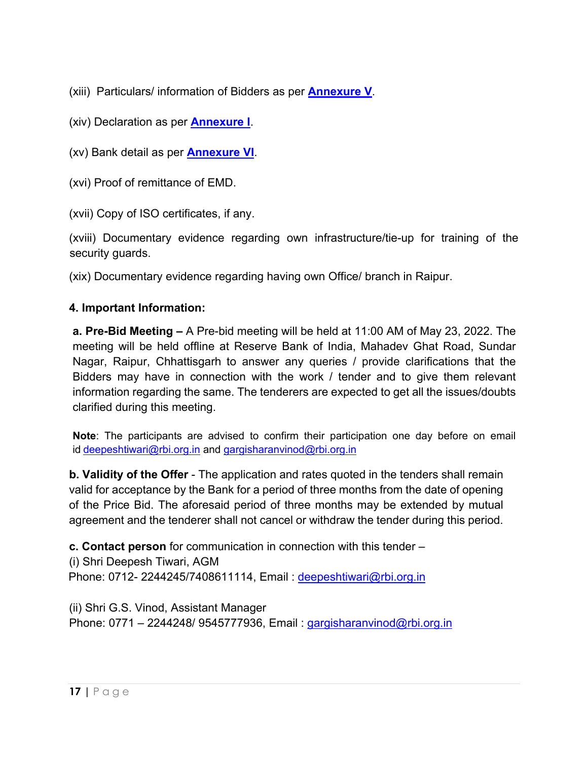(xiii) Particulars/ information of Bidders as per **[Annexure V](#page-51-0)**.

(xiv) Declaration as per **[Annexure I](#page-46-0)**.

(xv) Bank detail as per **[Annexure](#page-55-0) VI**.

(xvi) Proof of remittance of EMD.

(xvii) Copy of ISO certificates, if any.

(xviii) Documentary evidence regarding own infrastructure/tie-up for training of the security guards.

(xix) Documentary evidence regarding having own Office/ branch in Raipur.

#### **4. Important Information:**

**a. Pre-Bid Meeting –** A Pre-bid meeting will be held at 11:00 AM of May 23, 2022. The meeting will be held offline at Reserve Bank of India, Mahadev Ghat Road, Sundar Nagar, Raipur, Chhattisgarh to answer any queries / provide clarifications that the Bidders may have in connection with the work / tender and to give them relevant information regarding the same. The tenderers are expected to get all the issues/doubts clarified during this meeting.

**Note**: The participants are advised to confirm their participation one day before on email id [deepeshtiwari@rbi.org.in](mailto:deepeshtiwari@rbi.org.in) and [gargisharanvinod@rbi.org.in](mailto:gargisharanvinod@rbi.org.in)

**b. Validity of the Offer** - The application and rates quoted in the tenders shall remain valid for acceptance by the Bank for a period of three months from the date of opening of the Price Bid. The aforesaid period of three months may be extended by mutual agreement and the tenderer shall not cancel or withdraw the tender during this period.

**c. Contact person** for communication in connection with this tender –

(i) Shri Deepesh Tiwari, AGM Phone: 0712- 2244245/7408611114, Email: deepeshtiwari@rbi.org.in

(ii) Shri G.S. Vinod, Assistant Manager Phone: 0771 – 2244248/ 9545777936, Email : gargisharanvinod@rbi.org.in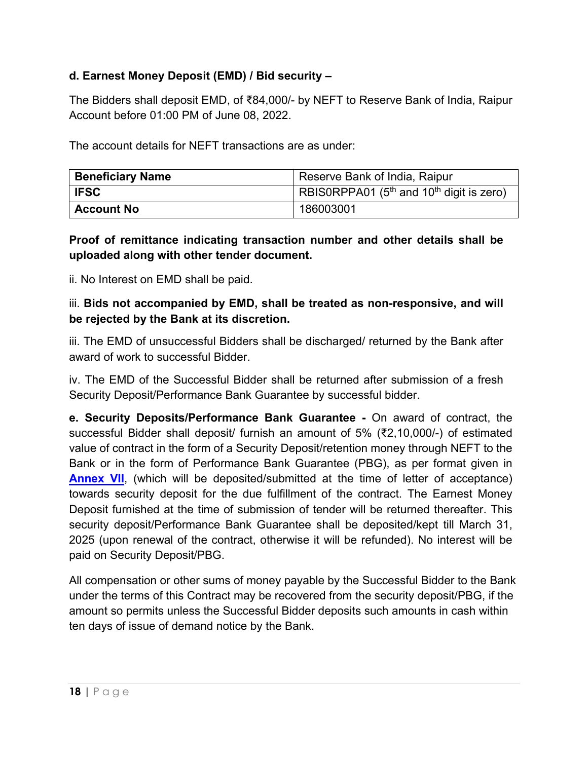### **d. Earnest Money Deposit (EMD) / Bid security –**

The Bidders shall deposit EMD, of ₹84,000/- by NEFT to Reserve Bank of India, Raipur Account before 01:00 PM of June 08, 2022.

The account details for NEFT transactions are as under:

| <b>Beneficiary Name</b> | Reserve Bank of India, Raipur                           |  |
|-------------------------|---------------------------------------------------------|--|
| <b>IFSC</b>             | RBIS0RPPA01 ( $5th$ and 10 <sup>th</sup> digit is zero) |  |
| <b>Account No</b>       | 186003001                                               |  |

#### **Proof of remittance indicating transaction number and other details shall be uploaded along with other tender document.**

ii. No Interest on EMD shall be paid.

iii. **Bids not accompanied by EMD, shall be treated as non-responsive, and will be rejected by the Bank at its discretion.**

iii. The EMD of unsuccessful Bidders shall be discharged/ returned by the Bank after award of work to successful Bidder.

iv. The EMD of the Successful Bidder shall be returned after submission of a fresh Security Deposit/Performance Bank Guarantee by successful bidder.

**e. Security Deposits/Performance Bank Guarantee -** On award of contract, the successful Bidder shall deposit/ furnish an amount of 5% (₹2,10,000/-) of estimated value of contract in the form of a Security Deposit/retention money through NEFT to the Bank or in the form of Performance Bank Guarantee (PBG), as per format given in **[Annex VII](#page-56-0)**, (which will be deposited/submitted at the time of letter of acceptance) towards security deposit for the due fulfillment of the contract. The Earnest Money Deposit furnished at the time of submission of tender will be returned thereafter. This security deposit/Performance Bank Guarantee shall be deposited/kept till March 31, 2025 (upon renewal of the contract, otherwise it will be refunded). No interest will be paid on Security Deposit/PBG.

All compensation or other sums of money payable by the Successful Bidder to the Bank under the terms of this Contract may be recovered from the security deposit/PBG, if the amount so permits unless the Successful Bidder deposits such amounts in cash within ten days of issue of demand notice by the Bank.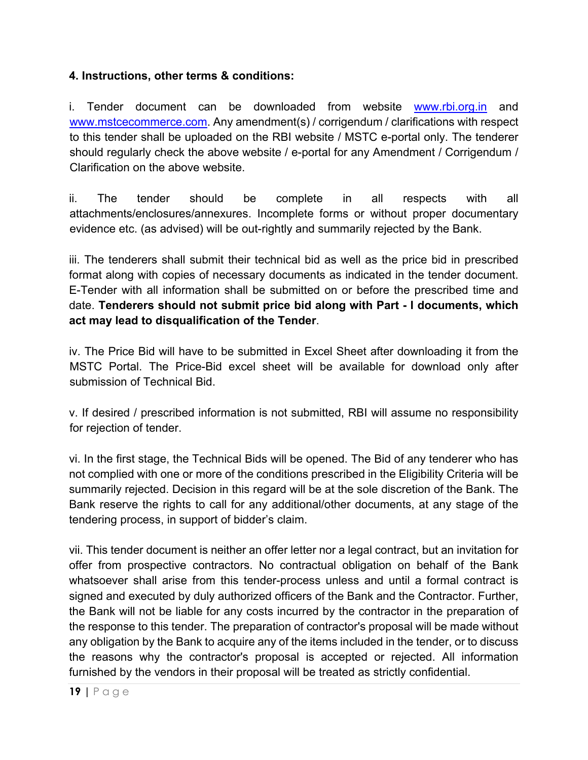#### **4. Instructions, other terms & conditions:**

i. Tender document can be downloaded from website [www.rbi.org.in](https://www.rbi.org.in/) and [www.mstcecommerce.com.](https://www.mstcecommerce.com/) Any amendment(s) / corrigendum / clarifications with respect to this tender shall be uploaded on the RBI website / MSTC e-portal only. The tenderer should regularly check the above website / e-portal for any Amendment / Corrigendum / Clarification on the above website.

ii. The tender should be complete in all respects with all attachments/enclosures/annexures. Incomplete forms or without proper documentary evidence etc. (as advised) will be out-rightly and summarily rejected by the Bank.

iii. The tenderers shall submit their technical bid as well as the price bid in prescribed format along with copies of necessary documents as indicated in the tender document. E-Tender with all information shall be submitted on or before the prescribed time and date. **Tenderers should not submit price bid along with Part - I documents, which act may lead to disqualification of the Tender**.

iv. The Price Bid will have to be submitted in Excel Sheet after downloading it from the MSTC Portal. The Price-Bid excel sheet will be available for download only after submission of Technical Bid.

v. If desired / prescribed information is not submitted, RBI will assume no responsibility for rejection of tender.

vi. In the first stage, the Technical Bids will be opened. The Bid of any tenderer who has not complied with one or more of the conditions prescribed in the Eligibility Criteria will be summarily rejected. Decision in this regard will be at the sole discretion of the Bank. The Bank reserve the rights to call for any additional/other documents, at any stage of the tendering process, in support of bidder's claim.

vii. This tender document is neither an offer letter nor a legal contract, but an invitation for offer from prospective contractors. No contractual obligation on behalf of the Bank whatsoever shall arise from this tender-process unless and until a formal contract is signed and executed by duly authorized officers of the Bank and the Contractor. Further, the Bank will not be liable for any costs incurred by the contractor in the preparation of the response to this tender. The preparation of contractor's proposal will be made without any obligation by the Bank to acquire any of the items included in the tender, or to discuss the reasons why the contractor's proposal is accepted or rejected. All information furnished by the vendors in their proposal will be treated as strictly confidential.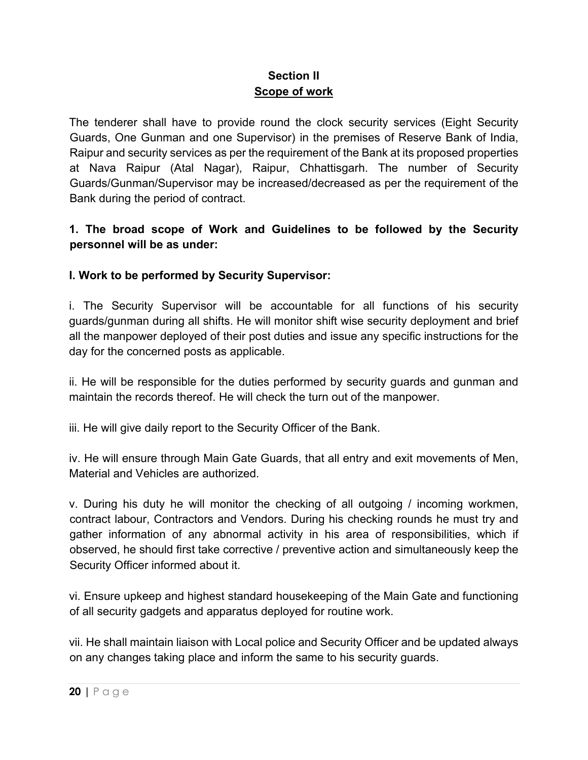#### **Section II Scope of work**

The tenderer shall have to provide round the clock security services (Eight Security Guards, One Gunman and one Supervisor) in the premises of Reserve Bank of India, Raipur and security services as per the requirement of the Bank at its proposed properties at Nava Raipur (Atal Nagar), Raipur, Chhattisgarh. The number of Security Guards/Gunman/Supervisor may be increased/decreased as per the requirement of the Bank during the period of contract.

### **1. The broad scope of Work and Guidelines to be followed by the Security personnel will be as under:**

### **I. Work to be performed by Security Supervisor:**

i. The Security Supervisor will be accountable for all functions of his security guards/gunman during all shifts. He will monitor shift wise security deployment and brief all the manpower deployed of their post duties and issue any specific instructions for the day for the concerned posts as applicable.

ii. He will be responsible for the duties performed by security guards and gunman and maintain the records thereof. He will check the turn out of the manpower.

iii. He will give daily report to the Security Officer of the Bank.

iv. He will ensure through Main Gate Guards, that all entry and exit movements of Men, Material and Vehicles are authorized.

v. During his duty he will monitor the checking of all outgoing / incoming workmen, contract labour, Contractors and Vendors. During his checking rounds he must try and gather information of any abnormal activity in his area of responsibilities, which if observed, he should first take corrective / preventive action and simultaneously keep the Security Officer informed about it.

vi. Ensure upkeep and highest standard housekeeping of the Main Gate and functioning of all security gadgets and apparatus deployed for routine work.

vii. He shall maintain liaison with Local police and Security Officer and be updated always on any changes taking place and inform the same to his security guards.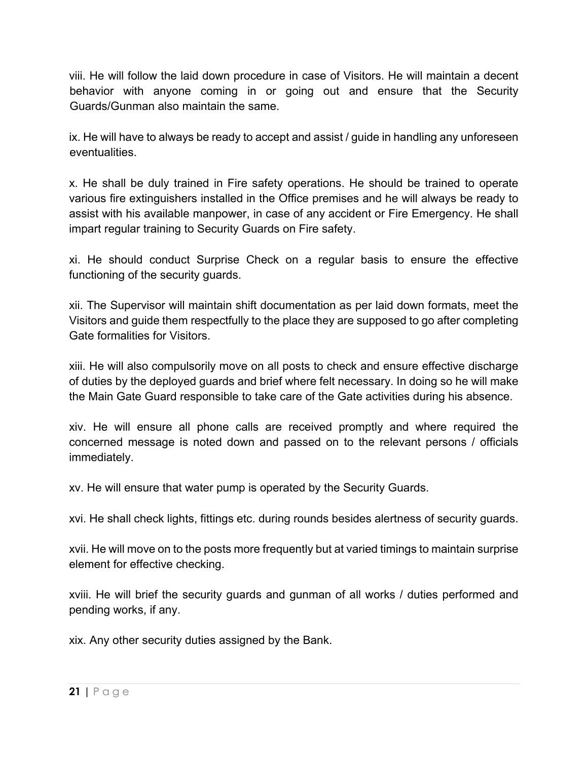viii. He will follow the laid down procedure in case of Visitors. He will maintain a decent behavior with anyone coming in or going out and ensure that the Security Guards/Gunman also maintain the same.

ix. He will have to always be ready to accept and assist / guide in handling any unforeseen eventualities.

x. He shall be duly trained in Fire safety operations. He should be trained to operate various fire extinguishers installed in the Office premises and he will always be ready to assist with his available manpower, in case of any accident or Fire Emergency. He shall impart regular training to Security Guards on Fire safety.

xi. He should conduct Surprise Check on a regular basis to ensure the effective functioning of the security guards.

xii. The Supervisor will maintain shift documentation as per laid down formats, meet the Visitors and guide them respectfully to the place they are supposed to go after completing Gate formalities for Visitors.

xiii. He will also compulsorily move on all posts to check and ensure effective discharge of duties by the deployed guards and brief where felt necessary. In doing so he will make the Main Gate Guard responsible to take care of the Gate activities during his absence.

xiv. He will ensure all phone calls are received promptly and where required the concerned message is noted down and passed on to the relevant persons / officials immediately.

xv. He will ensure that water pump is operated by the Security Guards.

xvi. He shall check lights, fittings etc. during rounds besides alertness of security guards.

xvii. He will move on to the posts more frequently but at varied timings to maintain surprise element for effective checking.

xviii. He will brief the security guards and gunman of all works / duties performed and pending works, if any.

xix. Any other security duties assigned by the Bank.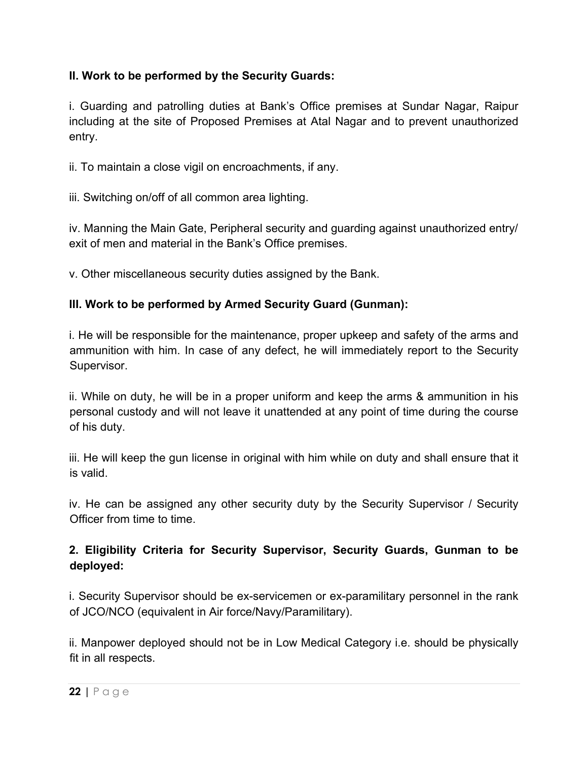#### **II. Work to be performed by the Security Guards:**

i. Guarding and patrolling duties at Bank's Office premises at Sundar Nagar, Raipur including at the site of Proposed Premises at Atal Nagar and to prevent unauthorized entry.

ii. To maintain a close vigil on encroachments, if any.

iii. Switching on/off of all common area lighting.

iv. Manning the Main Gate, Peripheral security and guarding against unauthorized entry/ exit of men and material in the Bank's Office premises.

v. Other miscellaneous security duties assigned by the Bank.

### **III. Work to be performed by Armed Security Guard (Gunman):**

i. He will be responsible for the maintenance, proper upkeep and safety of the arms and ammunition with him. In case of any defect, he will immediately report to the Security Supervisor.

ii. While on duty, he will be in a proper uniform and keep the arms & ammunition in his personal custody and will not leave it unattended at any point of time during the course of his duty.

iii. He will keep the gun license in original with him while on duty and shall ensure that it is valid.

iv. He can be assigned any other security duty by the Security Supervisor / Security Officer from time to time.

### **2. Eligibility Criteria for Security Supervisor, Security Guards, Gunman to be deployed:**

i. Security Supervisor should be ex-servicemen or ex-paramilitary personnel in the rank of JCO/NCO (equivalent in Air force/Navy/Paramilitary).

ii. Manpower deployed should not be in Low Medical Category i.e. should be physically fit in all respects.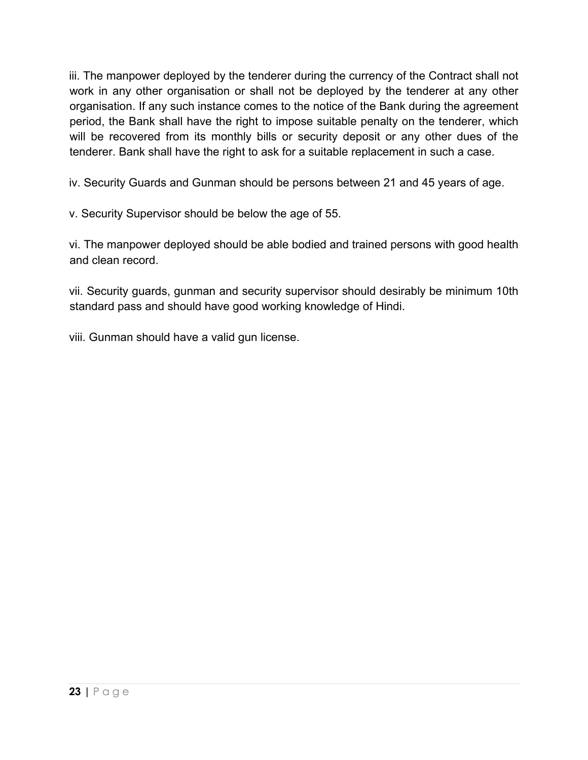iii. The manpower deployed by the tenderer during the currency of the Contract shall not work in any other organisation or shall not be deployed by the tenderer at any other organisation. If any such instance comes to the notice of the Bank during the agreement period, the Bank shall have the right to impose suitable penalty on the tenderer, which will be recovered from its monthly bills or security deposit or any other dues of the tenderer. Bank shall have the right to ask for a suitable replacement in such a case.

iv. Security Guards and Gunman should be persons between 21 and 45 years of age.

v. Security Supervisor should be below the age of 55.

vi. The manpower deployed should be able bodied and trained persons with good health and clean record.

vii. Security guards, gunman and security supervisor should desirably be minimum 10th standard pass and should have good working knowledge of Hindi.

viii. Gunman should have a valid gun license.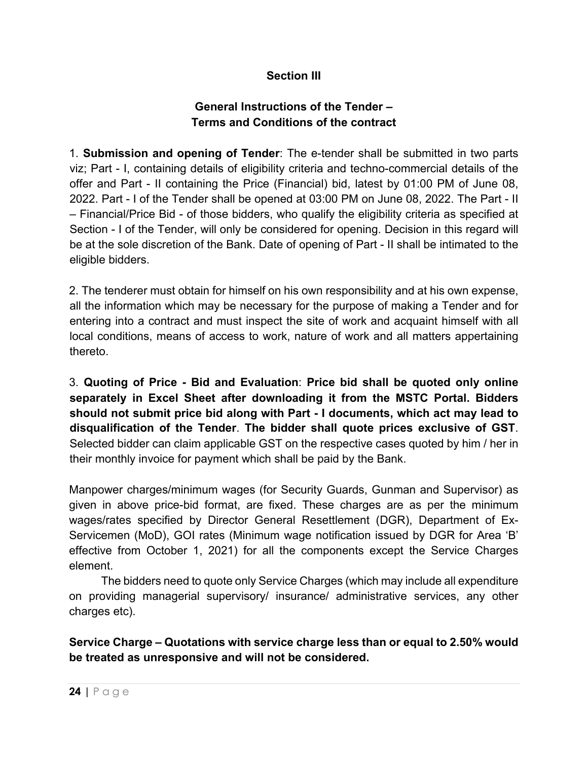#### **Section III**

#### **General Instructions of the Tender – Terms and Conditions of the contract**

1. **Submission and opening of Tender**: The e-tender shall be submitted in two parts viz; Part - I, containing details of eligibility criteria and techno-commercial details of the offer and Part - II containing the Price (Financial) bid, latest by 01:00 PM of June 08, 2022. Part - I of the Tender shall be opened at 03:00 PM on June 08, 2022. The Part - II – Financial/Price Bid - of those bidders, who qualify the eligibility criteria as specified at Section - I of the Tender, will only be considered for opening. Decision in this regard will be at the sole discretion of the Bank. Date of opening of Part - II shall be intimated to the eligible bidders.

2. The tenderer must obtain for himself on his own responsibility and at his own expense, all the information which may be necessary for the purpose of making a Tender and for entering into a contract and must inspect the site of work and acquaint himself with all local conditions, means of access to work, nature of work and all matters appertaining thereto.

3. **Quoting of Price - Bid and Evaluation**: **Price bid shall be quoted only online separately in Excel Sheet after downloading it from the MSTC Portal. Bidders should not submit price bid along with Part - I documents, which act may lead to disqualification of the Tender**. **The bidder shall quote prices exclusive of GST**. Selected bidder can claim applicable GST on the respective cases quoted by him / her in their monthly invoice for payment which shall be paid by the Bank.

Manpower charges/minimum wages (for Security Guards, Gunman and Supervisor) as given in above price-bid format, are fixed. These charges are as per the minimum wages/rates specified by Director General Resettlement (DGR), Department of Ex-Servicemen (MoD), GOI rates (Minimum wage notification issued by DGR for Area 'B' effective from October 1, 2021) for all the components except the Service Charges element.

 The bidders need to quote only Service Charges (which may include all expenditure on providing managerial supervisory/ insurance/ administrative services, any other charges etc).

**Service Charge – Quotations with service charge less than or equal to 2.50% would be treated as unresponsive and will not be considered.**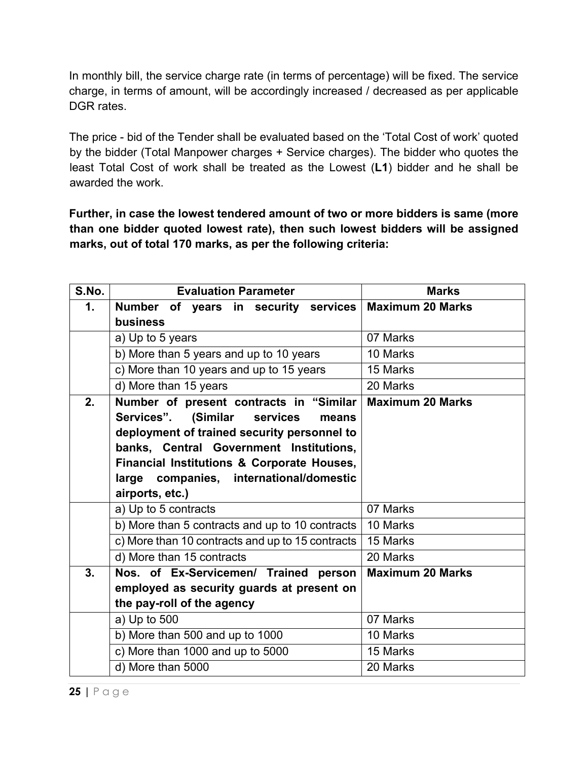In monthly bill, the service charge rate (in terms of percentage) will be fixed. The service charge, in terms of amount, will be accordingly increased / decreased as per applicable DGR rates.

The price - bid of the Tender shall be evaluated based on the 'Total Cost of work' quoted by the bidder (Total Manpower charges + Service charges). The bidder who quotes the least Total Cost of work shall be treated as the Lowest (**L1**) bidder and he shall be awarded the work.

**Further, in case the lowest tendered amount of two or more bidders is same (more than one bidder quoted lowest rate), then such lowest bidders will be assigned marks, out of total 170 marks, as per the following criteria:**

| S.No.         | <b>Evaluation Parameter</b>                             | <b>Marks</b>            |
|---------------|---------------------------------------------------------|-------------------------|
| $\mathbf 1$ . | Number of years in security services   Maximum 20 Marks |                         |
|               | business                                                |                         |
|               | a) Up to 5 years                                        | 07 Marks                |
|               | b) More than 5 years and up to 10 years                 | 10 Marks                |
|               | c) More than 10 years and up to 15 years                | 15 Marks                |
|               | d) More than 15 years                                   | 20 Marks                |
| 2.            | Number of present contracts in "Similar                 | <b>Maximum 20 Marks</b> |
|               | Services". (Similar<br>services<br>means                |                         |
|               | deployment of trained security personnel to             |                         |
|               | banks, Central Government Institutions,                 |                         |
|               | Financial Institutions & Corporate Houses,              |                         |
|               | large companies, international/domestic                 |                         |
|               | airports, etc.)                                         |                         |
|               | a) Up to 5 contracts                                    | 07 Marks                |
|               | b) More than 5 contracts and up to 10 contracts         | 10 Marks                |
|               | c) More than 10 contracts and up to 15 contracts        | 15 Marks                |
|               | d) More than 15 contracts                               | 20 Marks                |
| 3.            | Nos. of Ex-Servicemen/ Trained person                   | <b>Maximum 20 Marks</b> |
|               | employed as security guards at present on               |                         |
|               | the pay-roll of the agency                              |                         |
|               | a) Up to 500                                            | 07 Marks                |
|               | b) More than 500 and up to 1000                         | 10 Marks                |
|               | c) More than 1000 and up to 5000                        | 15 Marks                |
|               | d) More than 5000                                       | 20 Marks                |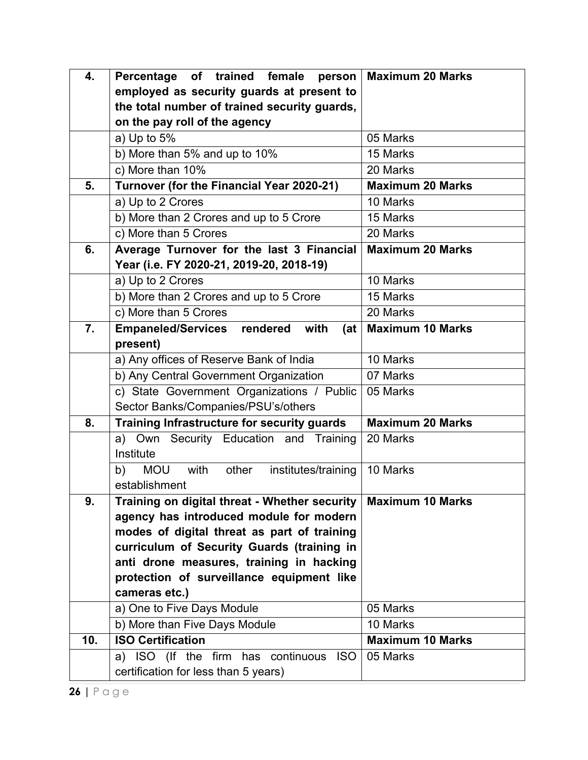| 4.  | Percentage of trained female person                      | <b>Maximum 20 Marks</b> |
|-----|----------------------------------------------------------|-------------------------|
|     | employed as security guards at present to                |                         |
|     | the total number of trained security guards,             |                         |
|     | on the pay roll of the agency                            |                         |
|     | a) Up to $5%$                                            | 05 Marks                |
|     | b) More than 5% and up to 10%                            | 15 Marks                |
|     | c) More than 10%                                         | 20 Marks                |
| 5.  | Turnover (for the Financial Year 2020-21)                | <b>Maximum 20 Marks</b> |
|     | a) Up to 2 Crores                                        | 10 Marks                |
|     | b) More than 2 Crores and up to 5 Crore                  | 15 Marks                |
|     | c) More than 5 Crores                                    | 20 Marks                |
| 6.  | Average Turnover for the last 3 Financial                | <b>Maximum 20 Marks</b> |
|     | Year (i.e. FY 2020-21, 2019-20, 2018-19)                 |                         |
|     | a) Up to 2 Crores                                        | 10 Marks                |
|     | b) More than 2 Crores and up to 5 Crore                  | 15 Marks                |
|     | c) More than 5 Crores                                    | 20 Marks                |
| 7.  | <b>Empaneled/Services</b><br>with<br>rendered<br>(at     | <b>Maximum 10 Marks</b> |
|     | present)                                                 |                         |
|     | a) Any offices of Reserve Bank of India                  | 10 Marks                |
|     | b) Any Central Government Organization                   | 07 Marks                |
|     | c) State Government Organizations / Public               | 05 Marks                |
|     | Sector Banks/Companies/PSU's/others                      |                         |
| 8.  | Training Infrastructure for security guards              | <b>Maximum 20 Marks</b> |
|     | Security Education and Training<br>Own<br>a)             | 20 Marks                |
|     | Institute                                                |                         |
|     | <b>MOU</b><br>with<br>b)<br>other<br>institutes/training | 10 Marks                |
|     | establishment                                            |                         |
| 9.  | Training on digital threat - Whether security            | <b>Maximum 10 Marks</b> |
|     | agency has introduced module for modern                  |                         |
|     | modes of digital threat as part of training              |                         |
|     | curriculum of Security Guards (training in               |                         |
|     | anti drone measures, training in hacking                 |                         |
|     | protection of surveillance equipment like                |                         |
|     | cameras etc.)                                            |                         |
|     | a) One to Five Days Module                               | 05 Marks                |
|     | b) More than Five Days Module                            | 10 Marks                |
| 10. | <b>ISO Certification</b>                                 | <b>Maximum 10 Marks</b> |
|     | a) ISO (If the firm has continuous ISO                   | 05 Marks                |
|     | certification for less than 5 years)                     |                         |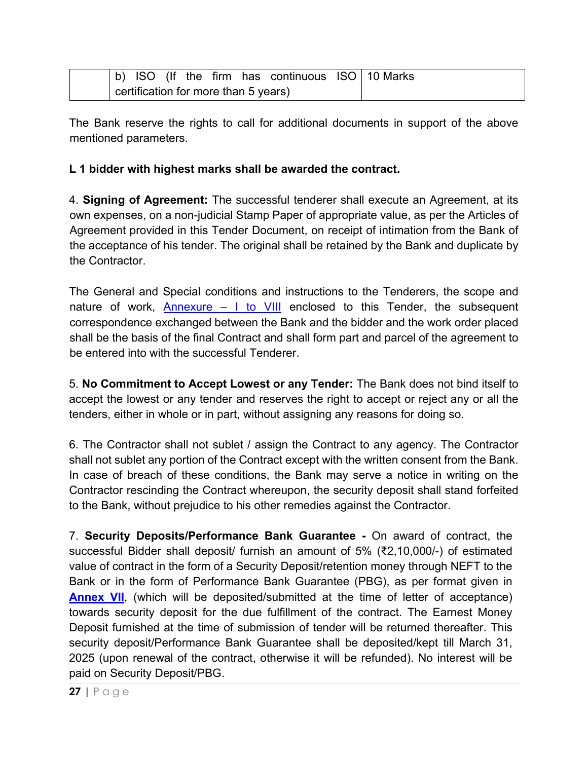|                                      |  |  |  |  | b) ISO (If the firm has continuous ISO $10$ Marks |  |  |
|--------------------------------------|--|--|--|--|---------------------------------------------------|--|--|
| certification for more than 5 years) |  |  |  |  |                                                   |  |  |

The Bank reserve the rights to call for additional documents in support of the above mentioned parameters.

#### **L 1 bidder with highest marks shall be awarded the contract.**

4. **Signing of Agreement:** The successful tenderer shall execute an Agreement, at its own expenses, on a non-judicial Stamp Paper of appropriate value, as per the Articles of Agreement provided in this Tender Document, on receipt of intimation from the Bank of the acceptance of his tender. The original shall be retained by the Bank and duplicate by the Contractor.

The General and Special conditions and instructions to the Tenderers, the scope and nature of work, Annexure  $-$  I to VIII enclosed to this Tender, the subsequent correspondence exchanged between the Bank and the bidder and the work order placed shall be the basis of the final Contract and shall form part and parcel of the agreement to be entered into with the successful Tenderer.

5. **No Commitment to Accept Lowest or any Tender:** The Bank does not bind itself to accept the lowest or any tender and reserves the right to accept or reject any or all the tenders, either in whole or in part, without assigning any reasons for doing so.

6. The Contractor shall not sublet / assign the Contract to any agency. The Contractor shall not sublet any portion of the Contract except with the written consent from the Bank. In case of breach of these conditions, the Bank may serve a notice in writing on the Contractor rescinding the Contract whereupon, the security deposit shall stand forfeited to the Bank, without prejudice to his other remedies against the Contractor.

7. **Security Deposits/Performance Bank Guarantee -** On award of contract, the successful Bidder shall deposit/ furnish an amount of 5% (₹2,10,000/-) of estimated value of contract in the form of a Security Deposit/retention money through NEFT to the Bank or in the form of Performance Bank Guarantee (PBG), as per format given in **[Annex VII](#page-56-0)**, (which will be deposited/submitted at the time of letter of acceptance) towards security deposit for the due fulfillment of the contract. The Earnest Money Deposit furnished at the time of submission of tender will be returned thereafter. This security deposit/Performance Bank Guarantee shall be deposited/kept till March 31, 2025 (upon renewal of the contract, otherwise it will be refunded). No interest will be paid on Security Deposit/PBG.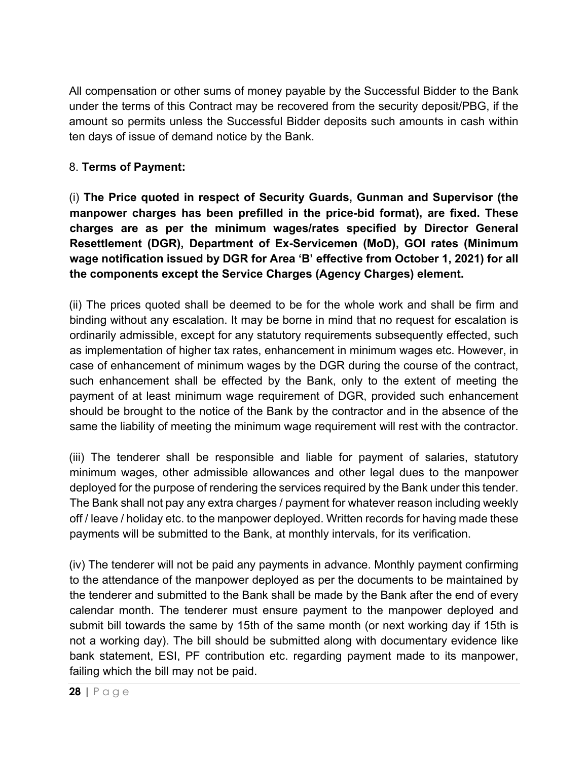All compensation or other sums of money payable by the Successful Bidder to the Bank under the terms of this Contract may be recovered from the security deposit/PBG, if the amount so permits unless the Successful Bidder deposits such amounts in cash within ten days of issue of demand notice by the Bank.

#### 8. **Terms of Payment:**

(i) **The Price quoted in respect of Security Guards, Gunman and Supervisor (the manpower charges has been prefilled in the price-bid format), are fixed. These charges are as per the minimum wages/rates specified by Director General Resettlement (DGR), Department of Ex-Servicemen (MoD), GOI rates (Minimum wage notification issued by DGR for Area 'B' effective from October 1, 2021) for all the components except the Service Charges (Agency Charges) element.**

(ii) The prices quoted shall be deemed to be for the whole work and shall be firm and binding without any escalation. It may be borne in mind that no request for escalation is ordinarily admissible, except for any statutory requirements subsequently effected, such as implementation of higher tax rates, enhancement in minimum wages etc. However, in case of enhancement of minimum wages by the DGR during the course of the contract, such enhancement shall be effected by the Bank, only to the extent of meeting the payment of at least minimum wage requirement of DGR, provided such enhancement should be brought to the notice of the Bank by the contractor and in the absence of the same the liability of meeting the minimum wage requirement will rest with the contractor.

(iii) The tenderer shall be responsible and liable for payment of salaries, statutory minimum wages, other admissible allowances and other legal dues to the manpower deployed for the purpose of rendering the services required by the Bank under this tender. The Bank shall not pay any extra charges / payment for whatever reason including weekly off / leave / holiday etc. to the manpower deployed. Written records for having made these payments will be submitted to the Bank, at monthly intervals, for its verification.

(iv) The tenderer will not be paid any payments in advance. Monthly payment confirming to the attendance of the manpower deployed as per the documents to be maintained by the tenderer and submitted to the Bank shall be made by the Bank after the end of every calendar month. The tenderer must ensure payment to the manpower deployed and submit bill towards the same by 15th of the same month (or next working day if 15th is not a working day). The bill should be submitted along with documentary evidence like bank statement, ESI, PF contribution etc. regarding payment made to its manpower, failing which the bill may not be paid.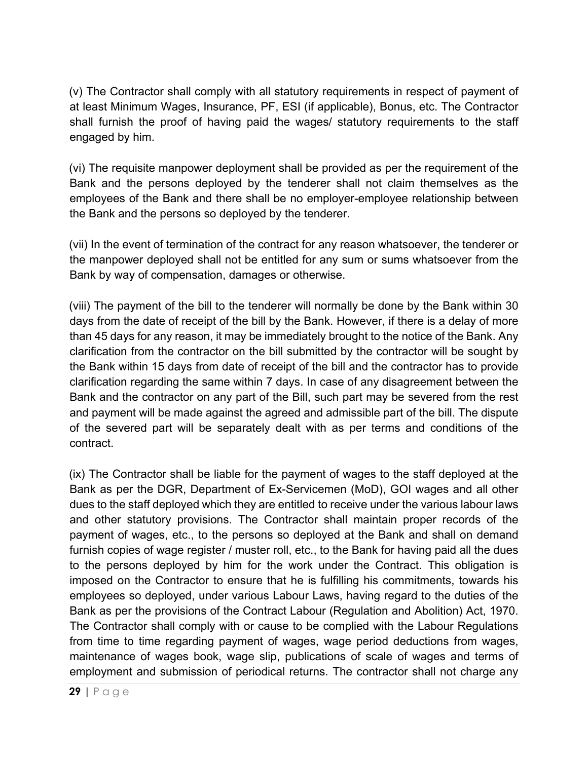(v) The Contractor shall comply with all statutory requirements in respect of payment of at least Minimum Wages, Insurance, PF, ESI (if applicable), Bonus, etc. The Contractor shall furnish the proof of having paid the wages/ statutory requirements to the staff engaged by him.

(vi) The requisite manpower deployment shall be provided as per the requirement of the Bank and the persons deployed by the tenderer shall not claim themselves as the employees of the Bank and there shall be no employer-employee relationship between the Bank and the persons so deployed by the tenderer.

(vii) In the event of termination of the contract for any reason whatsoever, the tenderer or the manpower deployed shall not be entitled for any sum or sums whatsoever from the Bank by way of compensation, damages or otherwise.

(viii) The payment of the bill to the tenderer will normally be done by the Bank within 30 days from the date of receipt of the bill by the Bank. However, if there is a delay of more than 45 days for any reason, it may be immediately brought to the notice of the Bank. Any clarification from the contractor on the bill submitted by the contractor will be sought by the Bank within 15 days from date of receipt of the bill and the contractor has to provide clarification regarding the same within 7 days. In case of any disagreement between the Bank and the contractor on any part of the Bill, such part may be severed from the rest and payment will be made against the agreed and admissible part of the bill. The dispute of the severed part will be separately dealt with as per terms and conditions of the contract.

(ix) The Contractor shall be liable for the payment of wages to the staff deployed at the Bank as per the DGR, Department of Ex-Servicemen (MoD), GOI wages and all other dues to the staff deployed which they are entitled to receive under the various labour laws and other statutory provisions. The Contractor shall maintain proper records of the payment of wages, etc., to the persons so deployed at the Bank and shall on demand furnish copies of wage register / muster roll, etc., to the Bank for having paid all the dues to the persons deployed by him for the work under the Contract. This obligation is imposed on the Contractor to ensure that he is fulfilling his commitments, towards his employees so deployed, under various Labour Laws, having regard to the duties of the Bank as per the provisions of the Contract Labour (Regulation and Abolition) Act, 1970. The Contractor shall comply with or cause to be complied with the Labour Regulations from time to time regarding payment of wages, wage period deductions from wages, maintenance of wages book, wage slip, publications of scale of wages and terms of employment and submission of periodical returns. The contractor shall not charge any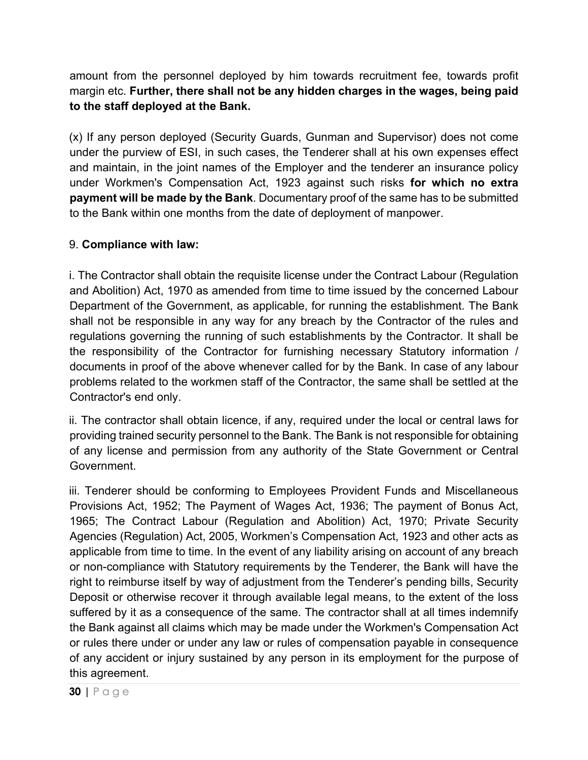amount from the personnel deployed by him towards recruitment fee, towards profit margin etc. **Further, there shall not be any hidden charges in the wages, being paid to the staff deployed at the Bank.**

(x) If any person deployed (Security Guards, Gunman and Supervisor) does not come under the purview of ESI, in such cases, the Tenderer shall at his own expenses effect and maintain, in the joint names of the Employer and the tenderer an insurance policy under Workmen's Compensation Act, 1923 against such risks **for which no extra payment will be made by the Bank**. Documentary proof of the same has to be submitted to the Bank within one months from the date of deployment of manpower.

#### 9. **Compliance with law:**

i. The Contractor shall obtain the requisite license under the Contract Labour (Regulation and Abolition) Act, 1970 as amended from time to time issued by the concerned Labour Department of the Government, as applicable, for running the establishment. The Bank shall not be responsible in any way for any breach by the Contractor of the rules and regulations governing the running of such establishments by the Contractor. It shall be the responsibility of the Contractor for furnishing necessary Statutory information / documents in proof of the above whenever called for by the Bank. In case of any labour problems related to the workmen staff of the Contractor, the same shall be settled at the Contractor's end only.

ii. The contractor shall obtain licence, if any, required under the local or central laws for providing trained security personnel to the Bank. The Bank is not responsible for obtaining of any license and permission from any authority of the State Government or Central Government.

iii. Tenderer should be conforming to Employees Provident Funds and Miscellaneous Provisions Act, 1952; The Payment of Wages Act, 1936; The payment of Bonus Act, 1965; The Contract Labour (Regulation and Abolition) Act, 1970; Private Security Agencies (Regulation) Act, 2005, Workmen's Compensation Act, 1923 and other acts as applicable from time to time. In the event of any liability arising on account of any breach or non-compliance with Statutory requirements by the Tenderer, the Bank will have the right to reimburse itself by way of adjustment from the Tenderer's pending bills, Security Deposit or otherwise recover it through available legal means, to the extent of the loss suffered by it as a consequence of the same. The contractor shall at all times indemnify the Bank against all claims which may be made under the Workmen's Compensation Act or rules there under or under any law or rules of compensation payable in consequence of any accident or injury sustained by any person in its employment for the purpose of this agreement.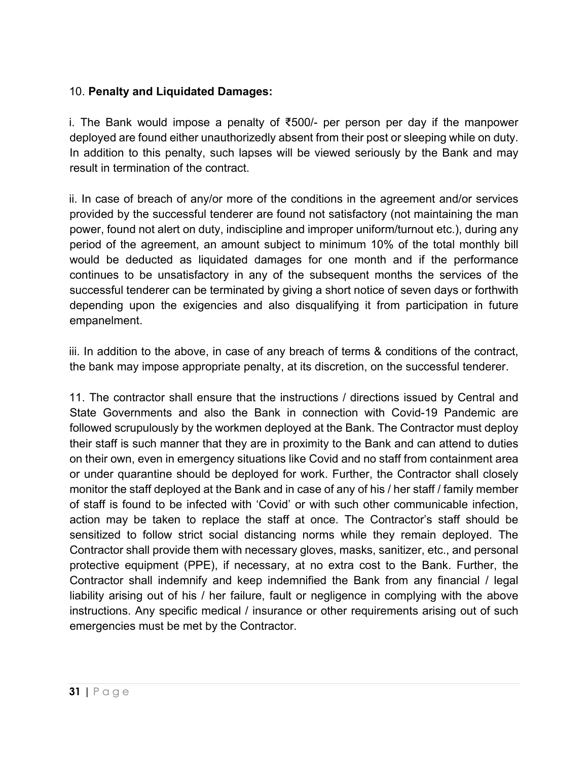### 10. **Penalty and Liquidated Damages:**

i. The Bank would impose a penalty of ₹500/- per person per day if the manpower deployed are found either unauthorizedly absent from their post or sleeping while on duty. In addition to this penalty, such lapses will be viewed seriously by the Bank and may result in termination of the contract.

ii. In case of breach of any/or more of the conditions in the agreement and/or services provided by the successful tenderer are found not satisfactory (not maintaining the man power, found not alert on duty, indiscipline and improper uniform/turnout etc.), during any period of the agreement, an amount subject to minimum 10% of the total monthly bill would be deducted as liquidated damages for one month and if the performance continues to be unsatisfactory in any of the subsequent months the services of the successful tenderer can be terminated by giving a short notice of seven days or forthwith depending upon the exigencies and also disqualifying it from participation in future empanelment.

iii. In addition to the above, in case of any breach of terms & conditions of the contract, the bank may impose appropriate penalty, at its discretion, on the successful tenderer.

11. The contractor shall ensure that the instructions / directions issued by Central and State Governments and also the Bank in connection with Covid-19 Pandemic are followed scrupulously by the workmen deployed at the Bank. The Contractor must deploy their staff is such manner that they are in proximity to the Bank and can attend to duties on their own, even in emergency situations like Covid and no staff from containment area or under quarantine should be deployed for work. Further, the Contractor shall closely monitor the staff deployed at the Bank and in case of any of his / her staff / family member of staff is found to be infected with 'Covid' or with such other communicable infection, action may be taken to replace the staff at once. The Contractor's staff should be sensitized to follow strict social distancing norms while they remain deployed. The Contractor shall provide them with necessary gloves, masks, sanitizer, etc., and personal protective equipment (PPE), if necessary, at no extra cost to the Bank. Further, the Contractor shall indemnify and keep indemnified the Bank from any financial / legal liability arising out of his / her failure, fault or negligence in complying with the above instructions. Any specific medical / insurance or other requirements arising out of such emergencies must be met by the Contractor.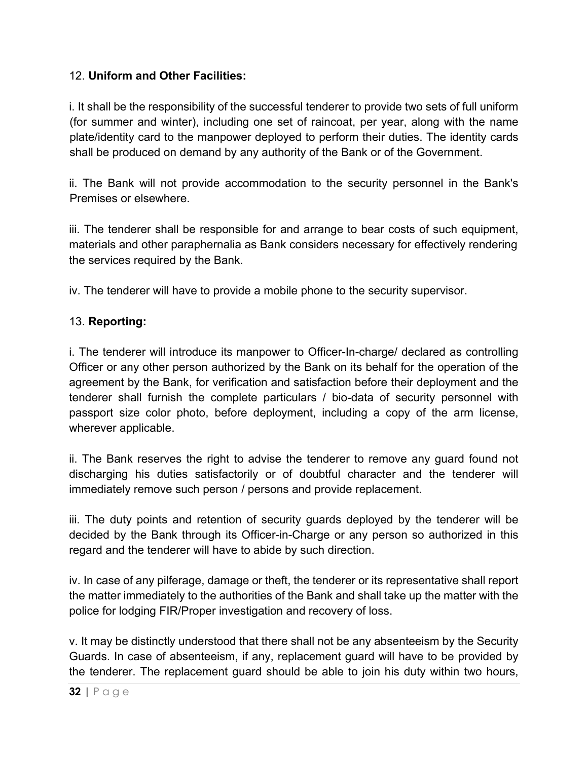#### 12. **Uniform and Other Facilities:**

i. It shall be the responsibility of the successful tenderer to provide two sets of full uniform (for summer and winter), including one set of raincoat, per year, along with the name plate/identity card to the manpower deployed to perform their duties. The identity cards shall be produced on demand by any authority of the Bank or of the Government.

ii. The Bank will not provide accommodation to the security personnel in the Bank's Premises or elsewhere.

iii. The tenderer shall be responsible for and arrange to bear costs of such equipment, materials and other paraphernalia as Bank considers necessary for effectively rendering the services required by the Bank.

iv. The tenderer will have to provide a mobile phone to the security supervisor.

#### 13. **Reporting:**

i. The tenderer will introduce its manpower to Officer-In-charge/ declared as controlling Officer or any other person authorized by the Bank on its behalf for the operation of the agreement by the Bank, for verification and satisfaction before their deployment and the tenderer shall furnish the complete particulars / bio-data of security personnel with passport size color photo, before deployment, including a copy of the arm license, wherever applicable.

ii. The Bank reserves the right to advise the tenderer to remove any guard found not discharging his duties satisfactorily or of doubtful character and the tenderer will immediately remove such person / persons and provide replacement.

iii. The duty points and retention of security guards deployed by the tenderer will be decided by the Bank through its Officer-in-Charge or any person so authorized in this regard and the tenderer will have to abide by such direction.

iv. In case of any pilferage, damage or theft, the tenderer or its representative shall report the matter immediately to the authorities of the Bank and shall take up the matter with the police for lodging FIR/Proper investigation and recovery of loss.

v. It may be distinctly understood that there shall not be any absenteeism by the Security Guards. In case of absenteeism, if any, replacement guard will have to be provided by the tenderer. The replacement guard should be able to join his duty within two hours,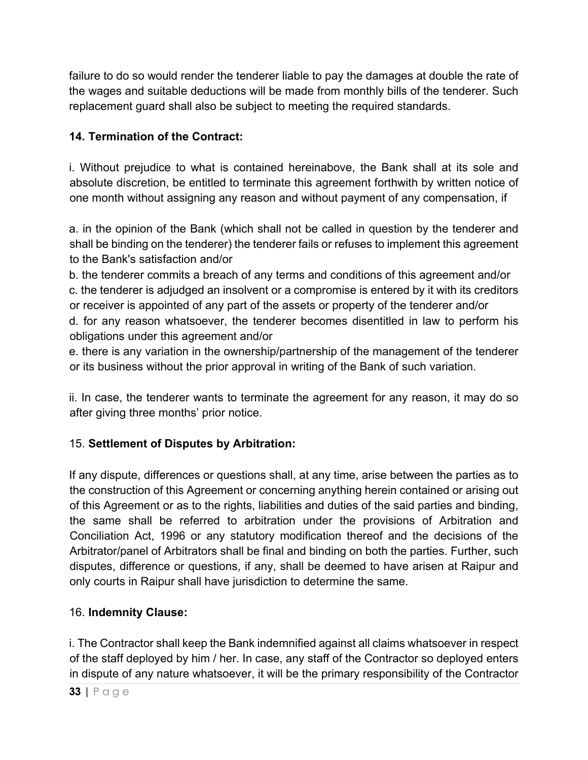failure to do so would render the tenderer liable to pay the damages at double the rate of the wages and suitable deductions will be made from monthly bills of the tenderer. Such replacement guard shall also be subject to meeting the required standards.

# **14. Termination of the Contract:**

i. Without prejudice to what is contained hereinabove, the Bank shall at its sole and absolute discretion, be entitled to terminate this agreement forthwith by written notice of one month without assigning any reason and without payment of any compensation, if

a. in the opinion of the Bank (which shall not be called in question by the tenderer and shall be binding on the tenderer) the tenderer fails or refuses to implement this agreement to the Bank's satisfaction and/or

b. the tenderer commits a breach of any terms and conditions of this agreement and/or c. the tenderer is adjudged an insolvent or a compromise is entered by it with its creditors or receiver is appointed of any part of the assets or property of the tenderer and/or d. for any reason whatsoever, the tenderer becomes disentitled in law to perform his obligations under this agreement and/or

e. there is any variation in the ownership/partnership of the management of the tenderer or its business without the prior approval in writing of the Bank of such variation.

ii. In case, the tenderer wants to terminate the agreement for any reason, it may do so after giving three months' prior notice.

### 15. **Settlement of Disputes by Arbitration:**

If any dispute, differences or questions shall, at any time, arise between the parties as to the construction of this Agreement or concerning anything herein contained or arising out of this Agreement or as to the rights, liabilities and duties of the said parties and binding, the same shall be referred to arbitration under the provisions of Arbitration and Conciliation Act, 1996 or any statutory modification thereof and the decisions of the Arbitrator/panel of Arbitrators shall be final and binding on both the parties. Further, such disputes, difference or questions, if any, shall be deemed to have arisen at Raipur and only courts in Raipur shall have jurisdiction to determine the same.

### 16. **Indemnity Clause:**

i. The Contractor shall keep the Bank indemnified against all claims whatsoever in respect of the staff deployed by him / her. In case, any staff of the Contractor so deployed enters in dispute of any nature whatsoever, it will be the primary responsibility of the Contractor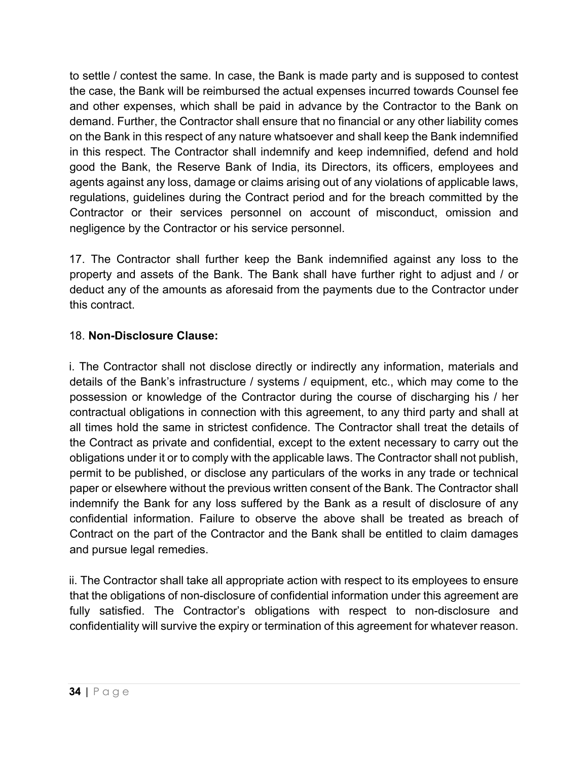to settle / contest the same. In case, the Bank is made party and is supposed to contest the case, the Bank will be reimbursed the actual expenses incurred towards Counsel fee and other expenses, which shall be paid in advance by the Contractor to the Bank on demand. Further, the Contractor shall ensure that no financial or any other liability comes on the Bank in this respect of any nature whatsoever and shall keep the Bank indemnified in this respect. The Contractor shall indemnify and keep indemnified, defend and hold good the Bank, the Reserve Bank of India, its Directors, its officers, employees and agents against any loss, damage or claims arising out of any violations of applicable laws, regulations, guidelines during the Contract period and for the breach committed by the Contractor or their services personnel on account of misconduct, omission and negligence by the Contractor or his service personnel.

17. The Contractor shall further keep the Bank indemnified against any loss to the property and assets of the Bank. The Bank shall have further right to adjust and / or deduct any of the amounts as aforesaid from the payments due to the Contractor under this contract.

## 18. **Non-Disclosure Clause:**

i. The Contractor shall not disclose directly or indirectly any information, materials and details of the Bank's infrastructure / systems / equipment, etc., which may come to the possession or knowledge of the Contractor during the course of discharging his / her contractual obligations in connection with this agreement, to any third party and shall at all times hold the same in strictest confidence. The Contractor shall treat the details of the Contract as private and confidential, except to the extent necessary to carry out the obligations under it or to comply with the applicable laws. The Contractor shall not publish, permit to be published, or disclose any particulars of the works in any trade or technical paper or elsewhere without the previous written consent of the Bank. The Contractor shall indemnify the Bank for any loss suffered by the Bank as a result of disclosure of any confidential information. Failure to observe the above shall be treated as breach of Contract on the part of the Contractor and the Bank shall be entitled to claim damages and pursue legal remedies.

ii. The Contractor shall take all appropriate action with respect to its employees to ensure that the obligations of non-disclosure of confidential information under this agreement are fully satisfied. The Contractor's obligations with respect to non-disclosure and confidentiality will survive the expiry or termination of this agreement for whatever reason.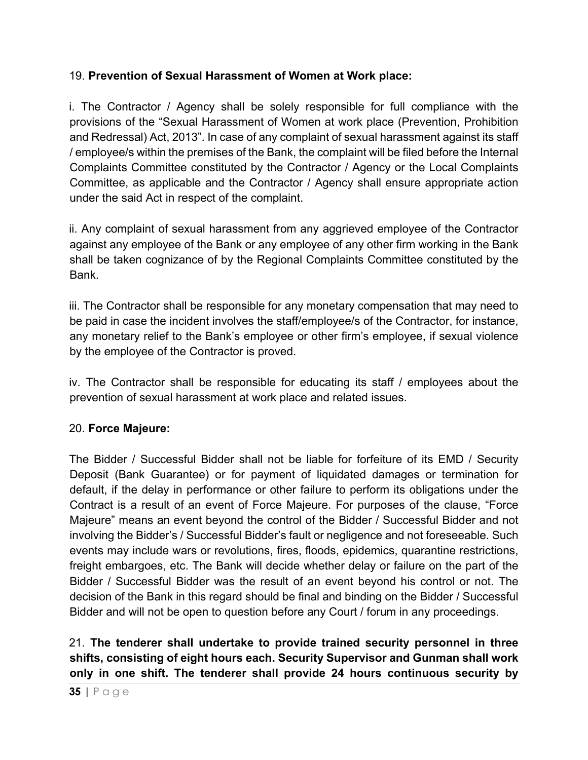# 19. **Prevention of Sexual Harassment of Women at Work place:**

i. The Contractor / Agency shall be solely responsible for full compliance with the provisions of the "Sexual Harassment of Women at work place (Prevention, Prohibition and Redressal) Act, 2013". In case of any complaint of sexual harassment against its staff / employee/s within the premises of the Bank, the complaint will be filed before the Internal Complaints Committee constituted by the Contractor / Agency or the Local Complaints Committee, as applicable and the Contractor / Agency shall ensure appropriate action under the said Act in respect of the complaint.

ii. Any complaint of sexual harassment from any aggrieved employee of the Contractor against any employee of the Bank or any employee of any other firm working in the Bank shall be taken cognizance of by the Regional Complaints Committee constituted by the Bank.

iii. The Contractor shall be responsible for any monetary compensation that may need to be paid in case the incident involves the staff/employee/s of the Contractor, for instance, any monetary relief to the Bank's employee or other firm's employee, if sexual violence by the employee of the Contractor is proved.

iv. The Contractor shall be responsible for educating its staff / employees about the prevention of sexual harassment at work place and related issues.

### 20. **Force Majeure:**

The Bidder / Successful Bidder shall not be liable for forfeiture of its EMD / Security Deposit (Bank Guarantee) or for payment of liquidated damages or termination for default, if the delay in performance or other failure to perform its obligations under the Contract is a result of an event of Force Majeure. For purposes of the clause, "Force Majeure" means an event beyond the control of the Bidder / Successful Bidder and not involving the Bidder's / Successful Bidder's fault or negligence and not foreseeable. Such events may include wars or revolutions, fires, floods, epidemics, quarantine restrictions, freight embargoes, etc. The Bank will decide whether delay or failure on the part of the Bidder / Successful Bidder was the result of an event beyond his control or not. The decision of the Bank in this regard should be final and binding on the Bidder / Successful Bidder and will not be open to question before any Court / forum in any proceedings.

# 21. **The tenderer shall undertake to provide trained security personnel in three shifts, consisting of eight hours each. Security Supervisor and Gunman shall work only in one shift. The tenderer shall provide 24 hours continuous security by**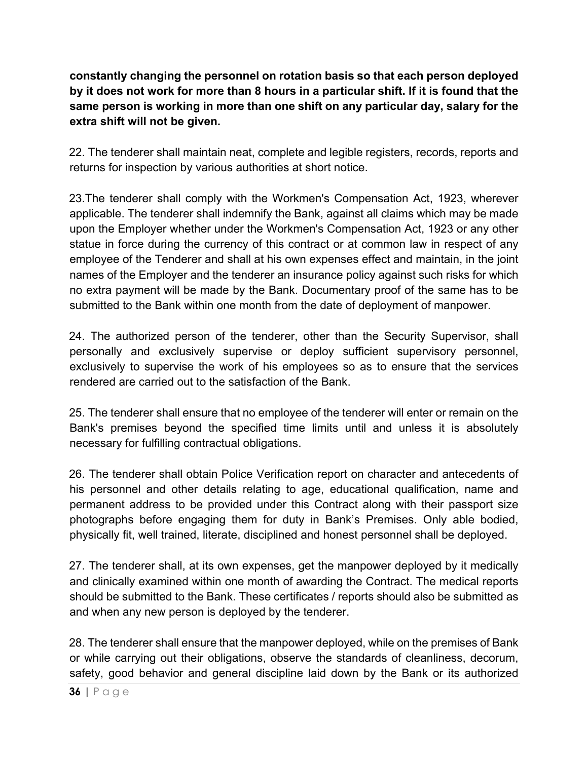**constantly changing the personnel on rotation basis so that each person deployed by it does not work for more than 8 hours in a particular shift. If it is found that the same person is working in more than one shift on any particular day, salary for the extra shift will not be given.**

22. The tenderer shall maintain neat, complete and legible registers, records, reports and returns for inspection by various authorities at short notice.

23.The tenderer shall comply with the Workmen's Compensation Act, 1923, wherever applicable. The tenderer shall indemnify the Bank, against all claims which may be made upon the Employer whether under the Workmen's Compensation Act, 1923 or any other statue in force during the currency of this contract or at common law in respect of any employee of the Tenderer and shall at his own expenses effect and maintain, in the joint names of the Employer and the tenderer an insurance policy against such risks for which no extra payment will be made by the Bank. Documentary proof of the same has to be submitted to the Bank within one month from the date of deployment of manpower.

24. The authorized person of the tenderer, other than the Security Supervisor, shall personally and exclusively supervise or deploy sufficient supervisory personnel, exclusively to supervise the work of his employees so as to ensure that the services rendered are carried out to the satisfaction of the Bank.

25. The tenderer shall ensure that no employee of the tenderer will enter or remain on the Bank's premises beyond the specified time limits until and unless it is absolutely necessary for fulfilling contractual obligations.

26. The tenderer shall obtain Police Verification report on character and antecedents of his personnel and other details relating to age, educational qualification, name and permanent address to be provided under this Contract along with their passport size photographs before engaging them for duty in Bank's Premises. Only able bodied, physically fit, well trained, literate, disciplined and honest personnel shall be deployed.

27. The tenderer shall, at its own expenses, get the manpower deployed by it medically and clinically examined within one month of awarding the Contract. The medical reports should be submitted to the Bank. These certificates / reports should also be submitted as and when any new person is deployed by the tenderer.

28. The tenderer shall ensure that the manpower deployed, while on the premises of Bank or while carrying out their obligations, observe the standards of cleanliness, decorum, safety, good behavior and general discipline laid down by the Bank or its authorized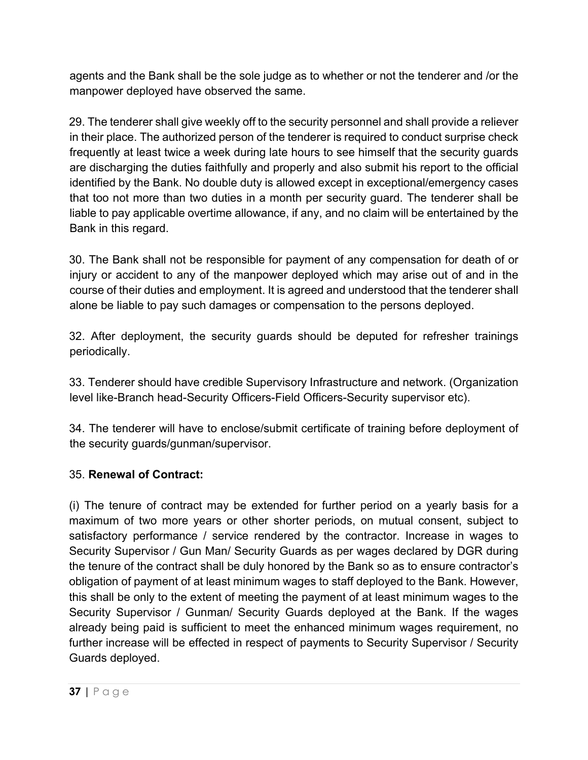agents and the Bank shall be the sole judge as to whether or not the tenderer and /or the manpower deployed have observed the same.

29. The tenderer shall give weekly off to the security personnel and shall provide a reliever in their place. The authorized person of the tenderer is required to conduct surprise check frequently at least twice a week during late hours to see himself that the security guards are discharging the duties faithfully and properly and also submit his report to the official identified by the Bank. No double duty is allowed except in exceptional/emergency cases that too not more than two duties in a month per security guard. The tenderer shall be liable to pay applicable overtime allowance, if any, and no claim will be entertained by the Bank in this regard.

30. The Bank shall not be responsible for payment of any compensation for death of or injury or accident to any of the manpower deployed which may arise out of and in the course of their duties and employment. It is agreed and understood that the tenderer shall alone be liable to pay such damages or compensation to the persons deployed.

32. After deployment, the security guards should be deputed for refresher trainings periodically.

33. Tenderer should have credible Supervisory Infrastructure and network. (Organization level like-Branch head-Security Officers-Field Officers-Security supervisor etc).

34. The tenderer will have to enclose/submit certificate of training before deployment of the security guards/gunman/supervisor.

# 35. **Renewal of Contract:**

(i) The tenure of contract may be extended for further period on a yearly basis for a maximum of two more years or other shorter periods, on mutual consent, subject to satisfactory performance / service rendered by the contractor. Increase in wages to Security Supervisor / Gun Man/ Security Guards as per wages declared by DGR during the tenure of the contract shall be duly honored by the Bank so as to ensure contractor's obligation of payment of at least minimum wages to staff deployed to the Bank. However, this shall be only to the extent of meeting the payment of at least minimum wages to the Security Supervisor / Gunman/ Security Guards deployed at the Bank. If the wages already being paid is sufficient to meet the enhanced minimum wages requirement, no further increase will be effected in respect of payments to Security Supervisor / Security Guards deployed.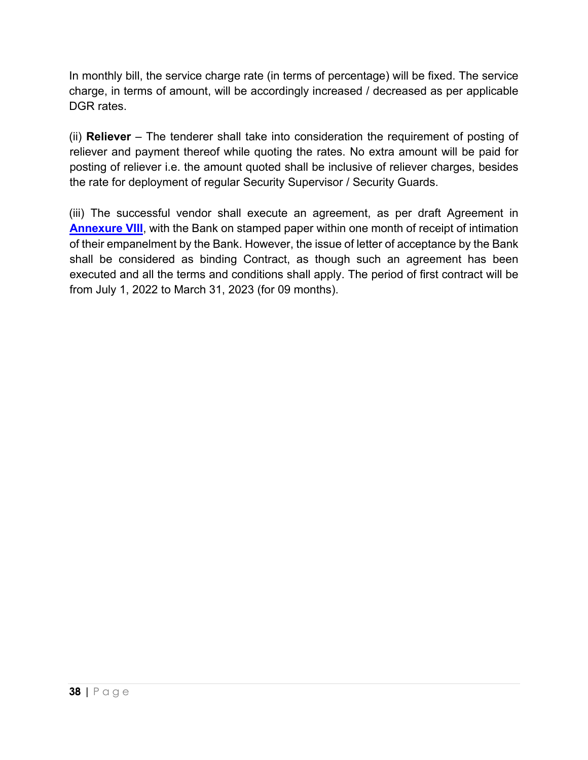In monthly bill, the service charge rate (in terms of percentage) will be fixed. The service charge, in terms of amount, will be accordingly increased / decreased as per applicable DGR rates.

(ii) **Reliever** – The tenderer shall take into consideration the requirement of posting of reliever and payment thereof while quoting the rates. No extra amount will be paid for posting of reliever i.e. the amount quoted shall be inclusive of reliever charges, besides the rate for deployment of regular Security Supervisor / Security Guards.

(iii) The successful vendor shall execute an agreement, as per draft Agreement in **[Annexure](#page-60-0) VIII**, with the Bank on stamped paper within one month of receipt of intimation of their empanelment by the Bank. However, the issue of letter of acceptance by the Bank shall be considered as binding Contract, as though such an agreement has been executed and all the terms and conditions shall apply. The period of first contract will be from July 1, 2022 to March 31, 2023 (for 09 months).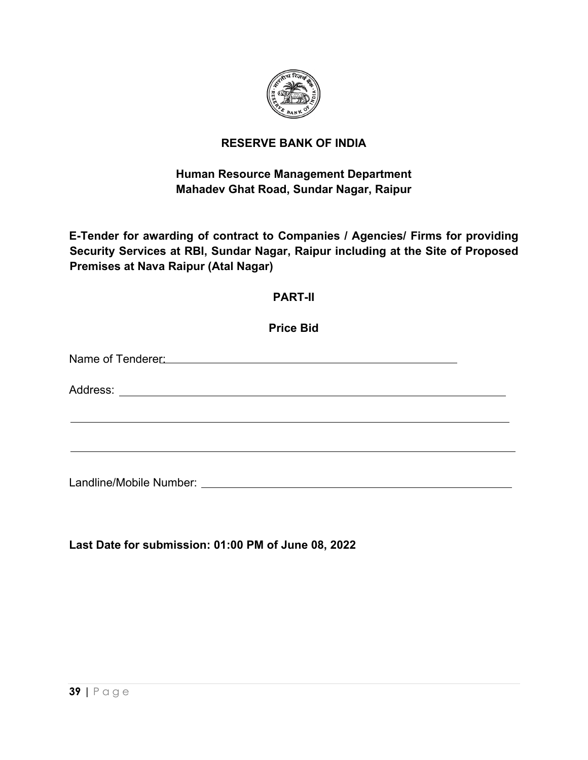

# **RESERVE BANK OF INDIA**

# **Human Resource Management Department Mahadev Ghat Road, Sundar Nagar, Raipur**

**E-Tender for awarding of contract to Companies / Agencies/ Firms for providing Security Services at RBI, Sundar Nagar, Raipur including at the Site of Proposed Premises at Nava Raipur (Atal Nagar)**

### **PART-II**

**Price Bid**

Name of Tenderer: We are a series of the series of the series of the series of the series of the series of the series of the series of the series of the series of the series of the series of the series of the series of the

Address: **Address: Address: Address: Address: Address: Address: Address: Address: Address: Address: Address: Address: Address: Address: Address: Address: Address: Address: Address: Add** 

Landline/Mobile Number:

**Last Date for submission: 01:00 PM of June 08, 2022**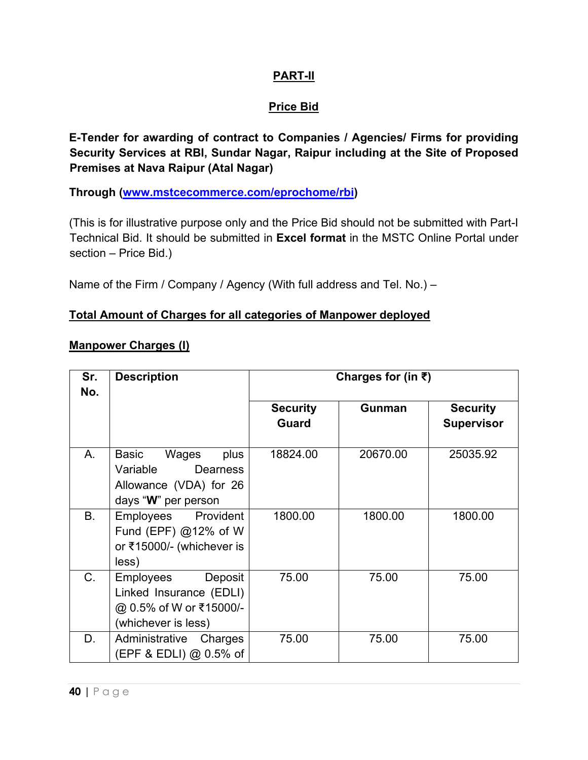### **PART-II**

# **Price Bid**

**E-Tender for awarding of contract to Companies / Agencies/ Firms for providing Security Services at RBI, Sundar Nagar, Raipur including at the Site of Proposed Premises at Nava Raipur (Atal Nagar)**

**Through [\(www.mstcecommerce.com/eprochome/rbi\)](https://www.mstcecommerce.com/eprochome/rbi)** 

(This is for illustrative purpose only and the Price Bid should not be submitted with Part-I Technical Bid. It should be submitted in **Excel format** in the MSTC Online Portal under section – Price Bid.)

Name of the Firm / Company / Agency (With full address and Tel. No.) –

#### **Total Amount of Charges for all categories of Manpower deployed**

#### **Manpower Charges (I)**

| Sr.<br>No.  | <b>Description</b>                                                                                     | Charges for (in $\bar{\tau}$ )  |               |                                      |
|-------------|--------------------------------------------------------------------------------------------------------|---------------------------------|---------------|--------------------------------------|
|             |                                                                                                        | <b>Security</b><br><b>Guard</b> | <b>Gunman</b> | <b>Security</b><br><b>Supervisor</b> |
| Α.          | Basic<br>Wages<br>plus<br>Variable<br><b>Dearness</b><br>Allowance (VDA) for 26<br>days "W" per person | 18824.00                        | 20670.00      | 25035.92                             |
| <b>B.</b>   | Employees Provident<br>Fund (EPF) $@12\%$ of W<br>or ₹15000/- (whichever is<br>less)                   | 1800.00                         | 1800.00       | 1800.00                              |
| $C_{\cdot}$ | Deposit<br>Employees<br>Linked Insurance (EDLI)<br>@ 0.5% of W or ₹15000/-<br>(whichever is less)      | 75.00                           | 75.00         | 75.00                                |
| D.          | Administrative<br>Charges<br>(EPF & EDLI) $@$ 0.5% of                                                  | 75.00                           | 75.00         | 75.00                                |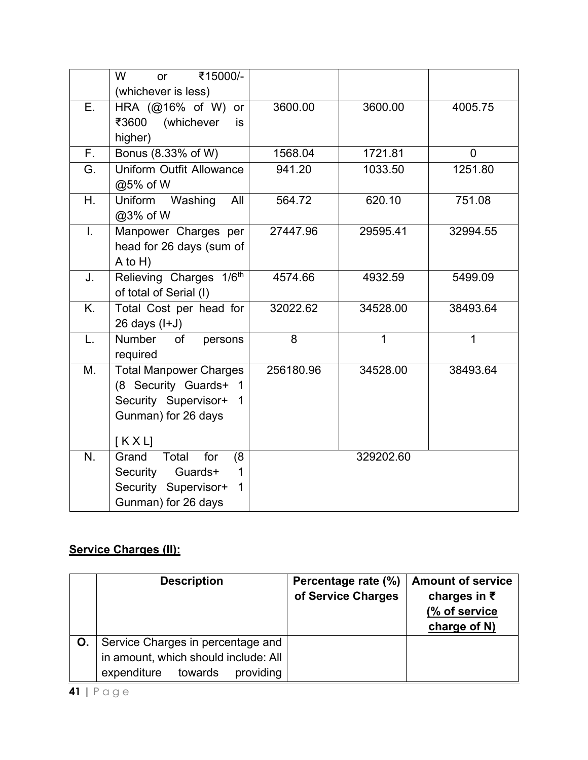|              | ₹15000/-<br>W<br><b>or</b>          |           |           |                |
|--------------|-------------------------------------|-----------|-----------|----------------|
|              | (whichever is less)                 |           |           |                |
| E.           | HRA (@16% of W) or                  | 3600.00   | 3600.00   | 4005.75        |
|              | ₹3600<br>(whichever<br>is           |           |           |                |
|              | higher)                             |           |           |                |
| $F_{\rm{L}}$ | Bonus (8.33% of W)                  | 1568.04   | 1721.81   | $\overline{0}$ |
| G.           | <b>Uniform Outfit Allowance</b>     | 941.20    | 1033.50   | 1251.80        |
|              | @5% of W                            |           |           |                |
| $H_{\cdot}$  | Uniform<br>Washing<br>All           | 564.72    | 620.10    | 751.08         |
|              | @3% of W                            |           |           |                |
| I.           | Manpower Charges per                | 27447.96  | 29595.41  | 32994.55       |
|              | head for 26 days (sum of            |           |           |                |
|              | $A$ to $H$ )                        |           |           |                |
| J.           | Relieving Charges 1/6th             | 4574.66   | 4932.59   | 5499.09        |
|              | of total of Serial (I)              |           |           |                |
| K.           | Total Cost per head for             | 32022.62  | 34528.00  | 38493.64       |
|              | $26$ days $(l+J)$                   |           |           |                |
| L.           | Number<br>of<br>persons             | 8         | 1         | 1              |
|              | required                            |           |           |                |
| M.           | <b>Total Manpower Charges</b>       | 256180.96 | 34528.00  | 38493.64       |
|              | (8 Security Guards+ 1               |           |           |                |
|              | Security Supervisor+<br>$\mathbf 1$ |           |           |                |
|              | Gunman) for 26 days                 |           |           |                |
|              |                                     |           |           |                |
|              | KXL                                 |           |           |                |
| N.           | Total<br>Grand<br>for<br>(8)        |           | 329202.60 |                |
|              | Security<br>Guards+<br>1            |           |           |                |
|              | Security Supervisor+<br>$\mathbf 1$ |           |           |                |
|              | Gunman) for 26 days                 |           |           |                |

# **Service Charges (II):**

| <b>Description</b>                   | Percentage rate (%)<br>of Service Charges | <b>Amount of service</b><br>charges in $\bar{\tau}$<br>(% of service<br>charge of N) |
|--------------------------------------|-------------------------------------------|--------------------------------------------------------------------------------------|
| Service Charges in percentage and    |                                           |                                                                                      |
| in amount, which should include: All |                                           |                                                                                      |
| providing<br>towards<br>expenditure  |                                           |                                                                                      |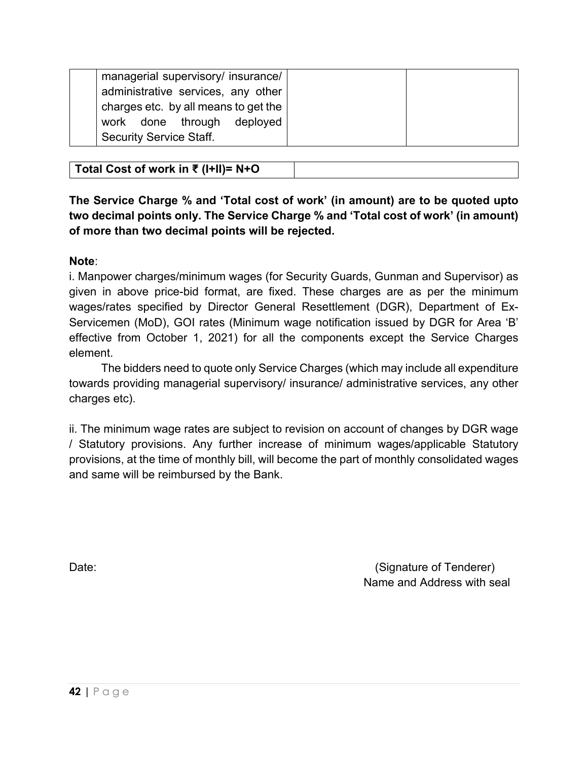| managerial supervisory/ insurance/   |
|--------------------------------------|
| administrative services, any other   |
| charges etc. by all means to get the |
| work done through deployed           |
| <b>Security Service Staff.</b>       |

| Total Cost of work in ₹ (I+II)= $N+O$ |  |
|---------------------------------------|--|
|---------------------------------------|--|

**The Service Charge % and 'Total cost of work' (in amount) are to be quoted upto two decimal points only. The Service Charge % and 'Total cost of work' (in amount) of more than two decimal points will be rejected.**

#### **Note**:

i. Manpower charges/minimum wages (for Security Guards, Gunman and Supervisor) as given in above price-bid format, are fixed. These charges are as per the minimum wages/rates specified by Director General Resettlement (DGR), Department of Ex-Servicemen (MoD), GOI rates (Minimum wage notification issued by DGR for Area 'B' effective from October 1, 2021) for all the components except the Service Charges element.

 The bidders need to quote only Service Charges (which may include all expenditure towards providing managerial supervisory/ insurance/ administrative services, any other charges etc).

ii. The minimum wage rates are subject to revision on account of changes by DGR wage / Statutory provisions. Any further increase of minimum wages/applicable Statutory provisions, at the time of monthly bill, will become the part of monthly consolidated wages and same will be reimbursed by the Bank.

Date: (Signature of Tenderer) and Date: (Signature of Tenderer) Name and Address with seal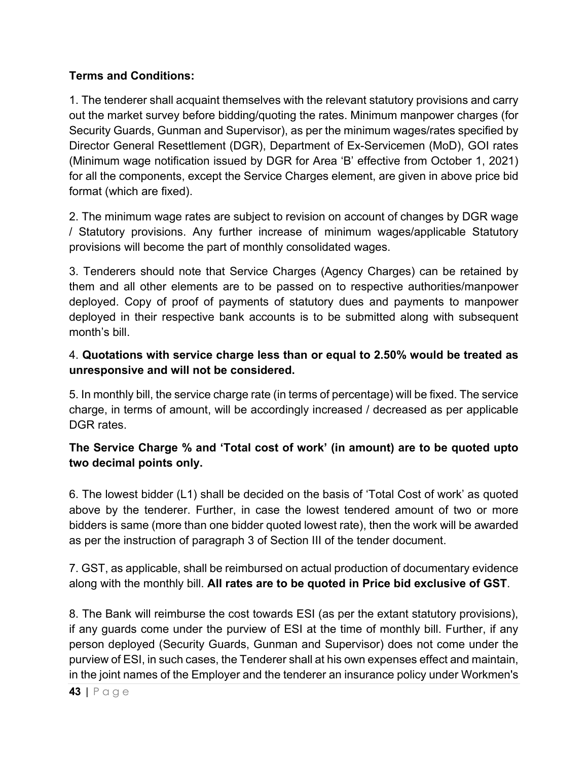### **Terms and Conditions:**

1. The tenderer shall acquaint themselves with the relevant statutory provisions and carry out the market survey before bidding/quoting the rates. Minimum manpower charges (for Security Guards, Gunman and Supervisor), as per the minimum wages/rates specified by Director General Resettlement (DGR), Department of Ex-Servicemen (MoD), GOI rates (Minimum wage notification issued by DGR for Area 'B' effective from October 1, 2021) for all the components, except the Service Charges element, are given in above price bid format (which are fixed).

2. The minimum wage rates are subject to revision on account of changes by DGR wage / Statutory provisions. Any further increase of minimum wages/applicable Statutory provisions will become the part of monthly consolidated wages.

3. Tenderers should note that Service Charges (Agency Charges) can be retained by them and all other elements are to be passed on to respective authorities/manpower deployed. Copy of proof of payments of statutory dues and payments to manpower deployed in their respective bank accounts is to be submitted along with subsequent month's bill.

# 4. **Quotations with service charge less than or equal to 2.50% would be treated as unresponsive and will not be considered.**

5. In monthly bill, the service charge rate (in terms of percentage) will be fixed. The service charge, in terms of amount, will be accordingly increased / decreased as per applicable DGR rates.

# **The Service Charge % and 'Total cost of work' (in amount) are to be quoted upto two decimal points only.**

6. The lowest bidder (L1) shall be decided on the basis of 'Total Cost of work' as quoted above by the tenderer. Further, in case the lowest tendered amount of two or more bidders is same (more than one bidder quoted lowest rate), then the work will be awarded as per the instruction of paragraph 3 of Section III of the tender document.

7. GST, as applicable, shall be reimbursed on actual production of documentary evidence along with the monthly bill. **All rates are to be quoted in Price bid exclusive of GST**.

8. The Bank will reimburse the cost towards ESI (as per the extant statutory provisions), if any guards come under the purview of ESI at the time of monthly bill. Further, if any person deployed (Security Guards, Gunman and Supervisor) does not come under the purview of ESI, in such cases, the Tenderer shall at his own expenses effect and maintain, in the joint names of the Employer and the tenderer an insurance policy under Workmen's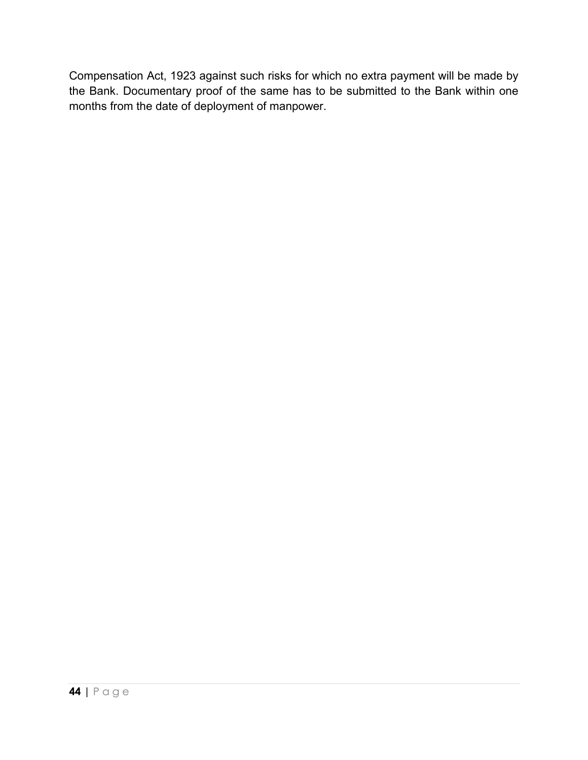Compensation Act, 1923 against such risks for which no extra payment will be made by the Bank. Documentary proof of the same has to be submitted to the Bank within one months from the date of deployment of manpower.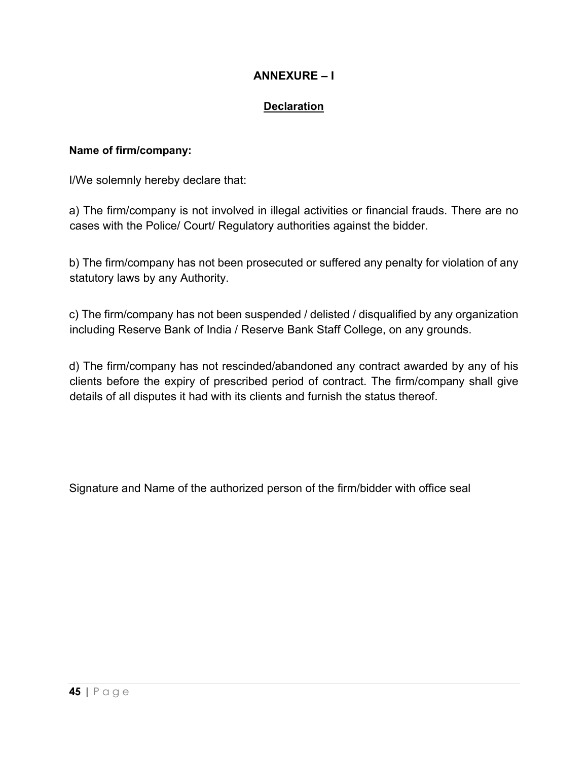# **ANNEXURE – I**

### **Declaration**

#### <span id="page-46-0"></span>**Name of firm/company:**

I/We solemnly hereby declare that:

a) The firm/company is not involved in illegal activities or financial frauds. There are no cases with the Police/ Court/ Regulatory authorities against the bidder.

b) The firm/company has not been prosecuted or suffered any penalty for violation of any statutory laws by any Authority.

c) The firm/company has not been suspended / delisted / disqualified by any organization including Reserve Bank of India / Reserve Bank Staff College, on any grounds.

d) The firm/company has not rescinded/abandoned any contract awarded by any of his clients before the expiry of prescribed period of contract. The firm/company shall give details of all disputes it had with its clients and furnish the status thereof.

Signature and Name of the authorized person of the firm/bidder with office seal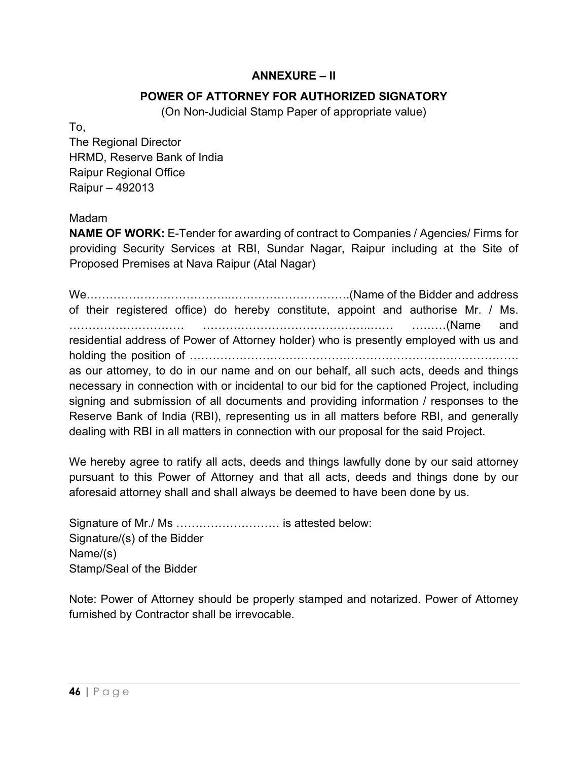### **ANNEXURE – II**

### **POWER OF ATTORNEY FOR AUTHORIZED SIGNATORY**

(On Non-Judicial Stamp Paper of appropriate value)

To,

The Regional Director HRMD, Reserve Bank of India Raipur Regional Office Raipur – 492013

### Madam

**NAME OF WORK:** E-Tender for awarding of contract to Companies / Agencies/ Firms for providing Security Services at RBI, Sundar Nagar, Raipur including at the Site of Proposed Premises at Nava Raipur (Atal Nagar)

We………………………………..………………………….(Name of the Bidder and address of their registered office) do hereby constitute, appoint and authorise Mr. / Ms. ………………………… ……………………………………..…… ………(Name and residential address of Power of Attorney holder) who is presently employed with us and holding the position of ………………………………………………………….………………. as our attorney, to do in our name and on our behalf, all such acts, deeds and things necessary in connection with or incidental to our bid for the captioned Project, including signing and submission of all documents and providing information / responses to the Reserve Bank of India (RBI), representing us in all matters before RBI, and generally dealing with RBI in all matters in connection with our proposal for the said Project.

We hereby agree to ratify all acts, deeds and things lawfully done by our said attorney pursuant to this Power of Attorney and that all acts, deeds and things done by our aforesaid attorney shall and shall always be deemed to have been done by us.

Signature of Mr./ Ms ……………………… is attested below: Signature/(s) of the Bidder Name/(s) Stamp/Seal of the Bidder

Note: Power of Attorney should be properly stamped and notarized. Power of Attorney furnished by Contractor shall be irrevocable.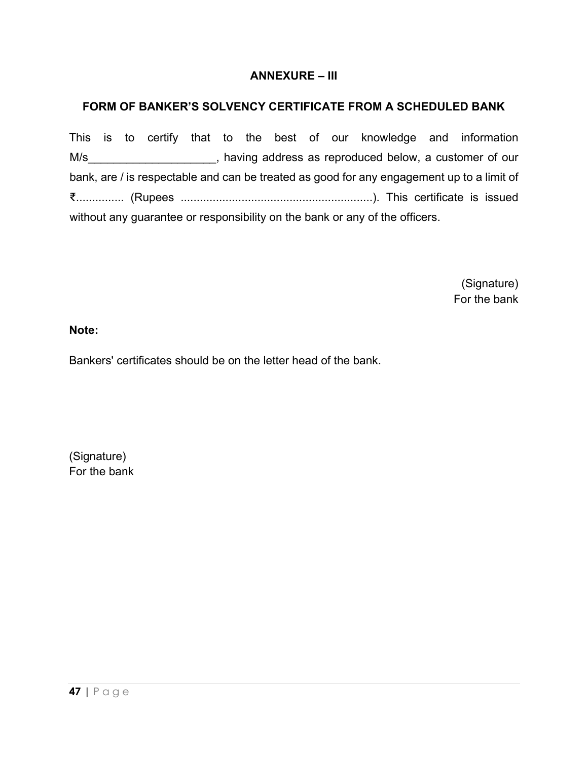### **ANNEXURE – III**

### **FORM OF BANKER'S SOLVENCY CERTIFICATE FROM A SCHEDULED BANK**

This is to certify that to the best of our knowledge and information M/s\_\_\_\_\_\_\_\_\_\_\_\_\_\_\_\_\_\_\_\_\_\_, having address as reproduced below, a customer of our bank, are / is respectable and can be treated as good for any engagement up to a limit of ₹............... (Rupees ............................................................). This certificate is issued without any guarantee or responsibility on the bank or any of the officers.

> (Signature) For the bank

#### **Note:**

Bankers' certificates should be on the letter head of the bank.

(Signature) For the bank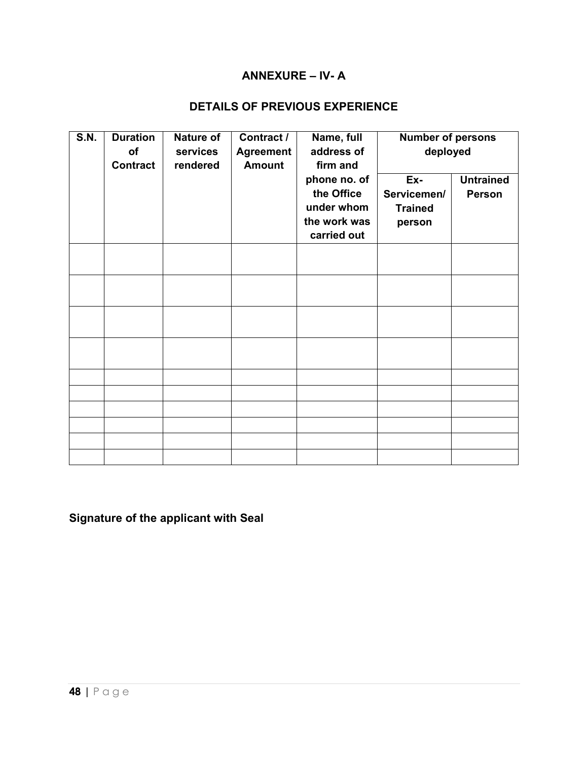### **ANNEXURE – IV- A**

# **DETAILS OF PREVIOUS EXPERIENCE**

<span id="page-49-0"></span>

| <b>S.N.</b> | <b>Duration</b><br>of<br><b>Contract</b> | Nature of<br>services<br>rendered | Contract /<br><b>Agreement</b><br><b>Amount</b> | Name, full<br>address of<br>firm and                                    | <b>Number of persons</b><br>deployed           |                                   |
|-------------|------------------------------------------|-----------------------------------|-------------------------------------------------|-------------------------------------------------------------------------|------------------------------------------------|-----------------------------------|
|             |                                          |                                   |                                                 | phone no. of<br>the Office<br>under whom<br>the work was<br>carried out | Ex-<br>Servicemen/<br><b>Trained</b><br>person | <b>Untrained</b><br><b>Person</b> |
|             |                                          |                                   |                                                 |                                                                         |                                                |                                   |
|             |                                          |                                   |                                                 |                                                                         |                                                |                                   |
|             |                                          |                                   |                                                 |                                                                         |                                                |                                   |
|             |                                          |                                   |                                                 |                                                                         |                                                |                                   |
|             |                                          |                                   |                                                 |                                                                         |                                                |                                   |
|             |                                          |                                   |                                                 |                                                                         |                                                |                                   |
|             |                                          |                                   |                                                 |                                                                         |                                                |                                   |
|             |                                          |                                   |                                                 |                                                                         |                                                |                                   |
|             |                                          |                                   |                                                 |                                                                         |                                                |                                   |
|             |                                          |                                   |                                                 |                                                                         |                                                |                                   |

# **Signature of the applicant with Seal**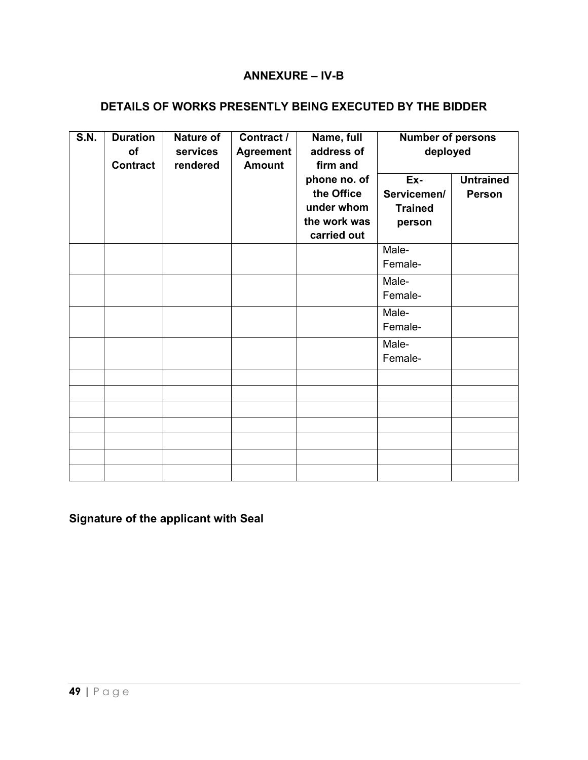### **ANNEXURE – IV-B**

### <span id="page-50-0"></span>**DETAILS OF WORKS PRESENTLY BEING EXECUTED BY THE BIDDER**

| <b>S.N.</b> | <b>Duration</b><br>of<br><b>Contract</b> | Nature of<br>services<br>rendered | Contract /<br><b>Agreement</b><br><b>Amount</b> | Name, full<br>address of<br>firm and | <b>Number of persons</b><br>deployed |                  |
|-------------|------------------------------------------|-----------------------------------|-------------------------------------------------|--------------------------------------|--------------------------------------|------------------|
|             |                                          |                                   |                                                 | phone no. of                         | Ex-                                  | <b>Untrained</b> |
|             |                                          |                                   |                                                 | the Office<br>under whom             | Servicemen/                          | Person           |
|             |                                          |                                   |                                                 | the work was                         | <b>Trained</b><br>person             |                  |
|             |                                          |                                   |                                                 | carried out                          |                                      |                  |
|             |                                          |                                   |                                                 |                                      | Male-                                |                  |
|             |                                          |                                   |                                                 |                                      | Female-                              |                  |
|             |                                          |                                   |                                                 |                                      | Male-                                |                  |
|             |                                          |                                   |                                                 |                                      | Female-                              |                  |
|             |                                          |                                   |                                                 |                                      | Male-                                |                  |
|             |                                          |                                   |                                                 |                                      | Female-                              |                  |
|             |                                          |                                   |                                                 |                                      | Male-                                |                  |
|             |                                          |                                   |                                                 |                                      | Female-                              |                  |
|             |                                          |                                   |                                                 |                                      |                                      |                  |
|             |                                          |                                   |                                                 |                                      |                                      |                  |
|             |                                          |                                   |                                                 |                                      |                                      |                  |
|             |                                          |                                   |                                                 |                                      |                                      |                  |
|             |                                          |                                   |                                                 |                                      |                                      |                  |
|             |                                          |                                   |                                                 |                                      |                                      |                  |
|             |                                          |                                   |                                                 |                                      |                                      |                  |

# **Signature of the applicant with Seal**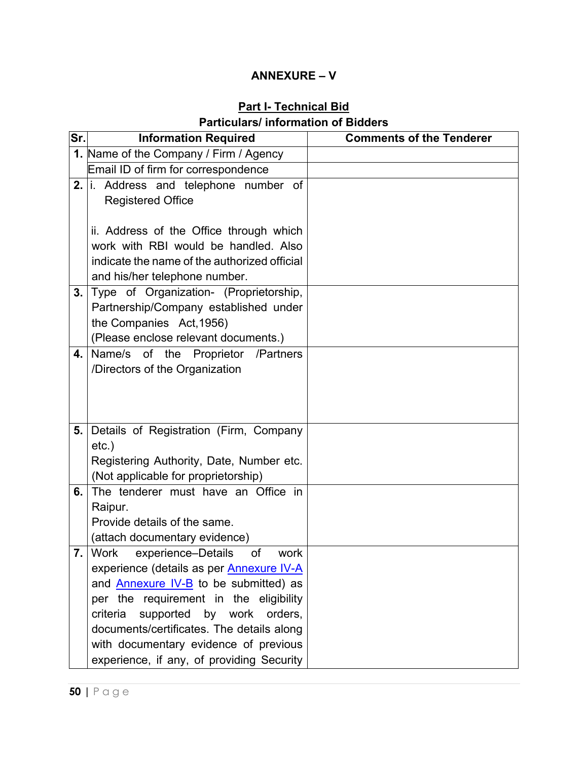# **ANNEXURE – V**

### **Part I- Technical Bid Particulars/ information of Bidders**

<span id="page-51-0"></span>

| Sr. | <b>Information Required</b>                                                    | <b>Comments of the Tenderer</b> |
|-----|--------------------------------------------------------------------------------|---------------------------------|
|     | 1. Name of the Company / Firm / Agency                                         |                                 |
|     | Email ID of firm for correspondence                                            |                                 |
|     | 2. $\vert$ i. Address and telephone number of                                  |                                 |
|     | <b>Registered Office</b>                                                       |                                 |
|     |                                                                                |                                 |
|     | ii. Address of the Office through which                                        |                                 |
|     | work with RBI would be handled. Also                                           |                                 |
|     | indicate the name of the authorized official                                   |                                 |
|     | and his/her telephone number.                                                  |                                 |
| 3.  | Type of Organization- (Proprietorship,                                         |                                 |
|     | Partnership/Company established under                                          |                                 |
|     | the Companies Act, 1956)                                                       |                                 |
|     | (Please enclose relevant documents.)                                           |                                 |
| 4.  | Name/s of the Proprietor /Partners                                             |                                 |
|     | /Directors of the Organization                                                 |                                 |
|     |                                                                                |                                 |
|     |                                                                                |                                 |
|     |                                                                                |                                 |
| 5.  | Details of Registration (Firm, Company                                         |                                 |
|     | $etc.$ )                                                                       |                                 |
|     | Registering Authority, Date, Number etc.                                       |                                 |
|     | (Not applicable for proprietorship)                                            |                                 |
| 6.  | The tenderer must have an Office in                                            |                                 |
|     | Raipur.                                                                        |                                 |
|     | Provide details of the same.                                                   |                                 |
|     | (attach documentary evidence)<br>$7.$ Work<br>experience-Details<br>of<br>work |                                 |
|     | experience (details as per <b>Annexure IV-A</b>                                |                                 |
|     | and <b>Annexure IV-B</b> to be submitted) as                                   |                                 |
|     | per the requirement in the eligibility                                         |                                 |
|     | criteria<br>supported<br>by work orders,                                       |                                 |
|     | documents/certificates. The details along                                      |                                 |
|     | with documentary evidence of previous                                          |                                 |
|     | experience, if any, of providing Security                                      |                                 |
|     |                                                                                |                                 |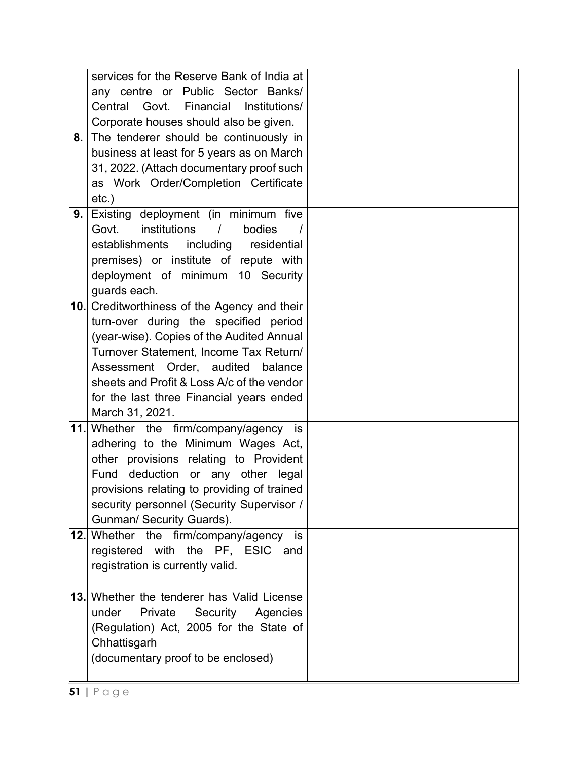|     | services for the Reserve Bank of India at         |  |
|-----|---------------------------------------------------|--|
|     | any centre or Public Sector Banks/                |  |
|     | Central Govt. Financial Institutions/             |  |
|     | Corporate houses should also be given.            |  |
| 8.  | The tenderer should be continuously in            |  |
|     | business at least for 5 years as on March         |  |
|     | 31, 2022. (Attach documentary proof such          |  |
|     | as Work Order/Completion Certificate              |  |
|     | $etc.$ )                                          |  |
| 9.  | Existing deployment (in minimum five              |  |
|     | institutions<br>Govt.<br>$\prime$<br>bodies       |  |
|     | establishments including residential              |  |
|     | premises) or institute of repute with             |  |
|     | deployment of minimum 10 Security                 |  |
|     | guards each.                                      |  |
|     | 10. Creditworthiness of the Agency and their      |  |
|     | turn-over during the specified period             |  |
|     | (year-wise). Copies of the Audited Annual         |  |
|     | Turnover Statement, Income Tax Return/            |  |
|     | Assessment Order, audited balance                 |  |
|     | sheets and Profit & Loss A/c of the vendor        |  |
|     | for the last three Financial years ended          |  |
|     | March 31, 2021.                                   |  |
| 11. | Whether the firm/company/agency is                |  |
|     | adhering to the Minimum Wages Act,                |  |
|     | other provisions relating to Provident            |  |
|     | Fund deduction or any other legal                 |  |
|     | provisions relating to providing of trained       |  |
|     | security personnel (Security Supervisor /         |  |
|     | Gunman/ Security Guards).                         |  |
|     | <b>12.</b> Whether the firm/company/agency<br>is. |  |
|     | registered with the PF, ESIC and                  |  |
|     | registration is currently valid.                  |  |
|     |                                                   |  |
| 13. | Whether the tenderer has Valid License            |  |
|     | under<br>Private<br>Security<br>Agencies          |  |
|     | (Regulation) Act, 2005 for the State of           |  |
|     | Chhattisgarh                                      |  |
|     | (documentary proof to be enclosed)                |  |
|     |                                                   |  |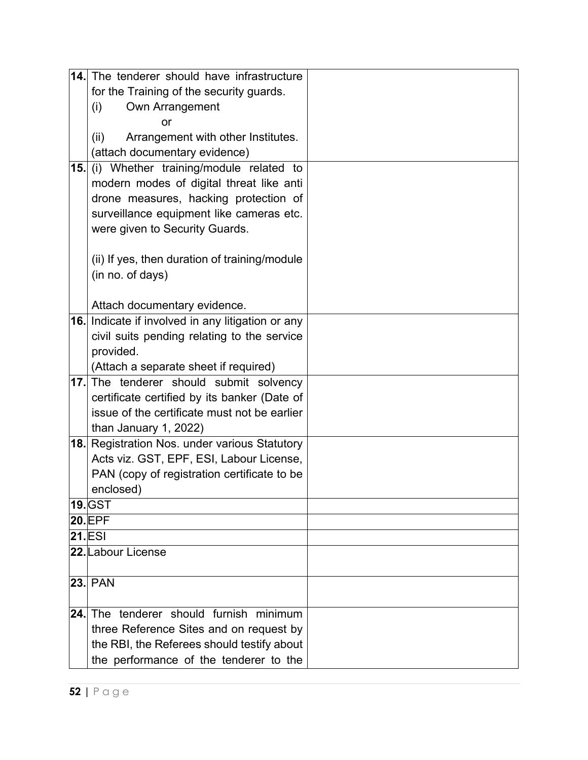|     | 14. The tenderer should have infrastructure       |  |
|-----|---------------------------------------------------|--|
|     | for the Training of the security guards.          |  |
|     | Own Arrangement<br>(i)                            |  |
|     | or                                                |  |
|     | Arrangement with other Institutes.<br>(ii)        |  |
|     | (attach documentary evidence)                     |  |
| 15. | (i) Whether training/module related to            |  |
|     | modern modes of digital threat like anti          |  |
|     | drone measures, hacking protection of             |  |
|     | surveillance equipment like cameras etc.          |  |
|     | were given to Security Guards.                    |  |
|     |                                                   |  |
|     | (ii) If yes, then duration of training/module     |  |
|     | (in no. of days)                                  |  |
|     |                                                   |  |
|     | Attach documentary evidence.                      |  |
|     | 16. Indicate if involved in any litigation or any |  |
|     | civil suits pending relating to the service       |  |
|     | provided.                                         |  |
|     | (Attach a separate sheet if required)             |  |
| 17. | The tenderer should submit solvency               |  |
|     | certificate certified by its banker (Date of      |  |
|     | issue of the certificate must not be earlier      |  |
|     | than January 1, 2022)                             |  |
| 18. | Registration Nos. under various Statutory         |  |
|     | Acts viz. GST, EPF, ESI, Labour License,          |  |
|     | PAN (copy of registration certificate to be       |  |
|     | enclosed)                                         |  |
|     | <b>19.</b> GST                                    |  |
|     | <b>20.EPF</b>                                     |  |
|     | <b>21.ESI</b>                                     |  |
|     | 22. Labour License                                |  |
|     |                                                   |  |
|     | <b>23. PAN</b>                                    |  |
| 24. | The tenderer should furnish minimum               |  |
|     |                                                   |  |
|     | three Reference Sites and on request by           |  |
|     | the RBI, the Referees should testify about        |  |
|     | the performance of the tenderer to the            |  |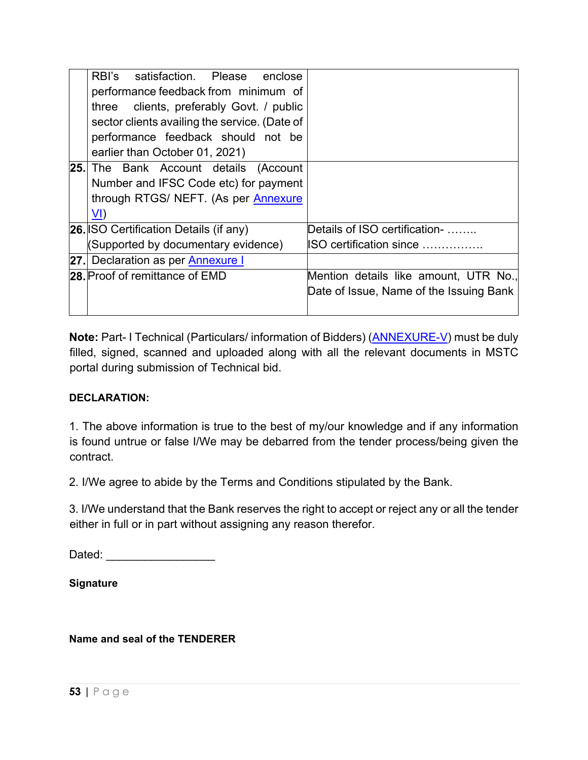| RBI's satisfaction. Please enclose            |                                         |
|-----------------------------------------------|-----------------------------------------|
| performance feedback from minimum of          |                                         |
| three clients, preferably Govt. / public      |                                         |
| sector clients availing the service. (Date of |                                         |
| performance feedback should not be            |                                         |
| earlier than October 01, 2021)                |                                         |
| <b>25.</b> The Bank Account details (Account  |                                         |
| Number and IFSC Code etc) for payment         |                                         |
| through RTGS/ NEFT. (As per Annexure          |                                         |
| <u>VI)</u>                                    |                                         |
| <b>26. ISO Certification Details (if any)</b> | Details of ISO certification-           |
| (Supported by documentary evidence)           | ISO certification since                 |
| 27. Declaration as per <b>Annexure I</b>      |                                         |
| 28. Proof of remittance of EMD                | Mention details like amount, UTR No.,   |
|                                               | Date of Issue, Name of the Issuing Bank |
|                                               |                                         |

**Note:** Part- I Technical (Particulars/ information of Bidders) ([ANNEXURE](#page-51-0)-V) must be duly filled, signed, scanned and uploaded along with all the relevant documents in MSTC portal during submission of Technical bid.

#### **DECLARATION:**

1. The above information is true to the best of my/our knowledge and if any information is found untrue or false I/We may be debarred from the tender process/being given the contract.

2. I/We agree to abide by the Terms and Conditions stipulated by the Bank.

3. I/We understand that the Bank reserves the right to accept or reject any or all the tender either in full or in part without assigning any reason therefor.

Dated: \_\_\_\_\_\_\_\_\_\_\_\_\_\_\_\_\_\_\_\_\_\_\_

**Signature** 

**Name and seal of the TENDERER**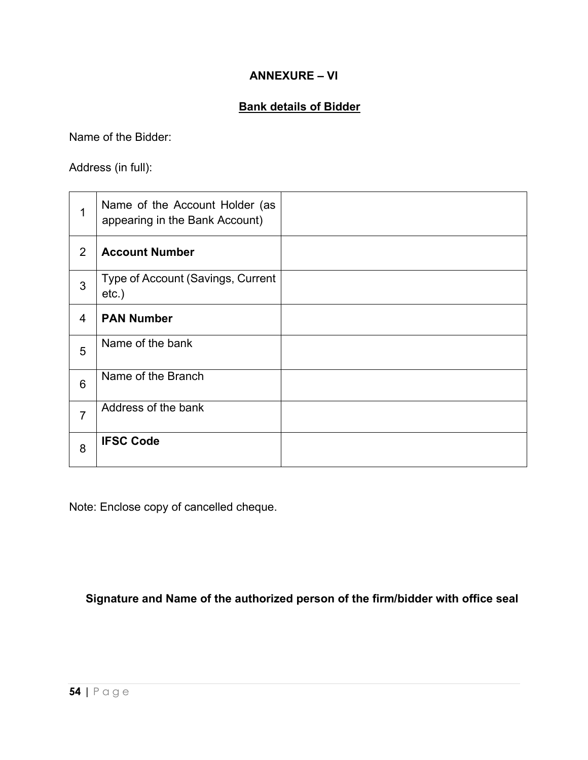### **ANNEXURE – VI**

### **Bank details of Bidder**

<span id="page-55-0"></span>Name of the Bidder:

Address (in full):

|                 | Name of the Account Holder (as<br>appearing in the Bank Account) |  |
|-----------------|------------------------------------------------------------------|--|
| 2               | <b>Account Number</b>                                            |  |
| 3               | Type of Account (Savings, Current<br>$etc.$ )                    |  |
| 4               | <b>PAN Number</b>                                                |  |
| 5               | Name of the bank                                                 |  |
| $6\phantom{1}6$ | Name of the Branch                                               |  |
| 7               | Address of the bank                                              |  |
| 8               | <b>IFSC Code</b>                                                 |  |

Note: Enclose copy of cancelled cheque.

**Signature and Name of the authorized person of the firm/bidder with office seal**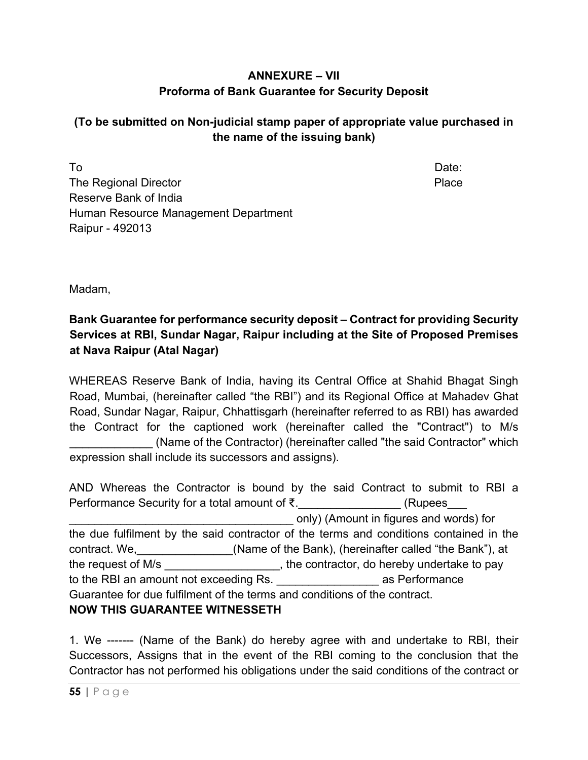# **ANNEXURE – VII Proforma of Bank Guarantee for Security Deposit**

# **(To be submitted on Non-judicial stamp paper of appropriate value purchased in the name of the issuing bank)**

To and the contract of the contract of the contract of the contract of the Date: The Regional Director **Place** Place Reserve Bank of India Human Resource Management Department Raipur - 492013

Madam,

# **Bank Guarantee for performance security deposit – Contract for providing Security Services at RBI, Sundar Nagar, Raipur including at the Site of Proposed Premises at Nava Raipur (Atal Nagar)**

WHEREAS Reserve Bank of India, having its Central Office at Shahid Bhagat Singh Road, Mumbai, (hereinafter called "the RBI") and its Regional Office at Mahadev Ghat Road, Sundar Nagar, Raipur, Chhattisgarh (hereinafter referred to as RBI) has awarded the Contract for the captioned work (hereinafter called the "Contract") to M/s \_\_\_\_\_\_\_\_\_\_\_\_\_ (Name of the Contractor) (hereinafter called "the said Contractor" which expression shall include its successors and assigns).

AND Whereas the Contractor is bound by the said Contract to submit to RBI a Performance Security for a total amount of ₹. The example of CRupees \_\_\_\_\_\_\_\_\_\_\_\_\_\_\_\_\_\_\_\_\_\_\_\_\_\_\_\_\_\_\_\_\_\_\_ only) (Amount in figures and words) for the due fulfilment by the said contractor of the terms and conditions contained in the contract. We, etc. (Name of the Bank), (hereinafter called "the Bank"), at the request of M/s example the contractor, do hereby undertake to pay to the RBI an amount not exceeding Rs. The same as Performance Guarantee for due fulfilment of the terms and conditions of the contract. **NOW THIS GUARANTEE WITNESSETH** 

1. We ------- (Name of the Bank) do hereby agree with and undertake to RBI, their Successors, Assigns that in the event of the RBI coming to the conclusion that the Contractor has not performed his obligations under the said conditions of the contract or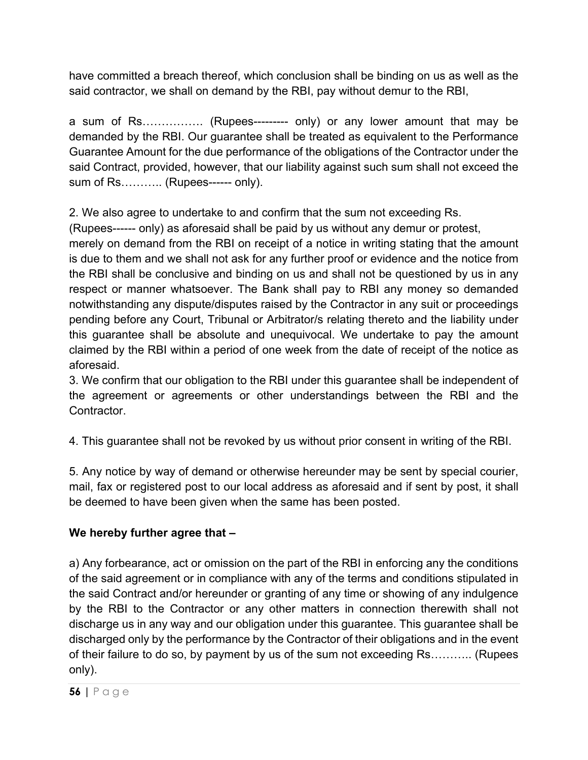have committed a breach thereof, which conclusion shall be binding on us as well as the said contractor, we shall on demand by the RBI, pay without demur to the RBI,

a sum of Rs……………. (Rupees--------- only) or any lower amount that may be demanded by the RBI. Our guarantee shall be treated as equivalent to the Performance Guarantee Amount for the due performance of the obligations of the Contractor under the said Contract, provided, however, that our liability against such sum shall not exceed the sum of Rs........... (Rupees------ only).

2. We also agree to undertake to and confirm that the sum not exceeding Rs.

(Rupees------ only) as aforesaid shall be paid by us without any demur or protest,

merely on demand from the RBI on receipt of a notice in writing stating that the amount is due to them and we shall not ask for any further proof or evidence and the notice from the RBI shall be conclusive and binding on us and shall not be questioned by us in any respect or manner whatsoever. The Bank shall pay to RBI any money so demanded notwithstanding any dispute/disputes raised by the Contractor in any suit or proceedings pending before any Court, Tribunal or Arbitrator/s relating thereto and the liability under this guarantee shall be absolute and unequivocal. We undertake to pay the amount claimed by the RBI within a period of one week from the date of receipt of the notice as aforesaid.

3. We confirm that our obligation to the RBI under this guarantee shall be independent of the agreement or agreements or other understandings between the RBI and the **Contractor** 

4. This guarantee shall not be revoked by us without prior consent in writing of the RBI.

5. Any notice by way of demand or otherwise hereunder may be sent by special courier, mail, fax or registered post to our local address as aforesaid and if sent by post, it shall be deemed to have been given when the same has been posted.

# **We hereby further agree that –**

a) Any forbearance, act or omission on the part of the RBI in enforcing any the conditions of the said agreement or in compliance with any of the terms and conditions stipulated in the said Contract and/or hereunder or granting of any time or showing of any indulgence by the RBI to the Contractor or any other matters in connection therewith shall not discharge us in any way and our obligation under this guarantee. This guarantee shall be discharged only by the performance by the Contractor of their obligations and in the event of their failure to do so, by payment by us of the sum not exceeding Rs……….. (Rupees only).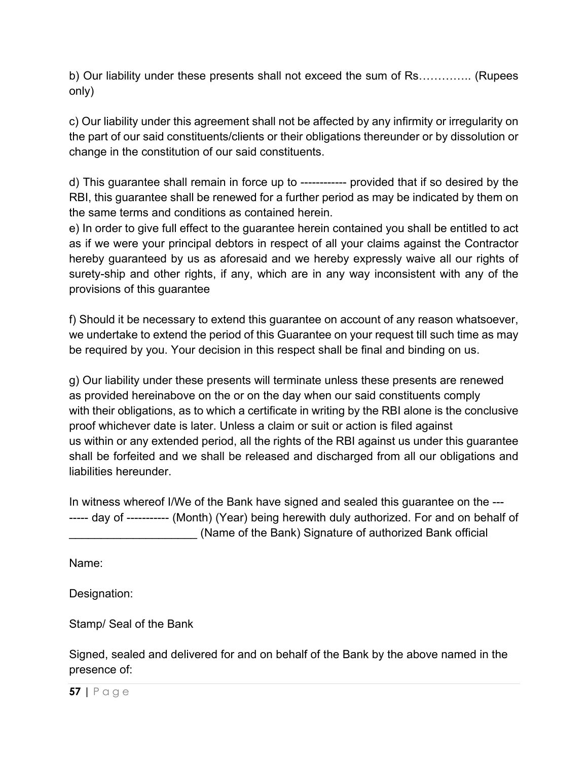b) Our liability under these presents shall not exceed the sum of Rs………….. (Rupees only)

c) Our liability under this agreement shall not be affected by any infirmity or irregularity on the part of our said constituents/clients or their obligations thereunder or by dissolution or change in the constitution of our said constituents.

d) This guarantee shall remain in force up to ------------ provided that if so desired by the RBI, this guarantee shall be renewed for a further period as may be indicated by them on the same terms and conditions as contained herein.

e) In order to give full effect to the guarantee herein contained you shall be entitled to act as if we were your principal debtors in respect of all your claims against the Contractor hereby guaranteed by us as aforesaid and we hereby expressly waive all our rights of surety-ship and other rights, if any, which are in any way inconsistent with any of the provisions of this guarantee

f) Should it be necessary to extend this guarantee on account of any reason whatsoever, we undertake to extend the period of this Guarantee on your request till such time as may be required by you. Your decision in this respect shall be final and binding on us.

g) Our liability under these presents will terminate unless these presents are renewed as provided hereinabove on the or on the day when our said constituents comply with their obligations, as to which a certificate in writing by the RBI alone is the conclusive proof whichever date is later. Unless a claim or suit or action is filed against us within or any extended period, all the rights of the RBI against us under this guarantee shall be forfeited and we shall be released and discharged from all our obligations and liabilities hereunder.

In witness whereof I/We of the Bank have signed and sealed this guarantee on the --- ----- day of ----------- (Month) (Year) being herewith duly authorized. For and on behalf of \_\_\_\_\_\_\_\_\_\_\_\_\_\_\_\_\_\_\_\_ (Name of the Bank) Signature of authorized Bank official

Name:

Designation:

Stamp/ Seal of the Bank

Signed, sealed and delivered for and on behalf of the Bank by the above named in the presence of:

**57 |** Page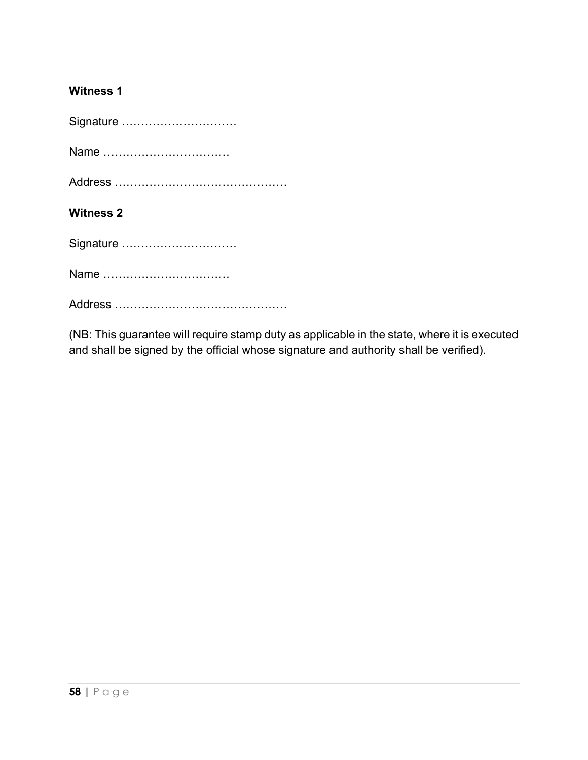# **Witness 1**

| Signature        |
|------------------|
| Name             |
|                  |
| <b>Witness 2</b> |
| Signature        |
| Name             |
|                  |

(NB: This guarantee will require stamp duty as applicable in the state, where it is executed and shall be signed by the official whose signature and authority shall be verified).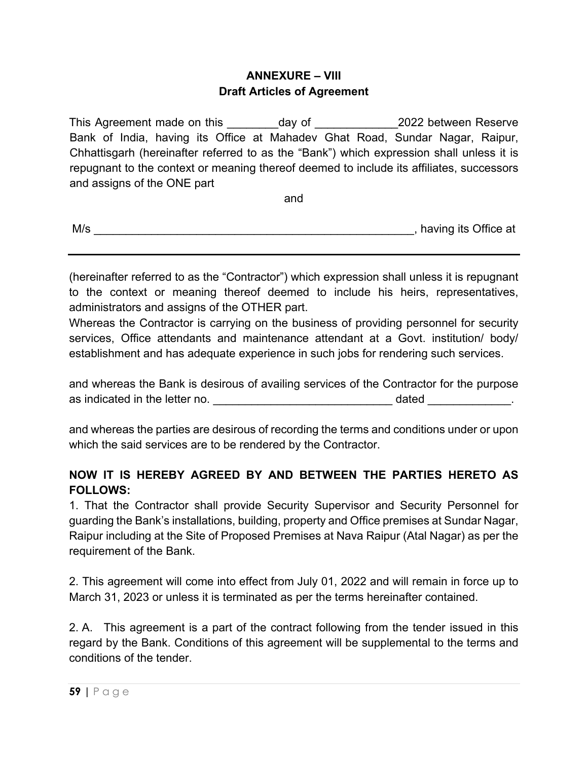### **ANNEXURE – VIII Draft Articles of Agreement**

<span id="page-60-0"></span>This Agreement made on this day of and the 2022 between Reserve Bank of India, having its Office at Mahadev Ghat Road, Sundar Nagar, Raipur, Chhattisgarh (hereinafter referred to as the "Bank") which expression shall unless it is repugnant to the context or meaning thereof deemed to include its affiliates, successors and assigns of the ONE part

and

| M/s | having its Office at |
|-----|----------------------|
|     |                      |

(hereinafter referred to as the "Contractor") which expression shall unless it is repugnant to the context or meaning thereof deemed to include his heirs, representatives, administrators and assigns of the OTHER part.

Whereas the Contractor is carrying on the business of providing personnel for security services, Office attendants and maintenance attendant at a Govt. institution/ body/ establishment and has adequate experience in such jobs for rendering such services.

and whereas the Bank is desirous of availing services of the Contractor for the purpose as indicated in the letter no. The same state of the dated and the letter no.

and whereas the parties are desirous of recording the terms and conditions under or upon which the said services are to be rendered by the Contractor.

# **NOW IT IS HEREBY AGREED BY AND BETWEEN THE PARTIES HERETO AS FOLLOWS:**

1. That the Contractor shall provide Security Supervisor and Security Personnel for guarding the Bank's installations, building, property and Office premises at Sundar Nagar, Raipur including at the Site of Proposed Premises at Nava Raipur (Atal Nagar) as per the requirement of the Bank.

2. This agreement will come into effect from July 01, 2022 and will remain in force up to March 31, 2023 or unless it is terminated as per the terms hereinafter contained.

2. A. This agreement is a part of the contract following from the tender issued in this regard by the Bank. Conditions of this agreement will be supplemental to the terms and conditions of the tender.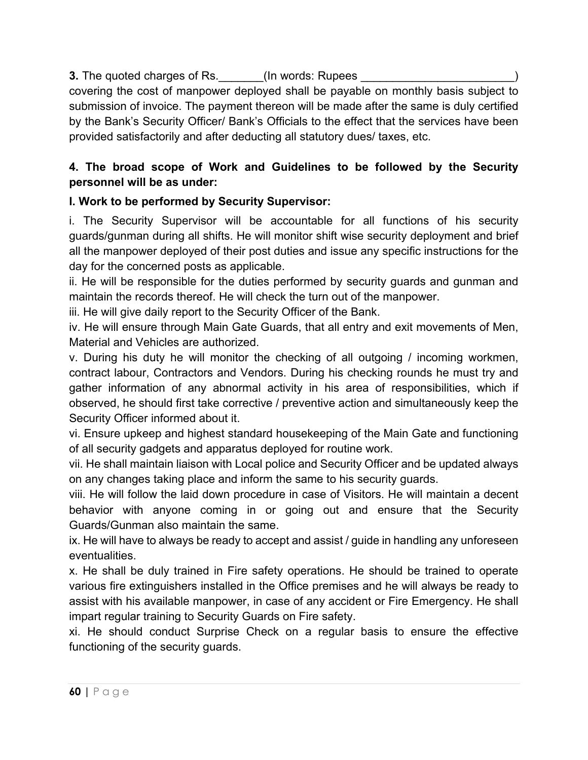### **3.** The quoted charges of Rs. \_\_\_\_\_\_\_\_(In words: Rupees

covering the cost of manpower deployed shall be payable on monthly basis subject to submission of invoice. The payment thereon will be made after the same is duly certified by the Bank's Security Officer/ Bank's Officials to the effect that the services have been provided satisfactorily and after deducting all statutory dues/ taxes, etc.

# **4. The broad scope of Work and Guidelines to be followed by the Security personnel will be as under:**

# **I. Work to be performed by Security Supervisor:**

i. The Security Supervisor will be accountable for all functions of his security guards/gunman during all shifts. He will monitor shift wise security deployment and brief all the manpower deployed of their post duties and issue any specific instructions for the day for the concerned posts as applicable.

ii. He will be responsible for the duties performed by security guards and gunman and maintain the records thereof. He will check the turn out of the manpower.

iii. He will give daily report to the Security Officer of the Bank.

iv. He will ensure through Main Gate Guards, that all entry and exit movements of Men, Material and Vehicles are authorized.

v. During his duty he will monitor the checking of all outgoing / incoming workmen, contract labour, Contractors and Vendors. During his checking rounds he must try and gather information of any abnormal activity in his area of responsibilities, which if observed, he should first take corrective / preventive action and simultaneously keep the Security Officer informed about it.

vi. Ensure upkeep and highest standard housekeeping of the Main Gate and functioning of all security gadgets and apparatus deployed for routine work.

vii. He shall maintain liaison with Local police and Security Officer and be updated always on any changes taking place and inform the same to his security guards.

viii. He will follow the laid down procedure in case of Visitors. He will maintain a decent behavior with anyone coming in or going out and ensure that the Security Guards/Gunman also maintain the same.

ix. He will have to always be ready to accept and assist / guide in handling any unforeseen eventualities.

x. He shall be duly trained in Fire safety operations. He should be trained to operate various fire extinguishers installed in the Office premises and he will always be ready to assist with his available manpower, in case of any accident or Fire Emergency. He shall impart regular training to Security Guards on Fire safety.

xi. He should conduct Surprise Check on a regular basis to ensure the effective functioning of the security guards.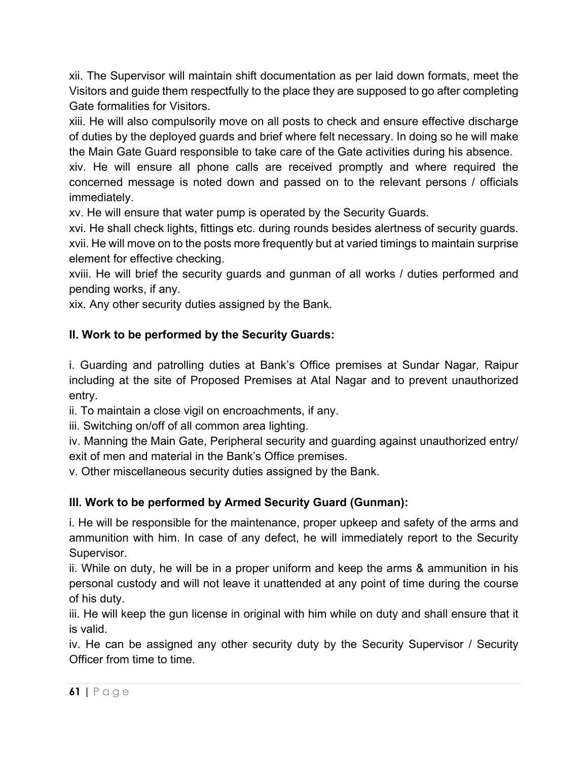xii. The Supervisor will maintain shift documentation as per laid down formats, meet the Visitors and guide them respectfully to the place they are supposed to go after completing Gate formalities for Visitors.

xiii. He will also compulsorily move on all posts to check and ensure effective discharge of duties by the deployed guards and brief where felt necessary. In doing so he will make the Main Gate Guard responsible to take care of the Gate activities during his absence.

xiv. He will ensure all phone calls are received promptly and where required the concerned message is noted down and passed on to the relevant persons / officials immediately.

xv. He will ensure that water pump is operated by the Security Guards.

xvi. He shall check lights, fittings etc. during rounds besides alertness of security guards. xvii. He will move on to the posts more frequently but at varied timings to maintain surprise element for effective checking.

xviii. He will brief the security guards and gunman of all works / duties performed and pending works, if any.

xix. Any other security duties assigned by the Bank.

# **II. Work to be performed by the Security Guards:**

i. Guarding and patrolling duties at Bank's Office premises at Sundar Nagar, Raipur including at the site of Proposed Premises at Atal Nagar and to prevent unauthorized entry.

ii. To maintain a close vigil on encroachments, if any.

iii. Switching on/off of all common area lighting.

iv. Manning the Main Gate, Peripheral security and guarding against unauthorized entry/ exit of men and material in the Bank's Office premises.

v. Other miscellaneous security duties assigned by the Bank.

# **III. Work to be performed by Armed Security Guard (Gunman):**

i. He will be responsible for the maintenance, proper upkeep and safety of the arms and ammunition with him. In case of any defect, he will immediately report to the Security Supervisor.

ii. While on duty, he will be in a proper uniform and keep the arms & ammunition in his personal custody and will not leave it unattended at any point of time during the course of his duty.

iii. He will keep the gun license in original with him while on duty and shall ensure that it is valid.

iv. He can be assigned any other security duty by the Security Supervisor / Security Officer from time to time.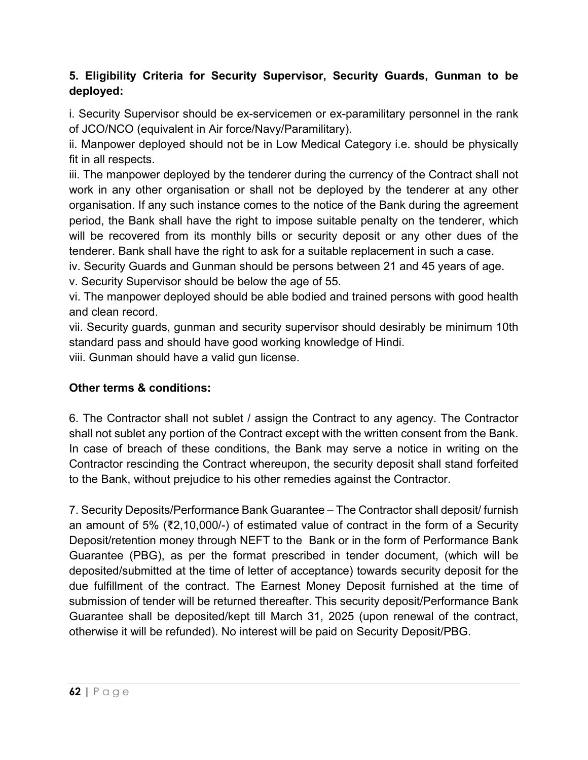# **5. Eligibility Criteria for Security Supervisor, Security Guards, Gunman to be deployed:**

i. Security Supervisor should be ex-servicemen or ex-paramilitary personnel in the rank of JCO/NCO (equivalent in Air force/Navy/Paramilitary).

ii. Manpower deployed should not be in Low Medical Category i.e. should be physically fit in all respects.

iii. The manpower deployed by the tenderer during the currency of the Contract shall not work in any other organisation or shall not be deployed by the tenderer at any other organisation. If any such instance comes to the notice of the Bank during the agreement period, the Bank shall have the right to impose suitable penalty on the tenderer, which will be recovered from its monthly bills or security deposit or any other dues of the tenderer. Bank shall have the right to ask for a suitable replacement in such a case.

iv. Security Guards and Gunman should be persons between 21 and 45 years of age.

v. Security Supervisor should be below the age of 55.

vi. The manpower deployed should be able bodied and trained persons with good health and clean record.

vii. Security guards, gunman and security supervisor should desirably be minimum 10th standard pass and should have good working knowledge of Hindi.

viii. Gunman should have a valid gun license.

# **Other terms & conditions:**

6. The Contractor shall not sublet / assign the Contract to any agency. The Contractor shall not sublet any portion of the Contract except with the written consent from the Bank. In case of breach of these conditions, the Bank may serve a notice in writing on the Contractor rescinding the Contract whereupon, the security deposit shall stand forfeited to the Bank, without prejudice to his other remedies against the Contractor.

7. Security Deposits/Performance Bank Guarantee – The Contractor shall deposit/ furnish an amount of 5% (₹2,10,000/-) of estimated value of contract in the form of a Security Deposit/retention money through NEFT to the Bank or in the form of Performance Bank Guarantee (PBG), as per the format prescribed in tender document, (which will be deposited/submitted at the time of letter of acceptance) towards security deposit for the due fulfillment of the contract. The Earnest Money Deposit furnished at the time of submission of tender will be returned thereafter. This security deposit/Performance Bank Guarantee shall be deposited/kept till March 31, 2025 (upon renewal of the contract, otherwise it will be refunded). No interest will be paid on Security Deposit/PBG.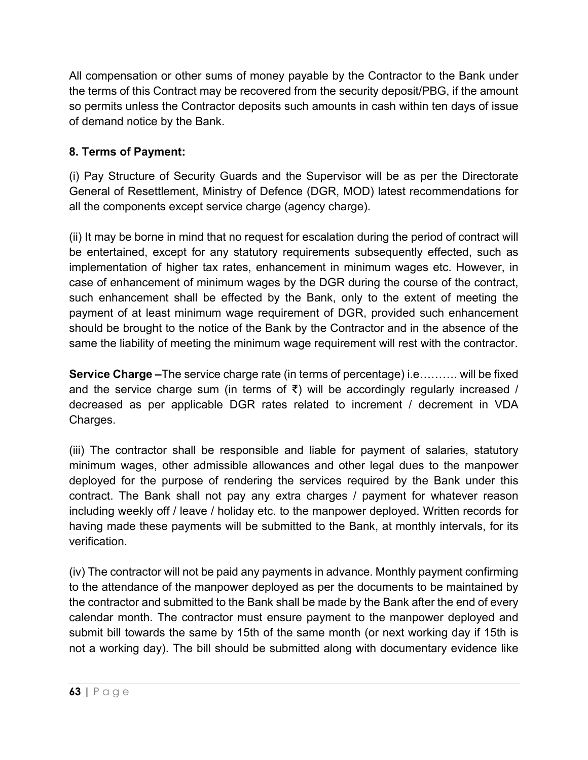All compensation or other sums of money payable by the Contractor to the Bank under the terms of this Contract may be recovered from the security deposit/PBG, if the amount so permits unless the Contractor deposits such amounts in cash within ten days of issue of demand notice by the Bank.

# **8. Terms of Payment:**

(i) Pay Structure of Security Guards and the Supervisor will be as per the Directorate General of Resettlement, Ministry of Defence (DGR, MOD) latest recommendations for all the components except service charge (agency charge).

(ii) It may be borne in mind that no request for escalation during the period of contract will be entertained, except for any statutory requirements subsequently effected, such as implementation of higher tax rates, enhancement in minimum wages etc. However, in case of enhancement of minimum wages by the DGR during the course of the contract, such enhancement shall be effected by the Bank, only to the extent of meeting the payment of at least minimum wage requirement of DGR, provided such enhancement should be brought to the notice of the Bank by the Contractor and in the absence of the same the liability of meeting the minimum wage requirement will rest with the contractor.

**Service Charge –**The service charge rate (in terms of percentage) i.e………. will be fixed and the service charge sum (in terms of  $\bar{x}$ ) will be accordingly regularly increased / decreased as per applicable DGR rates related to increment / decrement in VDA Charges.

(iii) The contractor shall be responsible and liable for payment of salaries, statutory minimum wages, other admissible allowances and other legal dues to the manpower deployed for the purpose of rendering the services required by the Bank under this contract. The Bank shall not pay any extra charges / payment for whatever reason including weekly off / leave / holiday etc. to the manpower deployed. Written records for having made these payments will be submitted to the Bank, at monthly intervals, for its verification.

(iv) The contractor will not be paid any payments in advance. Monthly payment confirming to the attendance of the manpower deployed as per the documents to be maintained by the contractor and submitted to the Bank shall be made by the Bank after the end of every calendar month. The contractor must ensure payment to the manpower deployed and submit bill towards the same by 15th of the same month (or next working day if 15th is not a working day). The bill should be submitted along with documentary evidence like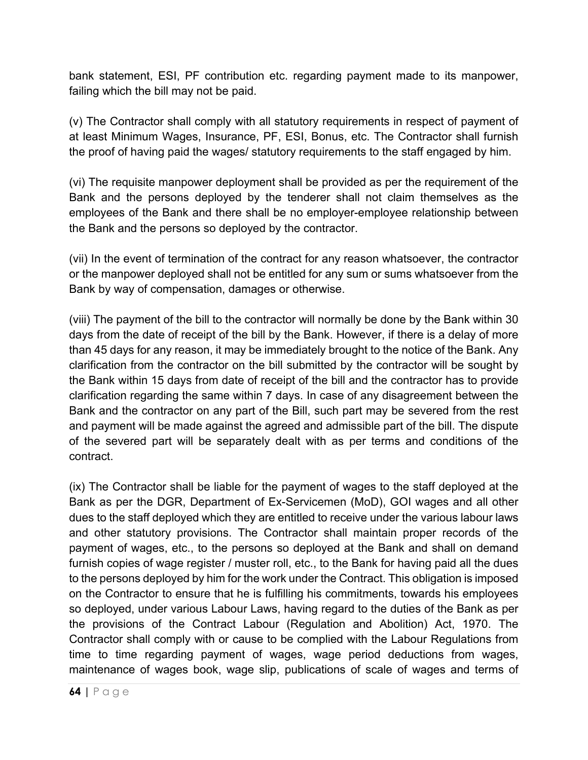bank statement, ESI, PF contribution etc. regarding payment made to its manpower, failing which the bill may not be paid.

(v) The Contractor shall comply with all statutory requirements in respect of payment of at least Minimum Wages, Insurance, PF, ESI, Bonus, etc. The Contractor shall furnish the proof of having paid the wages/ statutory requirements to the staff engaged by him.

(vi) The requisite manpower deployment shall be provided as per the requirement of the Bank and the persons deployed by the tenderer shall not claim themselves as the employees of the Bank and there shall be no employer-employee relationship between the Bank and the persons so deployed by the contractor.

(vii) In the event of termination of the contract for any reason whatsoever, the contractor or the manpower deployed shall not be entitled for any sum or sums whatsoever from the Bank by way of compensation, damages or otherwise.

(viii) The payment of the bill to the contractor will normally be done by the Bank within 30 days from the date of receipt of the bill by the Bank. However, if there is a delay of more than 45 days for any reason, it may be immediately brought to the notice of the Bank. Any clarification from the contractor on the bill submitted by the contractor will be sought by the Bank within 15 days from date of receipt of the bill and the contractor has to provide clarification regarding the same within 7 days. In case of any disagreement between the Bank and the contractor on any part of the Bill, such part may be severed from the rest and payment will be made against the agreed and admissible part of the bill. The dispute of the severed part will be separately dealt with as per terms and conditions of the contract.

(ix) The Contractor shall be liable for the payment of wages to the staff deployed at the Bank as per the DGR, Department of Ex-Servicemen (MoD), GOI wages and all other dues to the staff deployed which they are entitled to receive under the various labour laws and other statutory provisions. The Contractor shall maintain proper records of the payment of wages, etc., to the persons so deployed at the Bank and shall on demand furnish copies of wage register / muster roll, etc., to the Bank for having paid all the dues to the persons deployed by him for the work under the Contract. This obligation is imposed on the Contractor to ensure that he is fulfilling his commitments, towards his employees so deployed, under various Labour Laws, having regard to the duties of the Bank as per the provisions of the Contract Labour (Regulation and Abolition) Act, 1970. The Contractor shall comply with or cause to be complied with the Labour Regulations from time to time regarding payment of wages, wage period deductions from wages, maintenance of wages book, wage slip, publications of scale of wages and terms of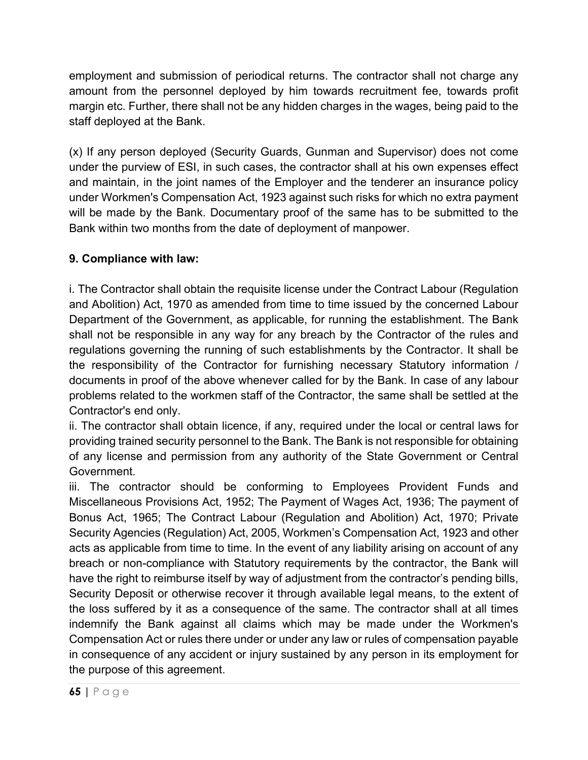employment and submission of periodical returns. The contractor shall not charge any amount from the personnel deployed by him towards recruitment fee, towards profit margin etc. Further, there shall not be any hidden charges in the wages, being paid to the staff deployed at the Bank.

(x) If any person deployed (Security Guards, Gunman and Supervisor) does not come under the purview of ESI, in such cases, the contractor shall at his own expenses effect and maintain, in the joint names of the Employer and the tenderer an insurance policy under Workmen's Compensation Act, 1923 against such risks for which no extra payment will be made by the Bank. Documentary proof of the same has to be submitted to the Bank within two months from the date of deployment of manpower.

# **9. Compliance with law:**

i. The Contractor shall obtain the requisite license under the Contract Labour (Regulation and Abolition) Act, 1970 as amended from time to time issued by the concerned Labour Department of the Government, as applicable, for running the establishment. The Bank shall not be responsible in any way for any breach by the Contractor of the rules and regulations governing the running of such establishments by the Contractor. It shall be the responsibility of the Contractor for furnishing necessary Statutory information / documents in proof of the above whenever called for by the Bank. In case of any labour problems related to the workmen staff of the Contractor, the same shall be settled at the Contractor's end only.

ii. The contractor shall obtain licence, if any, required under the local or central laws for providing trained security personnel to the Bank. The Bank is not responsible for obtaining of any license and permission from any authority of the State Government or Central Government.

iii. The contractor should be conforming to Employees Provident Funds and Miscellaneous Provisions Act, 1952; The Payment of Wages Act, 1936; The payment of Bonus Act, 1965; The Contract Labour (Regulation and Abolition) Act, 1970; Private Security Agencies (Regulation) Act, 2005, Workmen's Compensation Act, 1923 and other acts as applicable from time to time. In the event of any liability arising on account of any breach or non-compliance with Statutory requirements by the contractor, the Bank will have the right to reimburse itself by way of adjustment from the contractor's pending bills, Security Deposit or otherwise recover it through available legal means, to the extent of the loss suffered by it as a consequence of the same. The contractor shall at all times indemnify the Bank against all claims which may be made under the Workmen's Compensation Act or rules there under or under any law or rules of compensation payable in consequence of any accident or injury sustained by any person in its employment for the purpose of this agreement.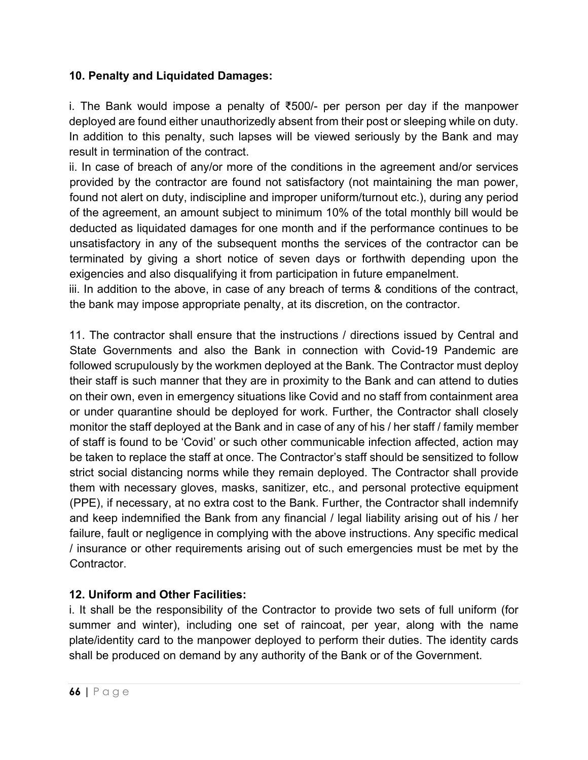### **10. Penalty and Liquidated Damages:**

i. The Bank would impose a penalty of ₹500/- per person per day if the manpower deployed are found either unauthorizedly absent from their post or sleeping while on duty. In addition to this penalty, such lapses will be viewed seriously by the Bank and may result in termination of the contract.

ii. In case of breach of any/or more of the conditions in the agreement and/or services provided by the contractor are found not satisfactory (not maintaining the man power, found not alert on duty, indiscipline and improper uniform/turnout etc.), during any period of the agreement, an amount subject to minimum 10% of the total monthly bill would be deducted as liquidated damages for one month and if the performance continues to be unsatisfactory in any of the subsequent months the services of the contractor can be terminated by giving a short notice of seven days or forthwith depending upon the exigencies and also disqualifying it from participation in future empanelment.

iii. In addition to the above, in case of any breach of terms & conditions of the contract, the bank may impose appropriate penalty, at its discretion, on the contractor.

11. The contractor shall ensure that the instructions / directions issued by Central and State Governments and also the Bank in connection with Covid-19 Pandemic are followed scrupulously by the workmen deployed at the Bank. The Contractor must deploy their staff is such manner that they are in proximity to the Bank and can attend to duties on their own, even in emergency situations like Covid and no staff from containment area or under quarantine should be deployed for work. Further, the Contractor shall closely monitor the staff deployed at the Bank and in case of any of his / her staff / family member of staff is found to be 'Covid' or such other communicable infection affected, action may be taken to replace the staff at once. The Contractor's staff should be sensitized to follow strict social distancing norms while they remain deployed. The Contractor shall provide them with necessary gloves, masks, sanitizer, etc., and personal protective equipment (PPE), if necessary, at no extra cost to the Bank. Further, the Contractor shall indemnify and keep indemnified the Bank from any financial / legal liability arising out of his / her failure, fault or negligence in complying with the above instructions. Any specific medical / insurance or other requirements arising out of such emergencies must be met by the Contractor.

### **12. Uniform and Other Facilities:**

i. It shall be the responsibility of the Contractor to provide two sets of full uniform (for summer and winter), including one set of raincoat, per year, along with the name plate/identity card to the manpower deployed to perform their duties. The identity cards shall be produced on demand by any authority of the Bank or of the Government.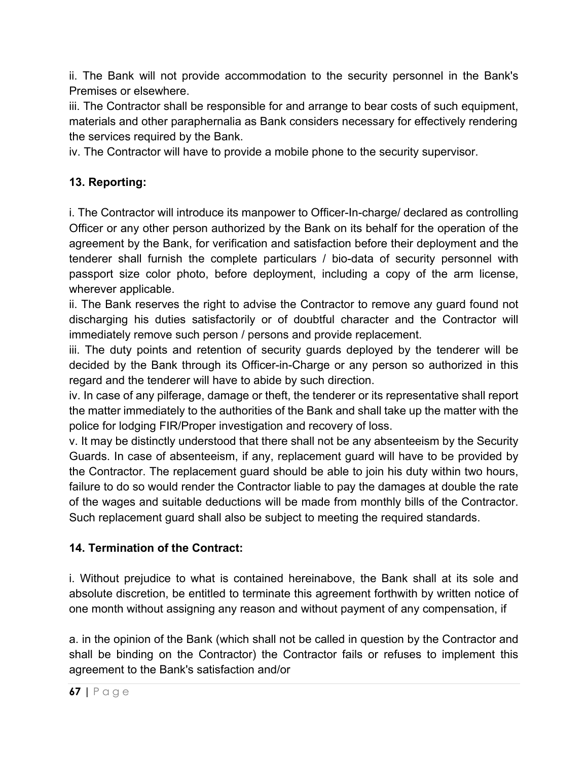ii. The Bank will not provide accommodation to the security personnel in the Bank's Premises or elsewhere.

iii. The Contractor shall be responsible for and arrange to bear costs of such equipment, materials and other paraphernalia as Bank considers necessary for effectively rendering the services required by the Bank.

iv. The Contractor will have to provide a mobile phone to the security supervisor.

# **13. Reporting:**

i. The Contractor will introduce its manpower to Officer-In-charge/ declared as controlling Officer or any other person authorized by the Bank on its behalf for the operation of the agreement by the Bank, for verification and satisfaction before their deployment and the tenderer shall furnish the complete particulars / bio-data of security personnel with passport size color photo, before deployment, including a copy of the arm license, wherever applicable.

ii. The Bank reserves the right to advise the Contractor to remove any guard found not discharging his duties satisfactorily or of doubtful character and the Contractor will immediately remove such person / persons and provide replacement.

iii. The duty points and retention of security guards deployed by the tenderer will be decided by the Bank through its Officer-in-Charge or any person so authorized in this regard and the tenderer will have to abide by such direction.

iv. In case of any pilferage, damage or theft, the tenderer or its representative shall report the matter immediately to the authorities of the Bank and shall take up the matter with the police for lodging FIR/Proper investigation and recovery of loss.

v. It may be distinctly understood that there shall not be any absenteeism by the Security Guards. In case of absenteeism, if any, replacement guard will have to be provided by the Contractor. The replacement guard should be able to join his duty within two hours, failure to do so would render the Contractor liable to pay the damages at double the rate of the wages and suitable deductions will be made from monthly bills of the Contractor. Such replacement guard shall also be subject to meeting the required standards.

# **14. Termination of the Contract:**

i. Without prejudice to what is contained hereinabove, the Bank shall at its sole and absolute discretion, be entitled to terminate this agreement forthwith by written notice of one month without assigning any reason and without payment of any compensation, if

a. in the opinion of the Bank (which shall not be called in question by the Contractor and shall be binding on the Contractor) the Contractor fails or refuses to implement this agreement to the Bank's satisfaction and/or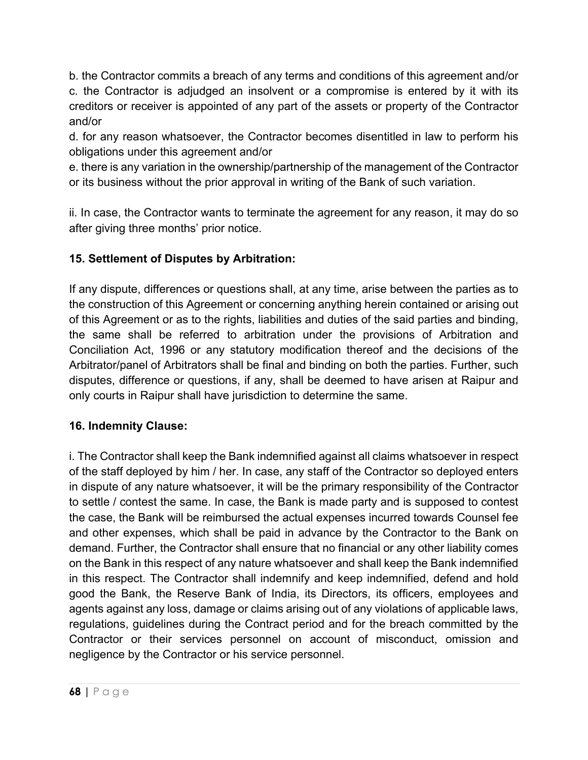b. the Contractor commits a breach of any terms and conditions of this agreement and/or c. the Contractor is adjudged an insolvent or a compromise is entered by it with its creditors or receiver is appointed of any part of the assets or property of the Contractor and/or

d. for any reason whatsoever, the Contractor becomes disentitled in law to perform his obligations under this agreement and/or

e. there is any variation in the ownership/partnership of the management of the Contractor or its business without the prior approval in writing of the Bank of such variation.

ii. In case, the Contractor wants to terminate the agreement for any reason, it may do so after giving three months' prior notice.

# **15. Settlement of Disputes by Arbitration:**

If any dispute, differences or questions shall, at any time, arise between the parties as to the construction of this Agreement or concerning anything herein contained or arising out of this Agreement or as to the rights, liabilities and duties of the said parties and binding, the same shall be referred to arbitration under the provisions of Arbitration and Conciliation Act, 1996 or any statutory modification thereof and the decisions of the Arbitrator/panel of Arbitrators shall be final and binding on both the parties. Further, such disputes, difference or questions, if any, shall be deemed to have arisen at Raipur and only courts in Raipur shall have jurisdiction to determine the same.

# **16. Indemnity Clause:**

i. The Contractor shall keep the Bank indemnified against all claims whatsoever in respect of the staff deployed by him / her. In case, any staff of the Contractor so deployed enters in dispute of any nature whatsoever, it will be the primary responsibility of the Contractor to settle / contest the same. In case, the Bank is made party and is supposed to contest the case, the Bank will be reimbursed the actual expenses incurred towards Counsel fee and other expenses, which shall be paid in advance by the Contractor to the Bank on demand. Further, the Contractor shall ensure that no financial or any other liability comes on the Bank in this respect of any nature whatsoever and shall keep the Bank indemnified in this respect. The Contractor shall indemnify and keep indemnified, defend and hold good the Bank, the Reserve Bank of India, its Directors, its officers, employees and agents against any loss, damage or claims arising out of any violations of applicable laws, regulations, guidelines during the Contract period and for the breach committed by the Contractor or their services personnel on account of misconduct, omission and negligence by the Contractor or his service personnel.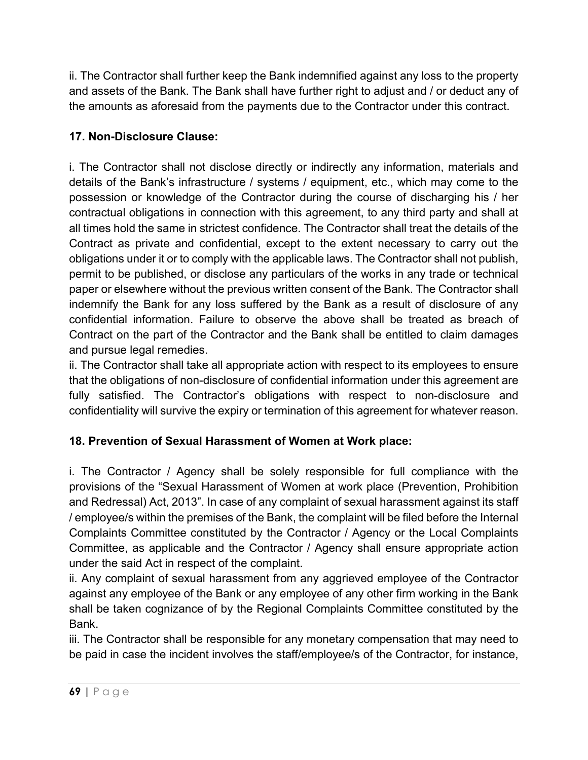ii. The Contractor shall further keep the Bank indemnified against any loss to the property and assets of the Bank. The Bank shall have further right to adjust and / or deduct any of the amounts as aforesaid from the payments due to the Contractor under this contract.

# **17. Non-Disclosure Clause:**

i. The Contractor shall not disclose directly or indirectly any information, materials and details of the Bank's infrastructure / systems / equipment, etc., which may come to the possession or knowledge of the Contractor during the course of discharging his / her contractual obligations in connection with this agreement, to any third party and shall at all times hold the same in strictest confidence. The Contractor shall treat the details of the Contract as private and confidential, except to the extent necessary to carry out the obligations under it or to comply with the applicable laws. The Contractor shall not publish, permit to be published, or disclose any particulars of the works in any trade or technical paper or elsewhere without the previous written consent of the Bank. The Contractor shall indemnify the Bank for any loss suffered by the Bank as a result of disclosure of any confidential information. Failure to observe the above shall be treated as breach of Contract on the part of the Contractor and the Bank shall be entitled to claim damages and pursue legal remedies.

ii. The Contractor shall take all appropriate action with respect to its employees to ensure that the obligations of non-disclosure of confidential information under this agreement are fully satisfied. The Contractor's obligations with respect to non-disclosure and confidentiality will survive the expiry or termination of this agreement for whatever reason.

# **18. Prevention of Sexual Harassment of Women at Work place:**

i. The Contractor / Agency shall be solely responsible for full compliance with the provisions of the "Sexual Harassment of Women at work place (Prevention, Prohibition and Redressal) Act, 2013". In case of any complaint of sexual harassment against its staff / employee/s within the premises of the Bank, the complaint will be filed before the Internal Complaints Committee constituted by the Contractor / Agency or the Local Complaints Committee, as applicable and the Contractor / Agency shall ensure appropriate action under the said Act in respect of the complaint.

ii. Any complaint of sexual harassment from any aggrieved employee of the Contractor against any employee of the Bank or any employee of any other firm working in the Bank shall be taken cognizance of by the Regional Complaints Committee constituted by the Bank.

iii. The Contractor shall be responsible for any monetary compensation that may need to be paid in case the incident involves the staff/employee/s of the Contractor, for instance,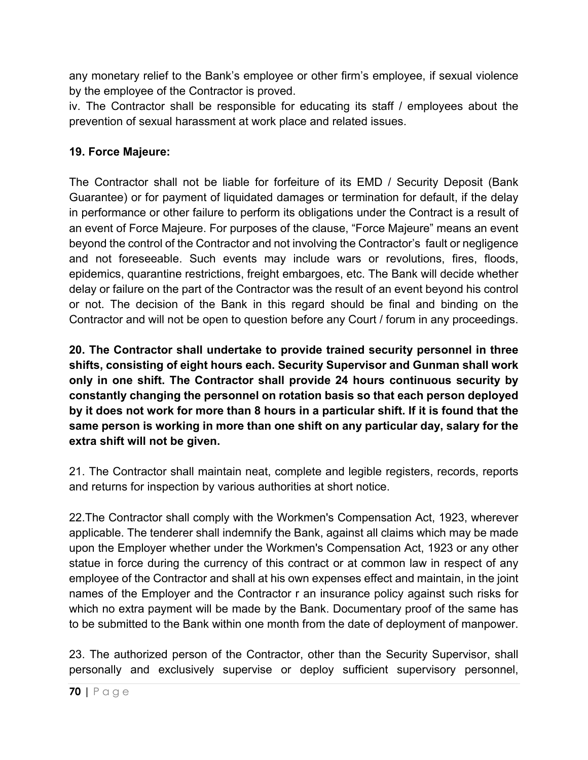any monetary relief to the Bank's employee or other firm's employee, if sexual violence by the employee of the Contractor is proved.

iv. The Contractor shall be responsible for educating its staff / employees about the prevention of sexual harassment at work place and related issues.

# **19. Force Majeure:**

The Contractor shall not be liable for forfeiture of its EMD / Security Deposit (Bank Guarantee) or for payment of liquidated damages or termination for default, if the delay in performance or other failure to perform its obligations under the Contract is a result of an event of Force Majeure. For purposes of the clause, "Force Majeure" means an event beyond the control of the Contractor and not involving the Contractor's fault or negligence and not foreseeable. Such events may include wars or revolutions, fires, floods, epidemics, quarantine restrictions, freight embargoes, etc. The Bank will decide whether delay or failure on the part of the Contractor was the result of an event beyond his control or not. The decision of the Bank in this regard should be final and binding on the Contractor and will not be open to question before any Court / forum in any proceedings.

**20. The Contractor shall undertake to provide trained security personnel in three shifts, consisting of eight hours each. Security Supervisor and Gunman shall work only in one shift. The Contractor shall provide 24 hours continuous security by constantly changing the personnel on rotation basis so that each person deployed by it does not work for more than 8 hours in a particular shift. If it is found that the same person is working in more than one shift on any particular day, salary for the extra shift will not be given.**

21. The Contractor shall maintain neat, complete and legible registers, records, reports and returns for inspection by various authorities at short notice.

22.The Contractor shall comply with the Workmen's Compensation Act, 1923, wherever applicable. The tenderer shall indemnify the Bank, against all claims which may be made upon the Employer whether under the Workmen's Compensation Act, 1923 or any other statue in force during the currency of this contract or at common law in respect of any employee of the Contractor and shall at his own expenses effect and maintain, in the joint names of the Employer and the Contractor r an insurance policy against such risks for which no extra payment will be made by the Bank. Documentary proof of the same has to be submitted to the Bank within one month from the date of deployment of manpower.

23. The authorized person of the Contractor, other than the Security Supervisor, shall personally and exclusively supervise or deploy sufficient supervisory personnel,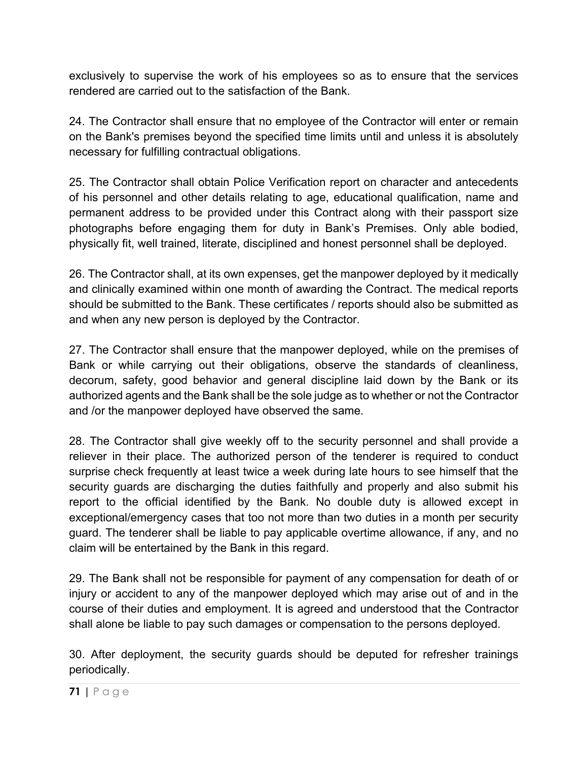exclusively to supervise the work of his employees so as to ensure that the services rendered are carried out to the satisfaction of the Bank.

24. The Contractor shall ensure that no employee of the Contractor will enter or remain on the Bank's premises beyond the specified time limits until and unless it is absolutely necessary for fulfilling contractual obligations.

25. The Contractor shall obtain Police Verification report on character and antecedents of his personnel and other details relating to age, educational qualification, name and permanent address to be provided under this Contract along with their passport size photographs before engaging them for duty in Bank's Premises. Only able bodied, physically fit, well trained, literate, disciplined and honest personnel shall be deployed.

26. The Contractor shall, at its own expenses, get the manpower deployed by it medically and clinically examined within one month of awarding the Contract. The medical reports should be submitted to the Bank. These certificates / reports should also be submitted as and when any new person is deployed by the Contractor.

27. The Contractor shall ensure that the manpower deployed, while on the premises of Bank or while carrying out their obligations, observe the standards of cleanliness, decorum, safety, good behavior and general discipline laid down by the Bank or its authorized agents and the Bank shall be the sole judge as to whether or not the Contractor and /or the manpower deployed have observed the same.

28. The Contractor shall give weekly off to the security personnel and shall provide a reliever in their place. The authorized person of the tenderer is required to conduct surprise check frequently at least twice a week during late hours to see himself that the security guards are discharging the duties faithfully and properly and also submit his report to the official identified by the Bank. No double duty is allowed except in exceptional/emergency cases that too not more than two duties in a month per security guard. The tenderer shall be liable to pay applicable overtime allowance, if any, and no claim will be entertained by the Bank in this regard.

29. The Bank shall not be responsible for payment of any compensation for death of or injury or accident to any of the manpower deployed which may arise out of and in the course of their duties and employment. It is agreed and understood that the Contractor shall alone be liable to pay such damages or compensation to the persons deployed.

30. After deployment, the security guards should be deputed for refresher trainings periodically.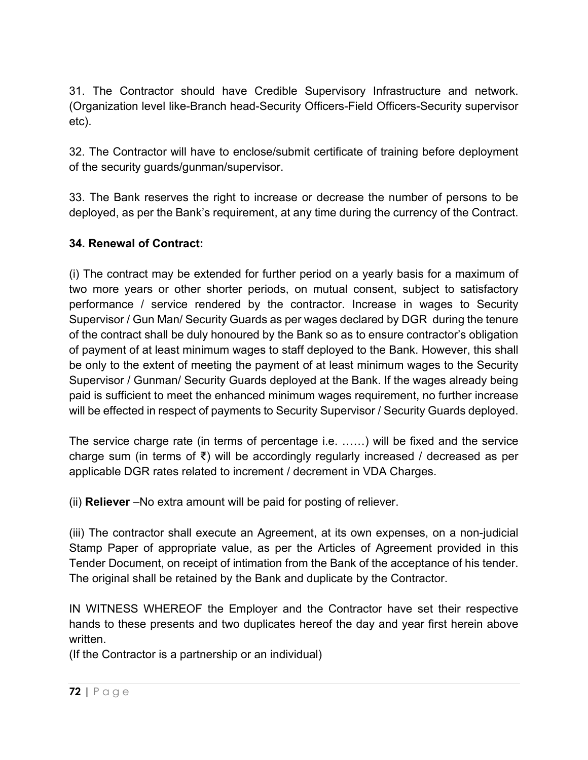31. The Contractor should have Credible Supervisory Infrastructure and network. (Organization level like-Branch head-Security Officers-Field Officers-Security supervisor etc).

32. The Contractor will have to enclose/submit certificate of training before deployment of the security guards/gunman/supervisor.

33. The Bank reserves the right to increase or decrease the number of persons to be deployed, as per the Bank's requirement, at any time during the currency of the Contract.

## **34. Renewal of Contract:**

(i) The contract may be extended for further period on a yearly basis for a maximum of two more years or other shorter periods, on mutual consent, subject to satisfactory performance / service rendered by the contractor. Increase in wages to Security Supervisor / Gun Man/ Security Guards as per wages declared by DGR during the tenure of the contract shall be duly honoured by the Bank so as to ensure contractor's obligation of payment of at least minimum wages to staff deployed to the Bank. However, this shall be only to the extent of meeting the payment of at least minimum wages to the Security Supervisor / Gunman/ Security Guards deployed at the Bank. If the wages already being paid is sufficient to meet the enhanced minimum wages requirement, no further increase will be effected in respect of payments to Security Supervisor / Security Guards deployed.

The service charge rate (in terms of percentage i.e. ……) will be fixed and the service charge sum (in terms of ₹) will be accordingly regularly increased / decreased as per applicable DGR rates related to increment / decrement in VDA Charges.

(ii) **Reliever** –No extra amount will be paid for posting of reliever.

(iii) The contractor shall execute an Agreement, at its own expenses, on a non-judicial Stamp Paper of appropriate value, as per the Articles of Agreement provided in this Tender Document, on receipt of intimation from the Bank of the acceptance of his tender. The original shall be retained by the Bank and duplicate by the Contractor.

IN WITNESS WHEREOF the Employer and the Contractor have set their respective hands to these presents and two duplicates hereof the day and year first herein above written.

(If the Contractor is a partnership or an individual)